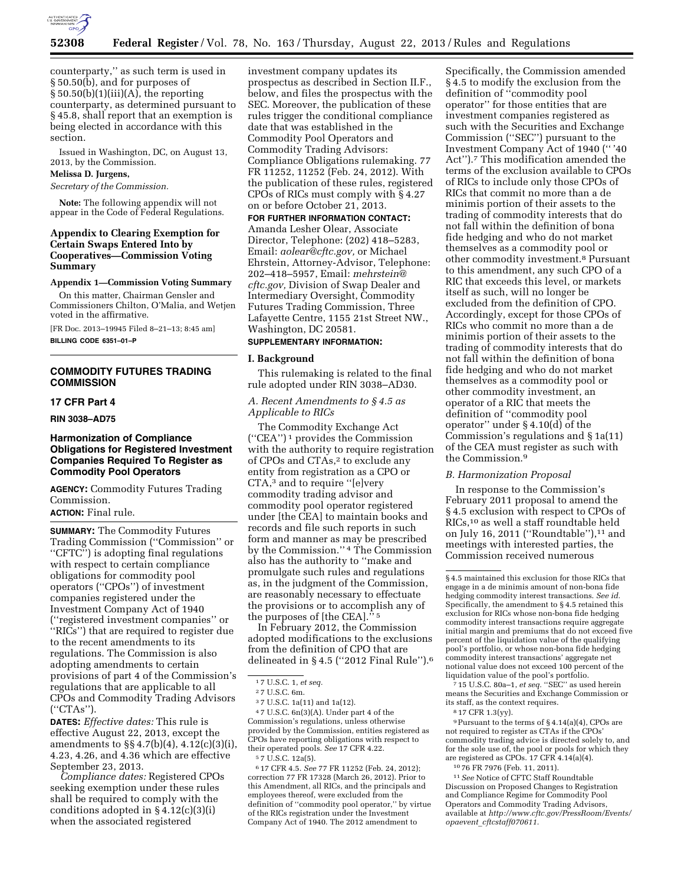

counterparty,'' as such term is used in § 50.50(b), and for purposes of  $\S 50.50(b)(1)(iii)(A)$ , the reporting counterparty, as determined pursuant to § 45.8, shall report that an exemption is being elected in accordance with this section.

Issued in Washington, DC, on August 13, 2013, by the Commission.

# **Melissa D. Jurgens,**

*Secretary of the Commission.* 

**Note:** The following appendix will not appear in the Code of Federal Regulations.

# **Appendix to Clearing Exemption for Certain Swaps Entered Into by Cooperatives—Commission Voting Summary**

# **Appendix 1—Commission Voting Summary**

On this matter, Chairman Gensler and Commissioners Chilton, O'Malia, and Wetjen voted in the affirmative.

[FR Doc. 2013–19945 Filed 8–21–13; 8:45 am] **BILLING CODE 6351–01–P** 

# **COMMODITY FUTURES TRADING COMMISSION**

### **17 CFR Part 4**

**RIN 3038–AD75** 

# **Harmonization of Compliance Obligations for Registered Investment Companies Required To Register as Commodity Pool Operators**

**AGENCY:** Commodity Futures Trading Commission.

# **ACTION:** Final rule.

**SUMMARY:** The Commodity Futures Trading Commission (''Commission'' or ''CFTC'') is adopting final regulations with respect to certain compliance obligations for commodity pool operators (''CPOs'') of investment companies registered under the Investment Company Act of 1940 (''registered investment companies'' or ''RICs'') that are required to register due to the recent amendments to its regulations. The Commission is also adopting amendments to certain provisions of part 4 of the Commission's regulations that are applicable to all CPOs and Commodity Trading Advisors (''CTAs'').

**DATES:** *Effective dates:* This rule is effective August 22, 2013, except the amendments to §§ 4.7(b)(4), 4.12(c)(3)(i), 4.23, 4.26, and 4.36 which are effective September 23, 2013.

*Compliance dates:* Registered CPOs seeking exemption under these rules shall be required to comply with the conditions adopted in  $§$  4.12(c)(3)(i) when the associated registered

investment company updates its prospectus as described in Section II.F., below, and files the prospectus with the SEC. Moreover, the publication of these rules trigger the conditional compliance date that was established in the Commodity Pool Operators and Commodity Trading Advisors: Compliance Obligations rulemaking. 77 FR 11252, 11252 (Feb. 24, 2012). With the publication of these rules, registered CPOs of RICs must comply with § 4.27 on or before October 21, 2013.

### **FOR FURTHER INFORMATION CONTACT:**

Amanda Lesher Olear, Associate Director, Telephone: (202) 418–5283, Email: *[aolear@cftc.gov,](mailto:aolear@cftc.gov)* or Michael Ehrstein, Attorney-Advisor, Telephone: 202–418–5957, Email: *[mehrstein@](mailto:mehrstein@cftc.gov) [cftc.gov,](mailto:mehrstein@cftc.gov)* Division of Swap Dealer and Intermediary Oversight, Commodity Futures Trading Commission, Three Lafayette Centre, 1155 21st Street NW., Washington, DC 20581.

# **SUPPLEMENTARY INFORMATION:**

#### **I. Background**

This rulemaking is related to the final rule adopted under RIN 3038–AD30.

# *A. Recent Amendments to § 4.5 as Applicable to RICs*

The Commodity Exchange Act (''CEA'') 1 provides the Commission with the authority to require registration of CPOs and CTAs,<sup>2</sup> to exclude any entity from registration as a CPO or CTA,3 and to require ''[e]very commodity trading advisor and commodity pool operator registered under [the CEA] to maintain books and records and file such reports in such form and manner as may be prescribed by the Commission.'' 4 The Commission also has the authority to ''make and promulgate such rules and regulations as, in the judgment of the Commission, are reasonably necessary to effectuate the provisions or to accomplish any of the purposes of [the CEA].'' 5

In February 2012, the Commission adopted modifications to the exclusions from the definition of CPO that are delineated in § 4.5 (''2012 Final Rule'').6

4 7 U.S.C. 6n(3)(A). Under part 4 of the Commission's regulations, unless otherwise provided by the Commission, entities registered as CPOs have reporting obligations with respect to their operated pools. *See* 17 CFR 4.22. 5 7 U.S.C. 12a(5).

6 17 CFR 4.5. *See* 77 FR 11252 (Feb. 24, 2012); correction 77 FR 17328 (March 26, 2012). Prior to this Amendment, all RICs, and the principals and employees thereof, were excluded from the definition of ''commodity pool operator,'' by virtue of the RICs registration under the Investment Company Act of 1940. The 2012 amendment to

Specifically, the Commission amended § 4.5 to modify the exclusion from the definition of ''commodity pool operator'' for those entities that are investment companies registered as such with the Securities and Exchange Commission (''SEC'') pursuant to the Investment Company Act of 1940 ('' '40 Act'').7 This modification amended the terms of the exclusion available to CPOs of RICs to include only those CPOs of RICs that commit no more than a de minimis portion of their assets to the trading of commodity interests that do not fall within the definition of bona fide hedging and who do not market themselves as a commodity pool or other commodity investment.8 Pursuant to this amendment, any such CPO of a RIC that exceeds this level, or markets itself as such, will no longer be excluded from the definition of CPO. Accordingly, except for those CPOs of RICs who commit no more than a de minimis portion of their assets to the trading of commodity interests that do not fall within the definition of bona fide hedging and who do not market themselves as a commodity pool or other commodity investment, an operator of a RIC that meets the definition of ''commodity pool operator'' under § 4.10(d) of the Commission's regulations and § 1a(11) of the CEA must register as such with the Commission.9

## *B. Harmonization Proposal*

In response to the Commission's February 2011 proposal to amend the § 4.5 exclusion with respect to CPOs of RICs,10 as well a staff roundtable held on July 16, 2011 ("Roundtable"),<sup>11</sup> and meetings with interested parties, the Commission received numerous

 $^7\,15$  U.S.C. 80a<sup>-1</sup>,  $et$   $seq.$   $\lq\lq SEC$  '' as used herein means the Securities and Exchange Commission or its staff, as the context requires.

9Pursuant to the terms of § 4.14(a)(4), CPOs are not required to register as CTAs if the CPOs' commodity trading advice is directed solely to, and for the sole use of, the pool or pools for which they are registered as CPOs. 17 CFR 4.14(a)(4).

10 76 FR 7976 (Feb. 11, 2011).

11*See* Notice of CFTC Staff Roundtable Discussion on Proposed Changes to Registration and Compliance Regime for Commodity Pool Operators and Commodity Trading Advisors, available at *[http://www.cftc.gov/PressRoom/Events/](http://www.cftc.gov/PressRoom/Events/opaevent_cftcstaff070611) opaevent*\_*[cftcstaff070611.](http://www.cftc.gov/PressRoom/Events/opaevent_cftcstaff070611)* 

<sup>1</sup> 7 U.S.C. 1, *et seq.* 

<sup>2</sup> 7 U.S.C. 6m.

<sup>3</sup> 7 U.S.C. 1a(11) and 1a(12).

<sup>§ 4.5</sup> maintained this exclusion for those RICs that engage in a de minimis amount of non-bona fide hedging commodity interest transactions. *See id.*  Specifically, the amendment to § 4.5 retained this exclusion for RICs whose non-bona fide hedging commodity interest transactions require aggregate initial margin and premiums that do not exceed five percent of the liquidation value of the qualifying pool's portfolio, or whose non-bona fide hedging commodity interest transactions' aggregate net notional value does not exceed 100 percent of the liquidation value of the pool's portfolio.

<sup>8</sup> 17 CFR 1.3(yy).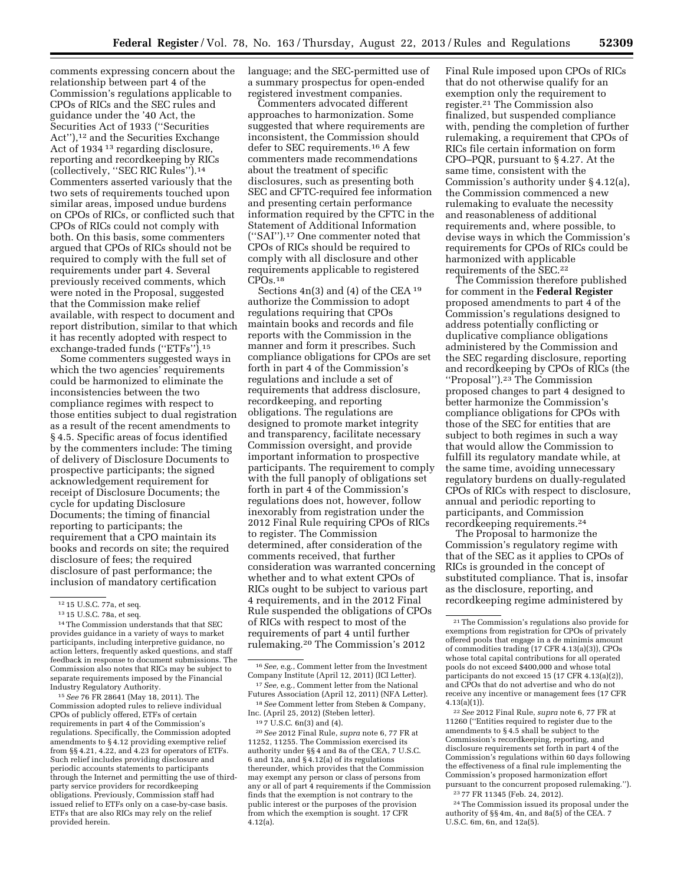comments expressing concern about the relationship between part 4 of the Commission's regulations applicable to CPOs of RICs and the SEC rules and guidance under the '40 Act, the Securities Act of 1933 (''Securities Act"),<sup>12</sup> and the Securities Exchange Act of 1934 13 regarding disclosure, reporting and recordkeeping by RICs (collectively, ''SEC RIC Rules'').14 Commenters asserted variously that the two sets of requirements touched upon similar areas, imposed undue burdens on CPOs of RICs, or conflicted such that CPOs of RICs could not comply with both. On this basis, some commenters argued that CPOs of RICs should not be required to comply with the full set of requirements under part 4. Several previously received comments, which were noted in the Proposal, suggested that the Commission make relief available, with respect to document and report distribution, similar to that which it has recently adopted with respect to exchange-traded funds (''ETFs'').15

Some commenters suggested ways in which the two agencies' requirements could be harmonized to eliminate the inconsistencies between the two compliance regimes with respect to those entities subject to dual registration as a result of the recent amendments to § 4.5. Specific areas of focus identified by the commenters include: The timing of delivery of Disclosure Documents to prospective participants; the signed acknowledgement requirement for receipt of Disclosure Documents; the cycle for updating Disclosure Documents; the timing of financial reporting to participants; the requirement that a CPO maintain its books and records on site; the required disclosure of fees; the required disclosure of past performance; the inclusion of mandatory certification

14The Commission understands that that SEC provides guidance in a variety of ways to market participants, including interpretive guidance, no action letters, frequently asked questions, and staff feedback in response to document submissions. The Commission also notes that RICs may be subject to separate requirements imposed by the Financial Industry Regulatory Authority.

15*See* 76 FR 28641 (May 18, 2011). The Commission adopted rules to relieve individual CPOs of publicly offered, ETFs of certain requirements in part 4 of the Commission's regulations. Specifically, the Commission adopted amendments to § 4.12 providing exemptive relief from §§ 4.21, 4.22, and 4.23 for operators of ETFs. Such relief includes providing disclosure and periodic accounts statements to participants through the Internet and permitting the use of thirdparty service providers for recordkeeping obligations. Previously, Commission staff had issued relief to ETFs only on a case-by-case basis. ETFs that are also RICs may rely on the relief provided herein.

language; and the SEC-permitted use of a summary prospectus for open-ended registered investment companies.

Commenters advocated different approaches to harmonization. Some suggested that where requirements are inconsistent, the Commission should defer to SEC requirements.16 A few commenters made recommendations about the treatment of specific disclosures, such as presenting both SEC and CFTC-required fee information and presenting certain performance information required by the CFTC in the Statement of Additional Information (''SAI'').17 One commenter noted that CPOs of RICs should be required to comply with all disclosure and other requirements applicable to registered  $CPOS.<sub>18</sub>$ 

Sections 4n(3) and (4) of the CEA 19 authorize the Commission to adopt regulations requiring that CPOs maintain books and records and file reports with the Commission in the manner and form it prescribes. Such compliance obligations for CPOs are set forth in part 4 of the Commission's regulations and include a set of requirements that address disclosure, recordkeeping, and reporting obligations. The regulations are designed to promote market integrity and transparency, facilitate necessary Commission oversight, and provide important information to prospective participants. The requirement to comply with the full panoply of obligations set forth in part 4 of the Commission's regulations does not, however, follow inexorably from registration under the 2012 Final Rule requiring CPOs of RICs to register. The Commission determined, after consideration of the comments received, that further consideration was warranted concerning whether and to what extent CPOs of RICs ought to be subject to various part 4 requirements, and in the 2012 Final Rule suspended the obligations of CPOs of RICs with respect to most of the requirements of part 4 until further rulemaking.20 The Commission's 2012

19 7 U.S.C. 6n(3) and (4).

20*See* 2012 Final Rule, *supra* note 6, 77 FR at 11252, 11255. The Commission exercised its authority under §§ 4 and 8a of the CEA, 7 U.S.C. 6 and 12a, and § 4.12(a) of its regulations thereunder, which provides that the Commission may exempt any person or class of persons from any or all of part 4 requirements if the Commission finds that the exemption is not contrary to the public interest or the purposes of the provision from which the exemption is sought. 17 CFR 4.12(a).

Final Rule imposed upon CPOs of RICs that do not otherwise qualify for an exemption only the requirement to register.21 The Commission also finalized, but suspended compliance with, pending the completion of further rulemaking, a requirement that CPOs of RICs file certain information on form CPO–PQR, pursuant to § 4.27. At the same time, consistent with the Commission's authority under § 4.12(a), the Commission commenced a new rulemaking to evaluate the necessity and reasonableness of additional requirements and, where possible, to devise ways in which the Commission's requirements for CPOs of RICs could be harmonized with applicable requirements of the SEC.22

The Commission therefore published for comment in the **Federal Register**  proposed amendments to part 4 of the Commission's regulations designed to address potentially conflicting or duplicative compliance obligations administered by the Commission and the SEC regarding disclosure, reporting and recordkeeping by CPOs of RICs (the ''Proposal'').23 The Commission proposed changes to part 4 designed to better harmonize the Commission's compliance obligations for CPOs with those of the SEC for entities that are subject to both regimes in such a way that would allow the Commission to fulfill its regulatory mandate while, at the same time, avoiding unnecessary regulatory burdens on dually-regulated CPOs of RICs with respect to disclosure, annual and periodic reporting to participants, and Commission recordkeeping requirements.24

The Proposal to harmonize the Commission's regulatory regime with that of the SEC as it applies to CPOs of RICs is grounded in the concept of substituted compliance. That is, insofar as the disclosure, reporting, and recordkeeping regime administered by

22*See* 2012 Final Rule, *supra* note 6, 77 FR at 11260 (''Entities required to register due to the amendments to § 4.5 shall be subject to the Commission's recordkeeping, reporting, and disclosure requirements set forth in part 4 of the Commission's regulations within 60 days following the effectiveness of a final rule implementing the Commission's proposed harmonization effort pursuant to the concurrent proposed rulemaking.'').

23 77 FR 11345 (Feb. 24, 2012).

24The Commission issued its proposal under the authority of §§ 4m, 4n, and 8a(5) of the CEA. 7 U.S.C. 6m, 6n, and 12a(5).

<sup>12</sup> 15 U.S.C. 77a, et seq.

<sup>13</sup> 15 U.S.C. 78a, et seq.

<sup>16</sup>*See,* e.g., Comment letter from the Investment Company Institute (April 12, 2011) (ICI Letter).

<sup>17</sup>*See,* e.g., Comment letter from the National Futures Association (April 12, 2011) (NFA Letter).

<sup>18</sup>*See* Comment letter from Steben & Company, Inc. (April 25, 2012) (Steben letter).

<sup>21</sup>The Commission's regulations also provide for exemptions from registration for CPOs of privately offered pools that engage in a de minimis amount of commodities trading (17 CFR 4.13(a)(3)), CPOs whose total capital contributions for all operated pools do not exceed \$400,000 and whose total participants do not exceed 15 (17 CFR 4.13(a)(2)), and CPOs that do not advertise and who do not receive any incentive or management fees (17 CFR  $4.13(a)(1)$ .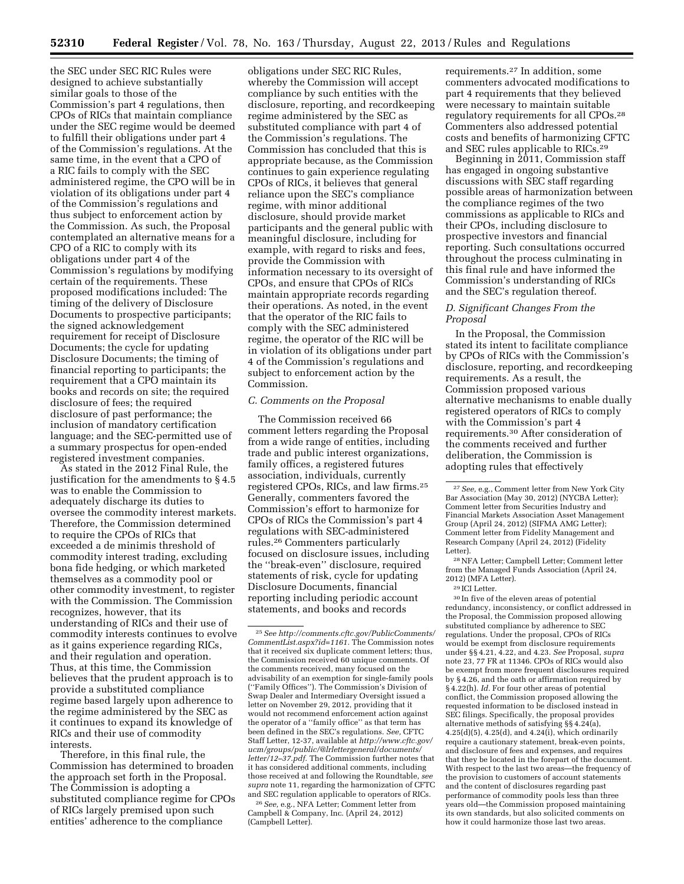the SEC under SEC RIC Rules were designed to achieve substantially similar goals to those of the Commission's part 4 regulations, then CPOs of RICs that maintain compliance under the SEC regime would be deemed to fulfill their obligations under part 4 of the Commission's regulations. At the same time, in the event that a CPO of a RIC fails to comply with the SEC administered regime, the CPO will be in violation of its obligations under part 4 of the Commission's regulations and thus subject to enforcement action by the Commission. As such, the Proposal contemplated an alternative means for a CPO of a RIC to comply with its obligations under part 4 of the Commission's regulations by modifying certain of the requirements. These proposed modifications included: The timing of the delivery of Disclosure Documents to prospective participants; the signed acknowledgement requirement for receipt of Disclosure Documents; the cycle for updating Disclosure Documents; the timing of financial reporting to participants; the requirement that a CPO maintain its books and records on site; the required disclosure of fees; the required disclosure of past performance; the inclusion of mandatory certification language; and the SEC-permitted use of a summary prospectus for open-ended registered investment companies.

As stated in the 2012 Final Rule, the justification for the amendments to § 4.5 was to enable the Commission to adequately discharge its duties to oversee the commodity interest markets. Therefore, the Commission determined to require the CPOs of RICs that exceeded a de minimis threshold of commodity interest trading, excluding bona fide hedging, or which marketed themselves as a commodity pool or other commodity investment, to register with the Commission. The Commission recognizes, however, that its understanding of RICs and their use of commodity interests continues to evolve as it gains experience regarding RICs, and their regulation and operation. Thus, at this time, the Commission believes that the prudent approach is to provide a substituted compliance regime based largely upon adherence to the regime administered by the SEC as it continues to expand its knowledge of RICs and their use of commodity interests.

Therefore, in this final rule, the Commission has determined to broaden the approach set forth in the Proposal. The Commission is adopting a substituted compliance regime for CPOs of RICs largely premised upon such entities' adherence to the compliance

obligations under SEC RIC Rules, whereby the Commission will accept compliance by such entities with the disclosure, reporting, and recordkeeping regime administered by the SEC as substituted compliance with part 4 of the Commission's regulations. The Commission has concluded that this is appropriate because, as the Commission continues to gain experience regulating CPOs of RICs, it believes that general reliance upon the SEC's compliance regime, with minor additional disclosure, should provide market participants and the general public with meaningful disclosure, including for example, with regard to risks and fees, provide the Commission with information necessary to its oversight of CPOs, and ensure that CPOs of RICs maintain appropriate records regarding their operations. As noted, in the event that the operator of the RIC fails to comply with the SEC administered regime, the operator of the RIC will be in violation of its obligations under part 4 of the Commission's regulations and subject to enforcement action by the Commission.

### *C. Comments on the Proposal*

The Commission received 66 comment letters regarding the Proposal from a wide range of entities, including trade and public interest organizations, family offices, a registered futures association, individuals, currently registered CPOs, RICs, and law firms.25 Generally, commenters favored the Commission's effort to harmonize for CPOs of RICs the Commission's part 4 regulations with SEC-administered rules.26 Commenters particularly focused on disclosure issues, including the ''break-even'' disclosure, required statements of risk, cycle for updating Disclosure Documents, financial reporting including periodic account statements, and books and records

26*See,* e.g., NFA Letter; Comment letter from Campbell & Company, Inc. (April 24, 2012) (Campbell Letter).

requirements.27 In addition, some commenters advocated modifications to part 4 requirements that they believed were necessary to maintain suitable regulatory requirements for all CPOs.28 Commenters also addressed potential costs and benefits of harmonizing CFTC and SEC rules applicable to RICs.29

Beginning in 2011, Commission staff has engaged in ongoing substantive discussions with SEC staff regarding possible areas of harmonization between the compliance regimes of the two commissions as applicable to RICs and their CPOs, including disclosure to prospective investors and financial reporting. Such consultations occurred throughout the process culminating in this final rule and have informed the Commission's understanding of RICs and the SEC's regulation thereof.

# *D. Significant Changes From the Proposal*

In the Proposal, the Commission stated its intent to facilitate compliance by CPOs of RICs with the Commission's disclosure, reporting, and recordkeeping requirements. As a result, the Commission proposed various alternative mechanisms to enable dually registered operators of RICs to comply with the Commission's part 4 requirements.30 After consideration of the comments received and further deliberation, the Commission is adopting rules that effectively

28NFA Letter; Campbell Letter; Comment letter from the Managed Funds Association (April 24, 2012) (MFA Letter).

30 In five of the eleven areas of potential redundancy, inconsistency, or conflict addressed in the Proposal, the Commission proposed allowing substituted compliance by adherence to SEC regulations. Under the proposal, CPOs of RICs would be exempt from disclosure requirements under §§ 4.21, 4.22, and 4.23. *See* Proposal, *supra*  note 23, 77 FR at 11346. CPOs of RICs would also be exempt from more frequent disclosures required by § 4.26, and the oath or affirmation required by § 4.22(h). *Id.* For four other areas of potential conflict, the Commission proposed allowing the requested information to be disclosed instead in SEC filings. Specifically, the proposal provides alternative methods of satisfying §§ 4.24(a), 4.25(d)(5), 4.25(d), and 4.24(i), which ordinarily require a cautionary statement, break-even points, and disclosure of fees and expenses, and requires that they be located in the forepart of the document. With respect to the last two areas—the frequency of the provision to customers of account statements and the content of disclosures regarding past performance of commodity pools less than three years old—the Commission proposed maintaining its own standards, but also solicited comments on how it could harmonize those last two areas.

<sup>25</sup>*See [http://comments.cftc.gov/PublicComments/](http://comments.cftc.gov/PublicComments/CommentList.aspx?id=1161)  [CommentList.aspx?id=1161.](http://comments.cftc.gov/PublicComments/CommentList.aspx?id=1161)* The Commission notes that it received six duplicate comment letters; thus, the Commission received 60 unique comments. Of the comments received, many focused on the advisability of an exemption for single-family pools (''Family Offices''). The Commission's Division of Swap Dealer and Intermediary Oversight issued a letter on November 29, 2012, providing that it would not recommend enforcement action against the operator of a ''family office'' as that term has been defined in the SEC's regulations. *See,* CFTC Staff Letter, 12-37, available at *[http://www.cftc.gov/](http://www.cftc.gov/ucm/groups/public/@lrlettergeneral/documents/letter/12%E2%80%9337.pdf)  [ucm/groups/public/@lrlettergeneral/documents/](http://www.cftc.gov/ucm/groups/public/@lrlettergeneral/documents/letter/12%E2%80%9337.pdf) [letter/12–37.pdf.](http://www.cftc.gov/ucm/groups/public/@lrlettergeneral/documents/letter/12%E2%80%9337.pdf)* The Commission further notes that it has considered additional comments, including those received at and following the Roundtable, *see supra* note 11, regarding the harmonization of CFTC and SEC regulation applicable to operators of RICs.

<sup>27</sup>*See,* e.g., Comment letter from New York City Bar Association (May 30, 2012) (NYCBA Letter); Comment letter from Securities Industry and Financial Markets Association Asset Management Group (April 24, 2012) (SIFMA AMG Letter); Comment letter from Fidelity Management and Research Company (April 24, 2012) (Fidelity Letter).

<sup>29</sup> ICI Letter.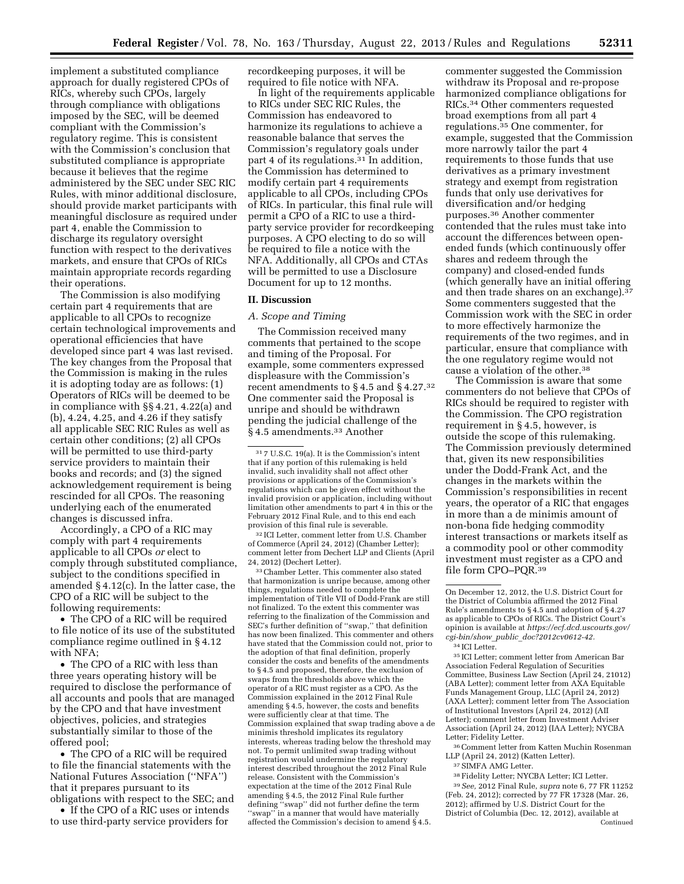implement a substituted compliance approach for dually registered CPOs of RICs, whereby such CPOs, largely through compliance with obligations imposed by the SEC, will be deemed compliant with the Commission's regulatory regime. This is consistent with the Commission's conclusion that substituted compliance is appropriate because it believes that the regime administered by the SEC under SEC RIC Rules, with minor additional disclosure, should provide market participants with meaningful disclosure as required under part 4, enable the Commission to discharge its regulatory oversight function with respect to the derivatives markets, and ensure that CPOs of RICs maintain appropriate records regarding their operations.

The Commission is also modifying certain part 4 requirements that are applicable to all CPOs to recognize certain technological improvements and operational efficiencies that have developed since part 4 was last revised. The key changes from the Proposal that the Commission is making in the rules it is adopting today are as follows: (1) Operators of RICs will be deemed to be in compliance with §§ 4.21, 4.22(a) and (b), 4.24, 4.25, and 4.26 if they satisfy all applicable SEC RIC Rules as well as certain other conditions; (2) all CPOs will be permitted to use third-party service providers to maintain their books and records; and (3) the signed acknowledgement requirement is being rescinded for all CPOs. The reasoning underlying each of the enumerated changes is discussed infra.

Accordingly, a CPO of a RIC may comply with part 4 requirements applicable to all CPOs *or* elect to comply through substituted compliance, subject to the conditions specified in amended § 4.12(c). In the latter case, the CPO of a RIC will be subject to the following requirements:

• The CPO of a RIC will be required to file notice of its use of the substituted compliance regime outlined in § 4.12 with NFA;

• The CPO of a RIC with less than three years operating history will be required to disclose the performance of all accounts and pools that are managed by the CPO and that have investment objectives, policies, and strategies substantially similar to those of the offered pool;

• The CPO of a RIC will be required to file the financial statements with the National Futures Association (''NFA'') that it prepares pursuant to its obligations with respect to the SEC; and

• If the CPO of a RIC uses or intends to use third-party service providers for

recordkeeping purposes, it will be required to file notice with NFA.

In light of the requirements applicable to RICs under SEC RIC Rules, the Commission has endeavored to harmonize its regulations to achieve a reasonable balance that serves the Commission's regulatory goals under part 4 of its regulations.<sup>31</sup> In addition, the Commission has determined to modify certain part 4 requirements applicable to all CPOs, including CPOs of RICs. In particular, this final rule will permit a CPO of a RIC to use a thirdparty service provider for recordkeeping purposes. A CPO electing to do so will be required to file a notice with the NFA. Additionally, all CPOs and CTAs will be permitted to use a Disclosure Document for up to 12 months.

### **II. Discussion**

#### *A. Scope and Timing*

The Commission received many comments that pertained to the scope and timing of the Proposal. For example, some commenters expressed displeasure with the Commission's recent amendments to § 4.5 and § 4.27.32 One commenter said the Proposal is unripe and should be withdrawn pending the judicial challenge of the § 4.5 amendments.33 Another

32 ICI Letter, comment letter from U.S. Chamber of Commerce (April 24, 2012) (Chamber Letter); comment letter from Dechert LLP and Clients (April 24, 2012) (Dechert Letter).

33Chamber Letter. This commenter also stated that harmonization is unripe because, among other things, regulations needed to complete the implementation of Title VII of Dodd-Frank are still not finalized. To the extent this commenter was referring to the finalization of the Commission and SEC's further definition of ''swap,'' that definition has now been finalized. This commenter and others have stated that the Commission could not, prior to the adoption of that final definition, properly consider the costs and benefits of the amendments to § 4.5 and proposed, therefore, the exclusion of swaps from the thresholds above which the operator of a RIC must register as a CPO. As the Commission explained in the 2012 Final Rule amending § 4.5, however, the costs and benefits were sufficiently clear at that time. The Commission explained that swap trading above a de minimis threshold implicates its regulatory interests, whereas trading below the threshold may not. To permit unlimited swap trading without registration would undermine the regulatory interest described throughout the 2012 Final Rule release. Consistent with the Commission's expectation at the time of the 2012 Final Rule amending § 4.5, the 2012 Final Rule further defining ''swap'' did not further define the term "swap" in a manner that would have materially affected the Commission's decision to amend § 4.5.

commenter suggested the Commission withdraw its Proposal and re-propose harmonized compliance obligations for RICs.34 Other commenters requested broad exemptions from all part 4 regulations.35 One commenter, for example, suggested that the Commission more narrowly tailor the part 4 requirements to those funds that use derivatives as a primary investment strategy and exempt from registration funds that only use derivatives for diversification and/or hedging purposes.36 Another commenter contended that the rules must take into account the differences between openended funds (which continuously offer shares and redeem through the company) and closed-ended funds (which generally have an initial offering and then trade shares on an exchange).37 Some commenters suggested that the Commission work with the SEC in order to more effectively harmonize the requirements of the two regimes, and in particular, ensure that compliance with the one regulatory regime would not cause a violation of the other.38

The Commission is aware that some commenters do not believe that CPOs of RICs should be required to register with the Commission. The CPO registration requirement in § 4.5, however, is outside the scope of this rulemaking. The Commission previously determined that, given its new responsibilities under the Dodd-Frank Act, and the changes in the markets within the Commission's responsibilities in recent years, the operator of a RIC that engages in more than a de minimis amount of non-bona fide hedging commodity interest transactions or markets itself as a commodity pool or other commodity investment must register as a CPO and file form CPO–PQR.39

35 ICI Letter; comment letter from American Bar Association Federal Regulation of Securities Committee, Business Law Section (April 24, 21012) (ABA Letter); comment letter from AXA Equitable Funds Management Group, LLC (April 24, 2012) (AXA Letter); comment letter from The Association of Institutional Investors (April 24, 2012) (AII Letter); comment letter from Investment Adviser Association (April 24, 2012) (IAA Letter); NYCBA Letter; Fidelity Letter.

36Comment letter from Katten Muchin Rosenman LLP (April 24, 2012) (Katten Letter).

37SIMFA AMG Letter.

38Fidelity Letter; NYCBA Letter; ICI Letter. 39*See,* 2012 Final Rule, *supra* note 6, 77 FR 11252 (Feb. 24, 2012); corrected by 77 FR 17328 (Mar. 26, 2012); affirmed by U.S. District Court for the District of Columbia (Dec. 12, 2012), available at Continued

<sup>31</sup> 7 U.S.C. 19(a). It is the Commission's intent that if any portion of this rulemaking is held invalid, such invalidity shall not affect other provisions or applications of the Commission's regulations which can be given effect without the invalid provision or application, including without limitation other amendments to part 4 in this or the February 2012 Final Rule, and to this end each provision of this final rule is severable.

On December 12, 2012, the U.S. District Court for the District of Columbia affirmed the 2012 Final Rule's amendments to § 4.5 and adoption of § 4.27 as applicable to CPOs of RICs. The District Court's opinion is available at *[https://ecf.dcd.uscourts.gov/](https://ecf.dcd.uscourts.gov/cgi-bin/show_public_doc?2012cv0612-42)  cgi-bin/show*\_*public*\_*[doc?2012cv0612-42.](https://ecf.dcd.uscourts.gov/cgi-bin/show_public_doc?2012cv0612-42)*  34 ICI Letter.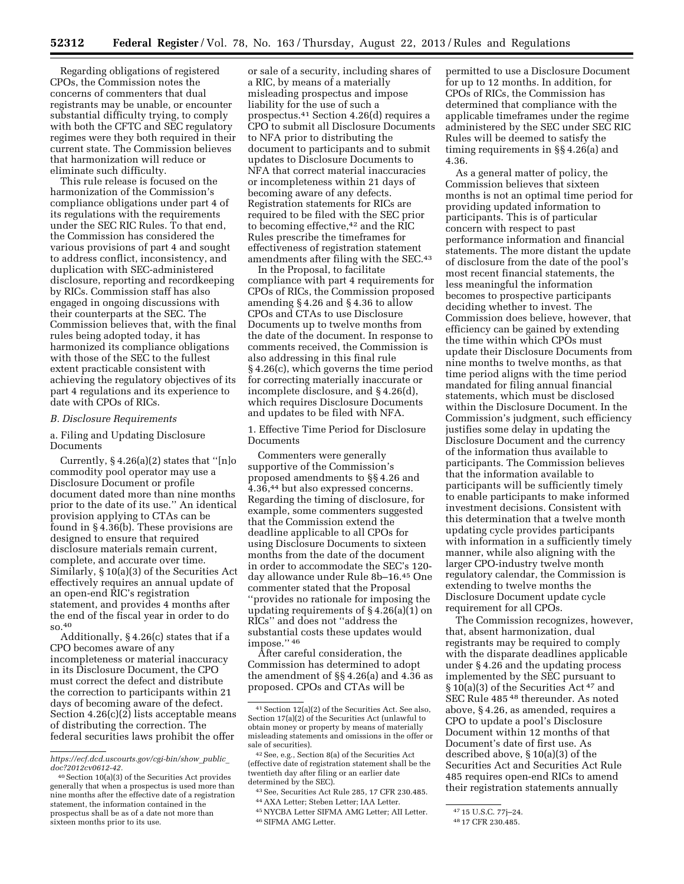Regarding obligations of registered CPOs, the Commission notes the concerns of commenters that dual registrants may be unable, or encounter substantial difficulty trying, to comply with both the CFTC and SEC regulatory regimes were they both required in their current state. The Commission believes that harmonization will reduce or eliminate such difficulty.

This rule release is focused on the harmonization of the Commission's compliance obligations under part 4 of its regulations with the requirements under the SEC RIC Rules. To that end, the Commission has considered the various provisions of part 4 and sought to address conflict, inconsistency, and duplication with SEC-administered disclosure, reporting and recordkeeping by RICs. Commission staff has also engaged in ongoing discussions with their counterparts at the SEC. The Commission believes that, with the final rules being adopted today, it has harmonized its compliance obligations with those of the SEC to the fullest extent practicable consistent with achieving the regulatory objectives of its part 4 regulations and its experience to date with CPOs of RICs.

### *B. Disclosure Requirements*

a. Filing and Updating Disclosure **Documents** 

Currently,  $\S 4.26(a)(2)$  states that "[n]o] commodity pool operator may use a Disclosure Document or profile document dated more than nine months prior to the date of its use.'' An identical provision applying to CTAs can be found in § 4.36(b). These provisions are designed to ensure that required disclosure materials remain current, complete, and accurate over time. Similarly, § 10(a)(3) of the Securities Act effectively requires an annual update of an open-end RIC's registration statement, and provides 4 months after the end of the fiscal year in order to do so.40

Additionally, § 4.26(c) states that if a CPO becomes aware of any incompleteness or material inaccuracy in its Disclosure Document, the CPO must correct the defect and distribute the correction to participants within 21 days of becoming aware of the defect. Section 4.26(c)(2) lists acceptable means of distributing the correction. The federal securities laws prohibit the offer

or sale of a security, including shares of a RIC, by means of a materially misleading prospectus and impose liability for the use of such a prospectus.41 Section 4.26(d) requires a CPO to submit all Disclosure Documents to NFA prior to distributing the document to participants and to submit updates to Disclosure Documents to NFA that correct material inaccuracies or incompleteness within 21 days of becoming aware of any defects. Registration statements for RICs are required to be filed with the SEC prior to becoming effective,<sup>42</sup> and the RIC Rules prescribe the timeframes for effectiveness of registration statement amendments after filing with the SEC.43

In the Proposal, to facilitate compliance with part 4 requirements for CPOs of RICs, the Commission proposed amending § 4.26 and § 4.36 to allow CPOs and CTAs to use Disclosure Documents up to twelve months from the date of the document. In response to comments received, the Commission is also addressing in this final rule § 4.26(c), which governs the time period for correcting materially inaccurate or incomplete disclosure, and § 4.26(d), which requires Disclosure Documents and updates to be filed with NFA.

1. Effective Time Period for Disclosure Documents

Commenters were generally supportive of the Commission's proposed amendments to §§ 4.26 and 4.36,44 but also expressed concerns. Regarding the timing of disclosure, for example, some commenters suggested that the Commission extend the deadline applicable to all CPOs for using Disclosure Documents to sixteen months from the date of the document in order to accommodate the SEC's 120 day allowance under Rule 8b–16.45 One commenter stated that the Proposal ''provides no rationale for imposing the updating requirements of § 4.26(a)(1) on RICs'' and does not ''address the substantial costs these updates would impose." 46

After careful consideration, the Commission has determined to adopt the amendment of §§ 4.26(a) and 4.36 as proposed. CPOs and CTAs will be

43See, Securities Act Rule 285, 17 CFR 230.485.

44AXA Letter; Steben Letter; IAA Letter.

45NYCBA Letter SIFMA AMG Letter; AII Letter. 46SIFMA AMG Letter.

permitted to use a Disclosure Document for up to 12 months. In addition, for CPOs of RICs, the Commission has determined that compliance with the applicable timeframes under the regime administered by the SEC under SEC RIC Rules will be deemed to satisfy the timing requirements in §§ 4.26(a) and 4.36.

As a general matter of policy, the Commission believes that sixteen months is not an optimal time period for providing updated information to participants. This is of particular concern with respect to past performance information and financial statements. The more distant the update of disclosure from the date of the pool's most recent financial statements, the less meaningful the information becomes to prospective participants deciding whether to invest. The Commission does believe, however, that efficiency can be gained by extending the time within which CPOs must update their Disclosure Documents from nine months to twelve months, as that time period aligns with the time period mandated for filing annual financial statements, which must be disclosed within the Disclosure Document. In the Commission's judgment, such efficiency justifies some delay in updating the Disclosure Document and the currency of the information thus available to participants. The Commission believes that the information available to participants will be sufficiently timely to enable participants to make informed investment decisions. Consistent with this determination that a twelve month updating cycle provides participants with information in a sufficiently timely manner, while also aligning with the larger CPO-industry twelve month regulatory calendar, the Commission is extending to twelve months the Disclosure Document update cycle requirement for all CPOs.

The Commission recognizes, however, that, absent harmonization, dual registrants may be required to comply with the disparate deadlines applicable under § 4.26 and the updating process implemented by the SEC pursuant to § 10(a)(3) of the Securities Act<sup>47</sup> and SEC Rule 485 48 thereunder. As noted above, § 4.26, as amended, requires a CPO to update a pool's Disclosure Document within 12 months of that Document's date of first use. As described above, § 10(a)(3) of the Securities Act and Securities Act Rule 485 requires open-end RICs to amend their registration statements annually

*[https://ecf.dcd.uscourts.gov/cgi-bin/show](https://ecf.dcd.uscourts.gov/cgi-bin/show_public_doc?2012cv0612-42)*\_*public*\_ *[doc?2012cv0612-42.](https://ecf.dcd.uscourts.gov/cgi-bin/show_public_doc?2012cv0612-42)* 

<sup>40</sup>Section 10(a)(3) of the Securities Act provides generally that when a prospectus is used more than nine months after the effective date of a registration statement, the information contained in the prospectus shall be as of a date not more than sixteen months prior to its use.

<sup>41</sup>Section 12(a)(2) of the Securities Act. See also, Section 17(a)(2) of the Securities Act (unlawful to obtain money or property by means of materially misleading statements and omissions in the offer or sale of securities).

<sup>42</sup>See, e.g., Section 8(a) of the Securities Act (effective date of registration statement shall be the twentieth day after filing or an earlier date determined by the SEC).

<sup>47</sup> 15 U.S.C. 77j–24.

<sup>48</sup> 17 CFR 230.485.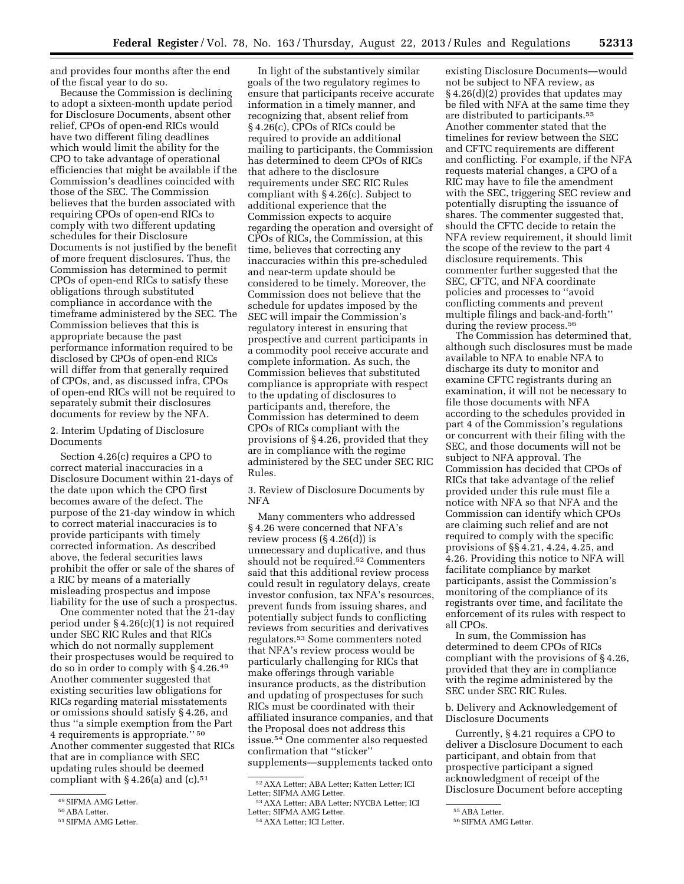and provides four months after the end of the fiscal year to do so.

Because the Commission is declining to adopt a sixteen-month update period for Disclosure Documents, absent other relief, CPOs of open-end RICs would have two different filing deadlines which would limit the ability for the CPO to take advantage of operational efficiencies that might be available if the Commission's deadlines coincided with those of the SEC. The Commission believes that the burden associated with requiring CPOs of open-end RICs to comply with two different updating schedules for their Disclosure Documents is not justified by the benefit of more frequent disclosures. Thus, the Commission has determined to permit CPOs of open-end RICs to satisfy these obligations through substituted compliance in accordance with the timeframe administered by the SEC. The Commission believes that this is appropriate because the past performance information required to be disclosed by CPOs of open-end RICs will differ from that generally required of CPOs, and, as discussed infra, CPOs of open-end RICs will not be required to separately submit their disclosures documents for review by the NFA.

2. Interim Updating of Disclosure Documents

Section 4.26(c) requires a CPO to correct material inaccuracies in a Disclosure Document within 21-days of the date upon which the CPO first becomes aware of the defect. The purpose of the 21-day window in which to correct material inaccuracies is to provide participants with timely corrected information. As described above, the federal securities laws prohibit the offer or sale of the shares of a RIC by means of a materially misleading prospectus and impose liability for the use of such a prospectus.

One commenter noted that the 21-day period under § 4.26(c)(1) is not required under SEC RIC Rules and that RICs which do not normally supplement their prospectuses would be required to do so in order to comply with § 4.26.49 Another commenter suggested that existing securities law obligations for RICs regarding material misstatements or omissions should satisfy § 4.26, and thus ''a simple exemption from the Part 4 requirements is appropriate.'' 50 Another commenter suggested that RICs that are in compliance with SEC updating rules should be deemed compliant with  $\S 4.26(a)$  and (c).<sup>51</sup>

In light of the substantively similar goals of the two regulatory regimes to ensure that participants receive accurate information in a timely manner, and recognizing that, absent relief from § 4.26(c), CPOs of RICs could be required to provide an additional mailing to participants, the Commission has determined to deem CPOs of RICs that adhere to the disclosure requirements under SEC RIC Rules compliant with § 4.26(c). Subject to additional experience that the Commission expects to acquire regarding the operation and oversight of CPOs of RICs, the Commission, at this time, believes that correcting any inaccuracies within this pre-scheduled and near-term update should be considered to be timely. Moreover, the Commission does not believe that the schedule for updates imposed by the SEC will impair the Commission's regulatory interest in ensuring that prospective and current participants in a commodity pool receive accurate and complete information. As such, the Commission believes that substituted compliance is appropriate with respect to the updating of disclosures to participants and, therefore, the Commission has determined to deem CPOs of RICs compliant with the provisions of § 4.26, provided that they are in compliance with the regime administered by the SEC under SEC RIC Rules.

3. Review of Disclosure Documents by NFA

Many commenters who addressed § 4.26 were concerned that NFA's review process  $(\S 4.26(d))$  is unnecessary and duplicative, and thus should not be required.52 Commenters said that this additional review process could result in regulatory delays, create investor confusion, tax NFA's resources, prevent funds from issuing shares, and potentially subject funds to conflicting reviews from securities and derivatives regulators.53 Some commenters noted that NFA's review process would be particularly challenging for RICs that make offerings through variable insurance products, as the distribution and updating of prospectuses for such RICs must be coordinated with their affiliated insurance companies, and that the Proposal does not address this issue.54 One commenter also requested confirmation that ''sticker'' supplements—supplements tacked onto

existing Disclosure Documents—would not be subject to NFA review, as § 4.26(d)(2) provides that updates may be filed with NFA at the same time they are distributed to participants.55 Another commenter stated that the timelines for review between the SEC and CFTC requirements are different and conflicting. For example, if the NFA requests material changes, a CPO of a RIC may have to file the amendment with the SEC, triggering SEC review and potentially disrupting the issuance of shares. The commenter suggested that, should the CFTC decide to retain the NFA review requirement, it should limit the scope of the review to the part 4 disclosure requirements. This commenter further suggested that the SEC, CFTC, and NFA coordinate policies and processes to ''avoid conflicting comments and prevent multiple filings and back-and-forth'' during the review process.<sup>56</sup>

The Commission has determined that, although such disclosures must be made available to NFA to enable NFA to discharge its duty to monitor and examine CFTC registrants during an examination, it will not be necessary to file those documents with NFA according to the schedules provided in part 4 of the Commission's regulations or concurrent with their filing with the SEC, and those documents will not be subject to NFA approval. The Commission has decided that CPOs of RICs that take advantage of the relief provided under this rule must file a notice with NFA so that NFA and the Commission can identify which CPOs are claiming such relief and are not required to comply with the specific provisions of §§ 4.21, 4.24, 4.25, and 4.26. Providing this notice to NFA will facilitate compliance by market participants, assist the Commission's monitoring of the compliance of its registrants over time, and facilitate the enforcement of its rules with respect to all CPOs.

In sum, the Commission has determined to deem CPOs of RICs compliant with the provisions of § 4.26, provided that they are in compliance with the regime administered by the SEC under SEC RIC Rules.

b. Delivery and Acknowledgement of Disclosure Documents

Currently, § 4.21 requires a CPO to deliver a Disclosure Document to each participant, and obtain from that prospective participant a signed acknowledgment of receipt of the Disclosure Document before accepting

<sup>49</sup>SIFMA AMG Letter.

<sup>50</sup>ABA Letter.

<sup>&</sup>lt;sup>51</sup> SIFMA AMG Letter

<sup>52</sup>AXA Letter; ABA Letter; Katten Letter; ICI Letter; SIFMA AMG Letter.

<sup>53</sup>AXA Letter; ABA Letter; NYCBA Letter; ICI Letter; SIFMA AMG Letter.

<sup>54</sup>AXA Letter; ICI Letter.

<sup>55</sup>ABA Letter.

<sup>56</sup>SIFMA AMG Letter.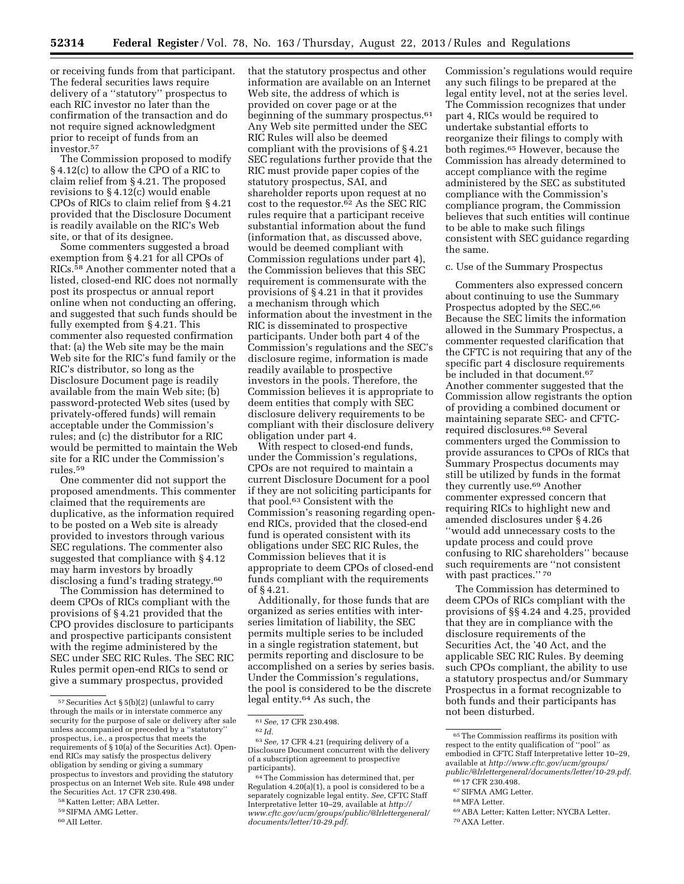or receiving funds from that participant. The federal securities laws require delivery of a ''statutory'' prospectus to each RIC investor no later than the confirmation of the transaction and do not require signed acknowledgment prior to receipt of funds from an investor.57

The Commission proposed to modify § 4.12(c) to allow the CPO of a RIC to claim relief from § 4.21. The proposed revisions to § 4.12(c) would enable CPOs of RICs to claim relief from § 4.21 provided that the Disclosure Document is readily available on the RIC's Web site, or that of its designee.

Some commenters suggested a broad exemption from § 4.21 for all CPOs of RICs.<sup>58</sup> Another commenter noted that a listed, closed-end RIC does not normally post its prospectus or annual report online when not conducting an offering, and suggested that such funds should be fully exempted from § 4.21. This commenter also requested confirmation that: (a) the Web site may be the main Web site for the RIC's fund family or the RIC's distributor, so long as the Disclosure Document page is readily available from the main Web site; (b) password-protected Web sites (used by privately-offered funds) will remain acceptable under the Commission's rules; and (c) the distributor for a RIC would be permitted to maintain the Web site for a RIC under the Commission's rules.59

One commenter did not support the proposed amendments. This commenter claimed that the requirements are duplicative, as the information required to be posted on a Web site is already provided to investors through various SEC regulations. The commenter also suggested that compliance with § 4.12 may harm investors by broadly disclosing a fund's trading strategy.60

The Commission has determined to deem CPOs of RICs compliant with the provisions of § 4.21 provided that the CPO provides disclosure to participants and prospective participants consistent with the regime administered by the SEC under SEC RIC Rules. The SEC RIC Rules permit open-end RICs to send or give a summary prospectus, provided

that the statutory prospectus and other information are available on an Internet Web site, the address of which is provided on cover page or at the beginning of the summary prospectus.<sup>61</sup> Any Web site permitted under the SEC RIC Rules will also be deemed compliant with the provisions of § 4.21 SEC regulations further provide that the RIC must provide paper copies of the statutory prospectus, SAI, and shareholder reports upon request at no cost to the requestor.62 As the SEC RIC rules require that a participant receive substantial information about the fund (information that, as discussed above, would be deemed compliant with Commission regulations under part 4), the Commission believes that this SEC requirement is commensurate with the provisions of § 4.21 in that it provides a mechanism through which information about the investment in the RIC is disseminated to prospective participants. Under both part 4 of the Commission's regulations and the SEC's disclosure regime, information is made readily available to prospective investors in the pools. Therefore, the Commission believes it is appropriate to deem entities that comply with SEC disclosure delivery requirements to be compliant with their disclosure delivery obligation under part 4.

With respect to closed-end funds, under the Commission's regulations, CPOs are not required to maintain a current Disclosure Document for a pool if they are not soliciting participants for that pool.63 Consistent with the Commission's reasoning regarding openend RICs, provided that the closed-end fund is operated consistent with its obligations under SEC RIC Rules, the Commission believes that it is appropriate to deem CPOs of closed-end funds compliant with the requirements of § 4.21.

Additionally, for those funds that are organized as series entities with interseries limitation of liability, the SEC permits multiple series to be included in a single registration statement, but permits reporting and disclosure to be accomplished on a series by series basis. Under the Commission's regulations, the pool is considered to be the discrete legal entity.64 As such, the

Commission's regulations would require any such filings to be prepared at the legal entity level, not at the series level. The Commission recognizes that under part 4, RICs would be required to undertake substantial efforts to reorganize their filings to comply with both regimes.65 However, because the Commission has already determined to accept compliance with the regime administered by the SEC as substituted compliance with the Commission's compliance program, the Commission believes that such entities will continue to be able to make such filings consistent with SEC guidance regarding the same.

#### c. Use of the Summary Prospectus

Commenters also expressed concern about continuing to use the Summary Prospectus adopted by the SEC.<sup>66</sup> Because the SEC limits the information allowed in the Summary Prospectus, a commenter requested clarification that the CFTC is not requiring that any of the specific part 4 disclosure requirements be included in that document.<sup>67</sup> Another commenter suggested that the Commission allow registrants the option of providing a combined document or maintaining separate SEC- and CFTCrequired disclosures.68 Several commenters urged the Commission to provide assurances to CPOs of RICs that Summary Prospectus documents may still be utilized by funds in the format they currently use.69 Another commenter expressed concern that requiring RICs to highlight new and amended disclosures under § 4.26 ''would add unnecessary costs to the update process and could prove confusing to RIC shareholders'' because such requirements are ''not consistent with past practices." 70

The Commission has determined to deem CPOs of RICs compliant with the provisions of §§ 4.24 and 4.25, provided that they are in compliance with the disclosure requirements of the Securities Act, the '40 Act, and the applicable SEC RIC Rules. By deeming such CPOs compliant, the ability to use a statutory prospectus and/or Summary Prospectus in a format recognizable to both funds and their participants has not been disturbed.

- 67SIFMA AMG Letter.
- 68MFA Letter.
- 69ABA Letter; Katten Letter; NYCBA Letter.
- 70AXA Letter.

 $^{57}$  Securities Act  $\S\,5(\mathrm{b})(2)$  (unlawful to carry through the mails or in interstate commerce any security for the purpose of sale or delivery after sale unless accompanied or preceded by a ''statutory'' prospectus, i.e., a prospectus that meets the requirements of § 10(a) of the Securities Act). Openend RICs may satisfy the prospectus delivery obligation by sending or giving a summary prospectus to investors and providing the statutory prospectus on an Internet Web site. Rule 498 under the Securities Act. 17 CFR 230.498.

<sup>58</sup> Katten Letter; ABA Letter.

<sup>59</sup>SIFMA AMG Letter.

<sup>60</sup>AII Letter.

<sup>61</sup>*See,* 17 CFR 230.498. 62 *Id.* 

<sup>63</sup>*See,* 17 CFR 4.21 (requiring delivery of a Disclosure Document concurrent with the delivery of a subscription agreement to prospective participants).

<sup>64</sup>The Commission has determined that, per Regulation 4.20(a)(1), a pool is considered to be a separately cognizable legal entity. *See,* CFTC Staff Interpretative letter 10–29, available at *[http://](http://www.cftc.gov/ucm/groups/public/@lrlettergeneral/documents/letter/10-29.pdf) [www.cftc.gov/ucm/groups/public/@lrlettergeneral/](http://www.cftc.gov/ucm/groups/public/@lrlettergeneral/documents/letter/10-29.pdf) [documents/letter/10-29.pdf](http://www.cftc.gov/ucm/groups/public/@lrlettergeneral/documents/letter/10-29.pdf)*.

<sup>&</sup>lt;sup>65</sup>The Commission reaffirms its position with respect to the entity qualification of ''pool'' as embodied in CFTC Staff Interpretative letter 10–29, available at *[http://www.cftc.gov/ucm/groups/](http://www.cftc.gov/ucm/groups/public/@lrlettergeneral/documents/letter/10-29.pdf) [public/@lrlettergeneral/documents/letter/10-29.pdf](http://www.cftc.gov/ucm/groups/public/@lrlettergeneral/documents/letter/10-29.pdf)*.

<sup>66</sup> 17 CFR 230.498.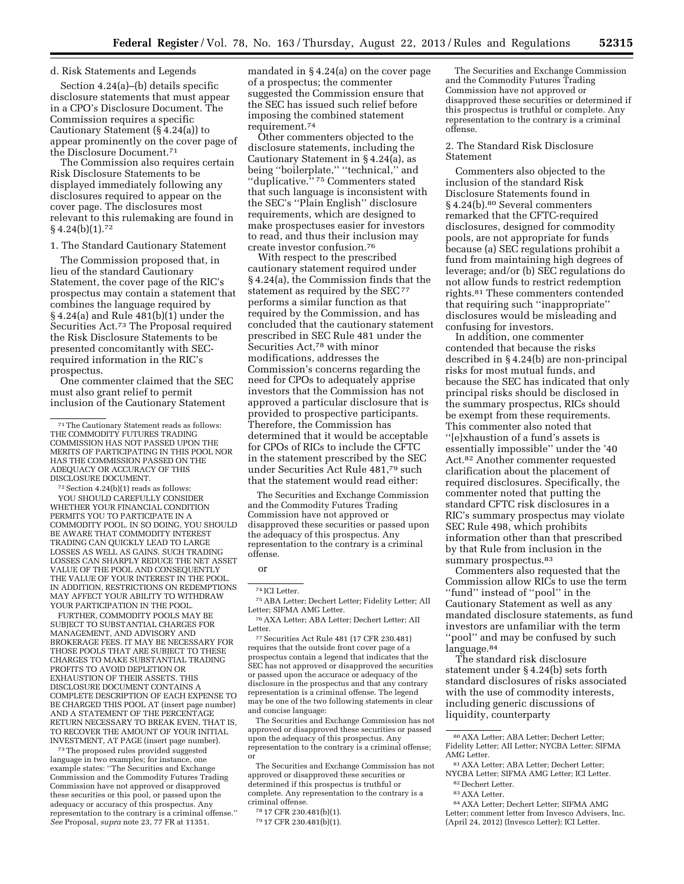# d. Risk Statements and Legends

Section 4.24(a)–(b) details specific disclosure statements that must appear in a CPO's Disclosure Document. The Commission requires a specific Cautionary Statement (§ 4.24(a)) to appear prominently on the cover page of the Disclosure Document.71

The Commission also requires certain Risk Disclosure Statements to be displayed immediately following any disclosures required to appear on the cover page. The disclosures most relevant to this rulemaking are found in  $§$  4.24(b)(1).<sup>72</sup>

### 1. The Standard Cautionary Statement

The Commission proposed that, in lieu of the standard Cautionary Statement, the cover page of the RIC's prospectus may contain a statement that combines the language required by § 4.24(a) and Rule 481(b)(1) under the Securities Act.73 The Proposal required the Risk Disclosure Statements to be presented concomitantly with SECrequired information in the RIC's prospectus.

One commenter claimed that the SEC must also grant relief to permit inclusion of the Cautionary Statement

72Section 4.24(b)(1) reads as follows: YOU SHOULD CAREFULLY CONSIDER WHETHER YOUR FINANCIAL CONDITION PERMITS YOU TO PARTICIPATE IN A COMMODITY POOL. IN SO DOING, YOU SHOULD BE AWARE THAT COMMODITY INTEREST TRADING CAN QUICKLY LEAD TO LARGE LOSSES AS WELL AS GAINS. SUCH TRADING LOSSES CAN SHARPLY REDUCE THE NET ASSET VALUE OF THE POOL AND CONSEQUENTLY THE VALUE OF YOUR INTEREST IN THE POOL. IN ADDITION, RESTRICTIONS ON REDEMPTIONS MAY AFFECT YOUR ABILITY TO WITHDRAW YOUR PARTICIPATION IN THE POOL.

FURTHER, COMMODITY POOLS MAY BE SUBJECT TO SUBSTANTIAL CHARGES FOR MANAGEMENT, AND ADVISORY AND BROKERAGE FEES. IT MAY BE NECESSARY FOR THOSE POOLS THAT ARE SUBJECT TO THESE CHARGES TO MAKE SUBSTANTIAL TRADING PROFITS TO AVOID DEPLETION OR EXHAUSTION OF THEIR ASSETS. THIS DISCLOSURE DOCUMENT CONTAINS A COMPLETE DESCRIPTION OF EACH EXPENSE TO BE CHARGED THIS POOL AT (insert page number) AND A STATEMENT OF THE PERCENTAGE RETURN NECESSARY TO BREAK EVEN, THAT IS, TO RECOVER THE AMOUNT OF YOUR INITIAL INVESTMENT, AT PAGE (insert page number).

73The proposed rules provided suggested language in two examples; for instance, one example states: ''The Securities and Exchange Commission and the Commodity Futures Trading Commission have not approved or disapproved these securities or this pool, or passed upon the adequacy or accuracy of this prospectus. Any representation to the contrary is a criminal offense.'' *See* Proposal, *supra* note 23, 77 FR at 11351.

mandated in § 4.24(a) on the cover page of a prospectus; the commenter suggested the Commission ensure that the SEC has issued such relief before imposing the combined statement requirement.74

Other commenters objected to the disclosure statements, including the Cautionary Statement in § 4.24(a), as being "boilerplate," "technical," and "duplicative."<sup>75</sup> Commenters stated that such language is inconsistent with the SEC's ''Plain English'' disclosure requirements, which are designed to make prospectuses easier for investors to read, and thus their inclusion may create investor confusion.76

With respect to the prescribed cautionary statement required under § 4.24(a), the Commission finds that the statement as required by the SEC<sup>77</sup> performs a similar function as that required by the Commission, and has concluded that the cautionary statement prescribed in SEC Rule 481 under the Securities Act,<sup>78</sup> with minor modifications, addresses the Commission's concerns regarding the need for CPOs to adequately apprise investors that the Commission has not approved a particular disclosure that is provided to prospective participants. Therefore, the Commission has determined that it would be acceptable for CPOs of RICs to include the CFTC in the statement prescribed by the SEC under Securities Act Rule 481,79 such that the statement would read either:

The Securities and Exchange Commission and the Commodity Futures Trading Commission have not approved or disapproved these securities or passed upon the adequacy of this prospectus. Any representation to the contrary is a criminal offense.

# or

#### 74 ICI Letter.

75ABA Letter; Dechert Letter; Fidelity Letter; AII Letter; SIFMA AMG Letter.

76AXA Letter; ABA Letter; Dechert Letter; AII Letter.

77Securities Act Rule 481 (17 CFR 230.481) requires that the outside front cover page of a prospectus contain a legend that indicates that the SEC has not approved or disapproved the securities or passed upon the accurace or adequacy of the disclosure in the prospectus and that any contrary representation is a criminal offense. The legend may be one of the two following statements in clear and concise language:

The Securities and Exchange Commission has not approved or disapproved these securities or passed upon the adequacy of this prospectus. Any representation to the contrary is a criminal offense; or

The Securities and Exchange Commission has not approved or disapproved these securities or determined if this prospectus is truthful or complete. Any representation to the contrary is a criminal offense.

78 17 CFR 230.481(b)(1).

The Securities and Exchange Commission and the Commodity Futures Trading Commission have not approved or disapproved these securities or determined if this prospectus is truthful or complete. Any representation to the contrary is a criminal offense.

### 2. The Standard Risk Disclosure Statement

Commenters also objected to the inclusion of the standard Risk Disclosure Statements found in § 4.24(b).<sup>80</sup> Several commenters remarked that the CFTC-required disclosures, designed for commodity pools, are not appropriate for funds because (a) SEC regulations prohibit a fund from maintaining high degrees of leverage; and/or (b) SEC regulations do not allow funds to restrict redemption rights.81 These commenters contended that requiring such ''inappropriate'' disclosures would be misleading and confusing for investors.

In addition, one commenter contended that because the risks described in § 4.24(b) are non-principal risks for most mutual funds, and because the SEC has indicated that only principal risks should be disclosed in the summary prospectus, RICs should be exempt from these requirements. This commenter also noted that ''[e]xhaustion of a fund's assets is essentially impossible'' under the '40 Act.82 Another commenter requested clarification about the placement of required disclosures. Specifically, the commenter noted that putting the standard CFTC risk disclosures in a RIC's summary prospectus may violate SEC Rule 498, which prohibits information other than that prescribed by that Rule from inclusion in the summary prospectus.<sup>83</sup>

Commenters also requested that the Commission allow RICs to use the term ''fund'' instead of ''pool'' in the Cautionary Statement as well as any mandated disclosure statements, as fund investors are unfamiliar with the term ''pool'' and may be confused by such language.84

The standard risk disclosure statement under § 4.24(b) sets forth standard disclosures of risks associated with the use of commodity interests, including generic discussions of liquidity, counterparty

83AXA Letter.

<sup>71</sup>The Cautionary Statement reads as follows: THE COMMODITY FUTURES TRADING COMMISSION HAS NOT PASSED UPON THE MERITS OF PARTICIPATING IN THIS POOL NOR HAS THE COMMISSION PASSED ON THE ADEQUACY OR ACCURACY OF THIS DISCLOSURE DOCUMENT.

<sup>79</sup> 17 CFR 230.481(b)(1).

<sup>80</sup>AXA Letter; ABA Letter; Dechert Letter; Fidelity Letter; AII Letter; NYCBA Letter; SIFMA AMG Letter.

<sup>81</sup>AXA Letter; ABA Letter; Dechert Letter; NYCBA Letter; SIFMA AMG Letter; ICI Letter. 82 Dechert Letter.

<sup>84</sup>AXA Letter; Dechert Letter; SIFMA AMG Letter; comment letter from Invesco Advisers, Inc. (April 24, 2012) (Invesco Letter); ICI Letter.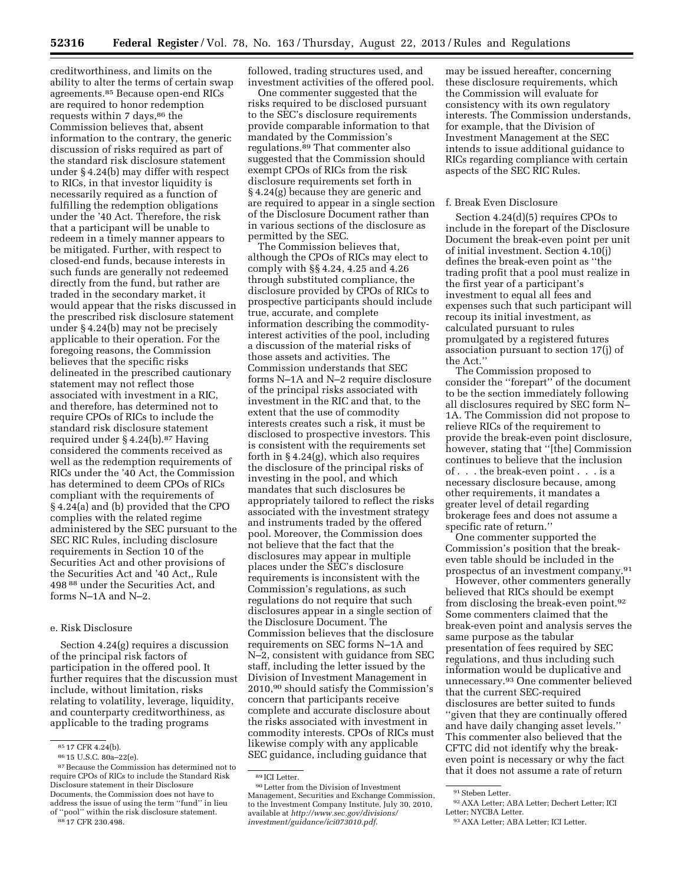creditworthiness, and limits on the ability to alter the terms of certain swap agreements.85 Because open-end RICs are required to honor redemption requests within 7 days, 86 the Commission believes that, absent information to the contrary, the generic discussion of risks required as part of the standard risk disclosure statement under § 4.24(b) may differ with respect to RICs, in that investor liquidity is necessarily required as a function of fulfilling the redemption obligations under the '40 Act. Therefore, the risk that a participant will be unable to redeem in a timely manner appears to be mitigated. Further, with respect to closed-end funds, because interests in such funds are generally not redeemed directly from the fund, but rather are traded in the secondary market, it would appear that the risks discussed in the prescribed risk disclosure statement under § 4.24(b) may not be precisely applicable to their operation. For the foregoing reasons, the Commission believes that the specific risks delineated in the prescribed cautionary statement may not reflect those associated with investment in a RIC, and therefore, has determined not to require CPOs of RICs to include the standard risk disclosure statement required under  $§$  4.24(b).<sup>87</sup> Having considered the comments received as well as the redemption requirements of RICs under the '40 Act, the Commission has determined to deem CPOs of RICs compliant with the requirements of § 4.24(a) and (b) provided that the CPO complies with the related regime administered by the SEC pursuant to the SEC RIC Rules, including disclosure requirements in Section 10 of the Securities Act and other provisions of the Securities Act and '40 Act,, Rule 498 88 under the Securities Act, and forms N–1A and N–2.

# e. Risk Disclosure

Section 4.24(g) requires a discussion of the principal risk factors of participation in the offered pool. It further requires that the discussion must include, without limitation, risks relating to volatility, leverage, liquidity, and counterparty creditworthiness, as applicable to the trading programs

88 17 CFR 230.498.

followed, trading structures used, and investment activities of the offered pool.

One commenter suggested that the risks required to be disclosed pursuant to the SEC's disclosure requirements provide comparable information to that mandated by the Commission's regulations.89 That commenter also suggested that the Commission should exempt CPOs of RICs from the risk disclosure requirements set forth in § 4.24(g) because they are generic and are required to appear in a single section of the Disclosure Document rather than in various sections of the disclosure as permitted by the SEC.

The Commission believes that, although the CPOs of RICs may elect to comply with §§ 4.24, 4.25 and 4.26 through substituted compliance, the disclosure provided by CPOs of RICs to prospective participants should include true, accurate, and complete information describing the commodityinterest activities of the pool, including a discussion of the material risks of those assets and activities. The Commission understands that SEC forms N–1A and N–2 require disclosure of the principal risks associated with investment in the RIC and that, to the extent that the use of commodity interests creates such a risk, it must be disclosed to prospective investors. This is consistent with the requirements set forth in § 4.24(g), which also requires the disclosure of the principal risks of investing in the pool, and which mandates that such disclosures be appropriately tailored to reflect the risks associated with the investment strategy and instruments traded by the offered pool. Moreover, the Commission does not believe that the fact that the disclosures may appear in multiple places under the SEC's disclosure requirements is inconsistent with the Commission's regulations, as such regulations do not require that such disclosures appear in a single section of the Disclosure Document. The Commission believes that the disclosure requirements on SEC forms N–1A and N–2, consistent with guidance from SEC staff, including the letter issued by the Division of Investment Management in 2010,90 should satisfy the Commission's concern that participants receive complete and accurate disclosure about the risks associated with investment in commodity interests. CPOs of RICs must likewise comply with any applicable SEC guidance, including guidance that

may be issued hereafter, concerning these disclosure requirements, which the Commission will evaluate for consistency with its own regulatory interests. The Commission understands, for example, that the Division of Investment Management at the SEC intends to issue additional guidance to RICs regarding compliance with certain aspects of the SEC RIC Rules.

### f. Break Even Disclosure

Section 4.24(d)(5) requires CPOs to include in the forepart of the Disclosure Document the break-even point per unit of initial investment. Section 4.10(j) defines the break-even point as ''the trading profit that a pool must realize in the first year of a participant's investment to equal all fees and expenses such that such participant will recoup its initial investment, as calculated pursuant to rules promulgated by a registered futures association pursuant to section 17(j) of the Act.''

The Commission proposed to consider the ''forepart'' of the document to be the section immediately following all disclosures required by SEC form N– 1A. The Commission did not propose to relieve RICs of the requirement to provide the break-even point disclosure, however, stating that ''[the] Commission continues to believe that the inclusion of . . . the break-even point . . . is a necessary disclosure because, among other requirements, it mandates a greater level of detail regarding brokerage fees and does not assume a specific rate of return.''

One commenter supported the Commission's position that the breakeven table should be included in the prospectus of an investment company.91

However, other commenters generally believed that RICs should be exempt from disclosing the break-even point.92 Some commenters claimed that the break-even point and analysis serves the same purpose as the tabular presentation of fees required by SEC regulations, and thus including such information would be duplicative and unnecessary.93 One commenter believed that the current SEC-required disclosures are better suited to funds ''given that they are continually offered and have daily changing asset levels.'' This commenter also believed that the CFTC did not identify why the breakeven point is necessary or why the fact that it does not assume a rate of return

<sup>85</sup> 17 CFR 4.24(b).

<sup>86</sup> 15 U.S.C. 80a–22(e).

<sup>87</sup>Because the Commission has determined not to require CPOs of RICs to include the Standard Risk Disclosure statement in their Disclosure Documents, the Commission does not have to address the issue of using the term ''fund'' in lieu of ''pool'' within the risk disclosure statement.

<sup>89</sup> ICI Letter. 90Letter from the Division of Investment Management, Securities and Exchange Commission, to the Investment Company Institute, July 30, 2010, available at *[http://www.sec.gov/divisions/](http://www.sec.gov/divisions/investment/guidance/ici073010.pdf) [investment/guidance/ici073010.pdf](http://www.sec.gov/divisions/investment/guidance/ici073010.pdf)*.

<sup>&</sup>lt;sup>91</sup> Steben Letter.

<sup>92</sup>AXA Letter; ABA Letter; Dechert Letter; ICI Letter; NYCBA Letter.

<sup>93</sup>AXA Letter; ABA Letter; ICI Letter.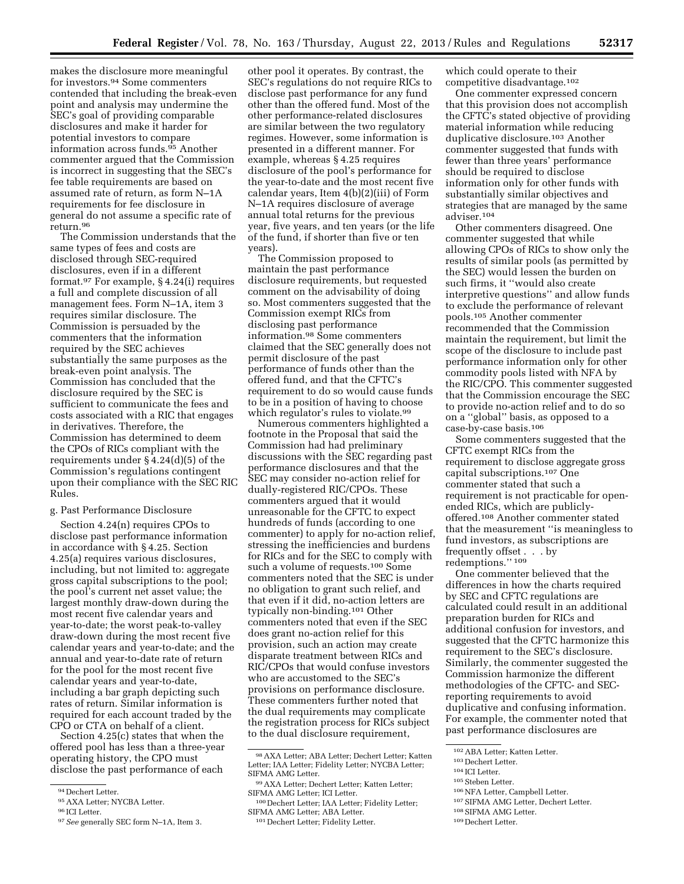makes the disclosure more meaningful for investors.94 Some commenters contended that including the break-even point and analysis may undermine the SEC's goal of providing comparable disclosures and make it harder for potential investors to compare information across funds.95 Another commenter argued that the Commission is incorrect in suggesting that the SEC's fee table requirements are based on assumed rate of return, as form N–1A requirements for fee disclosure in general do not assume a specific rate of return.96

The Commission understands that the same types of fees and costs are disclosed through SEC-required disclosures, even if in a different format.97 For example, § 4.24(i) requires a full and complete discussion of all management fees. Form N–1A, item 3 requires similar disclosure. The Commission is persuaded by the commenters that the information required by the SEC achieves substantially the same purposes as the break-even point analysis. The Commission has concluded that the disclosure required by the SEC is sufficient to communicate the fees and costs associated with a RIC that engages in derivatives. Therefore, the Commission has determined to deem the CPOs of RICs compliant with the requirements under  $\S$  4.24(d)(5) of the Commission's regulations contingent upon their compliance with the SEC RIC Rules.

# g. Past Performance Disclosure

Section 4.24(n) requires CPOs to disclose past performance information in accordance with § 4.25. Section 4.25(a) requires various disclosures, including, but not limited to: aggregate gross capital subscriptions to the pool; the pool's current net asset value; the largest monthly draw-down during the most recent five calendar years and year-to-date; the worst peak-to-valley draw-down during the most recent five calendar years and year-to-date; and the annual and year-to-date rate of return for the pool for the most recent five calendar years and year-to-date, including a bar graph depicting such rates of return. Similar information is required for each account traded by the CPO or CTA on behalf of a client.

Section 4.25(c) states that when the offered pool has less than a three-year operating history, the CPO must disclose the past performance of each

other pool it operates. By contrast, the SEC's regulations do not require RICs to disclose past performance for any fund other than the offered fund. Most of the other performance-related disclosures are similar between the two regulatory regimes. However, some information is presented in a different manner. For example, whereas § 4.25 requires disclosure of the pool's performance for the year-to-date and the most recent five calendar years, Item 4(b)(2)(iii) of Form N–1A requires disclosure of average annual total returns for the previous year, five years, and ten years (or the life of the fund, if shorter than five or ten years).

The Commission proposed to maintain the past performance disclosure requirements, but requested comment on the advisability of doing so. Most commenters suggested that the Commission exempt RICs from disclosing past performance information.98 Some commenters claimed that the SEC generally does not permit disclosure of the past performance of funds other than the offered fund, and that the CFTC's requirement to do so would cause funds to be in a position of having to choose which regulator's rules to violate.<sup>99</sup>

Numerous commenters highlighted a footnote in the Proposal that said the Commission had had preliminary discussions with the SEC regarding past performance disclosures and that the SEC may consider no-action relief for dually-registered RIC/CPOs. These commenters argued that it would unreasonable for the CFTC to expect hundreds of funds (according to one commenter) to apply for no-action relief, stressing the inefficiencies and burdens for RICs and for the SEC to comply with such a volume of requests.100 Some commenters noted that the SEC is under no obligation to grant such relief, and that even if it did, no-action letters are typically non-binding.101 Other commenters noted that even if the SEC does grant no-action relief for this provision, such an action may create disparate treatment between RICs and RIC/CPOs that would confuse investors who are accustomed to the SEC's provisions on performance disclosure. These commenters further noted that the dual requirements may complicate the registration process for RICs subject to the dual disclosure requirement,

which could operate to their competitive disadvantage.102

One commenter expressed concern that this provision does not accomplish the CFTC's stated objective of providing material information while reducing duplicative disclosure.103 Another commenter suggested that funds with fewer than three years' performance should be required to disclose information only for other funds with substantially similar objectives and strategies that are managed by the same adviser.104

Other commenters disagreed. One commenter suggested that while allowing CPOs of RICs to show only the results of similar pools (as permitted by the SEC) would lessen the burden on such firms, it ''would also create interpretive questions'' and allow funds to exclude the performance of relevant pools.105 Another commenter recommended that the Commission maintain the requirement, but limit the scope of the disclosure to include past performance information only for other commodity pools listed with NFA by the RIC/CPO. This commenter suggested that the Commission encourage the SEC to provide no-action relief and to do so on a ''global'' basis, as opposed to a case-by-case basis.106

Some commenters suggested that the CFTC exempt RICs from the requirement to disclose aggregate gross capital subscriptions.107 One commenter stated that such a requirement is not practicable for openended RICs, which are publiclyoffered.108 Another commenter stated that the measurement ''is meaningless to fund investors, as subscriptions are frequently offset . . . by redemptions.'' 109

One commenter believed that the differences in how the charts required by SEC and CFTC regulations are calculated could result in an additional preparation burden for RICs and additional confusion for investors, and suggested that the CFTC harmonize this requirement to the SEC's disclosure. Similarly, the commenter suggested the Commission harmonize the different methodologies of the CFTC- and SECreporting requirements to avoid duplicative and confusing information. For example, the commenter noted that past performance disclosures are

- <sup>105</sup> Steben Letter.
- 106NFA Letter, Campbell Letter.
- 107SIFMA AMG Letter, Dechert Letter. 108SIFMA AMG Letter.
- 109 Dechert Letter.

<sup>94</sup> Dechert Letter.

<sup>95</sup> AXA Letter; NYCBA Letter.

<sup>96</sup> ICI Letter.

<sup>97</sup>*See* generally SEC form N–1A, Item 3.

<sup>98</sup>AXA Letter; ABA Letter; Dechert Letter; Katten Letter; IAA Letter; Fidelity Letter; NYCBA Letter; SIFMA AMG Letter.

<sup>99</sup>AXA Letter; Dechert Letter; Katten Letter; SIFMA AMG Letter; ICI Letter.

<sup>100</sup> Dechert Letter; IAA Letter; Fidelity Letter; SIFMA AMG Letter; ABA Letter.

<sup>101</sup> Dechert Letter; Fidelity Letter.

<sup>102</sup>ABA Letter; Katten Letter.

<sup>103</sup> Dechert Letter.

<sup>104</sup> ICI Letter.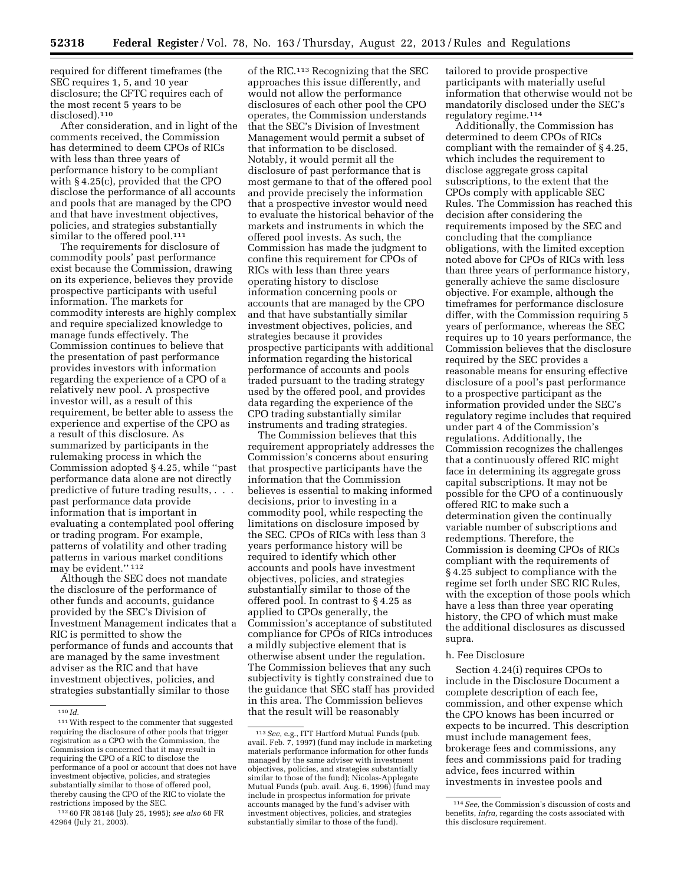required for different timeframes (the SEC requires 1, 5, and 10 year disclosure; the CFTC requires each of the most recent 5 years to be disclosed).<sup>110</sup>

After consideration, and in light of the comments received, the Commission has determined to deem CPOs of RICs with less than three years of performance history to be compliant with § 4.25(c), provided that the CPO disclose the performance of all accounts and pools that are managed by the CPO and that have investment objectives, policies, and strategies substantially similar to the offered pool.<sup>111</sup>

The requirements for disclosure of commodity pools' past performance exist because the Commission, drawing on its experience, believes they provide prospective participants with useful information. The markets for commodity interests are highly complex and require specialized knowledge to manage funds effectively. The Commission continues to believe that the presentation of past performance provides investors with information regarding the experience of a CPO of a relatively new pool. A prospective investor will, as a result of this requirement, be better able to assess the experience and expertise of the CPO as a result of this disclosure. As summarized by participants in the rulemaking process in which the Commission adopted § 4.25, while ''past performance data alone are not directly predictive of future trading results, . . . past performance data provide information that is important in evaluating a contemplated pool offering or trading program. For example, patterns of volatility and other trading patterns in various market conditions may be evident.'' 112

Although the SEC does not mandate the disclosure of the performance of other funds and accounts, guidance provided by the SEC's Division of Investment Management indicates that a RIC is permitted to show the performance of funds and accounts that are managed by the same investment adviser as the RIC and that have investment objectives, policies, and strategies substantially similar to those

of the RIC.113 Recognizing that the SEC approaches this issue differently, and would not allow the performance disclosures of each other pool the CPO operates, the Commission understands that the SEC's Division of Investment Management would permit a subset of that information to be disclosed. Notably, it would permit all the disclosure of past performance that is most germane to that of the offered pool and provide precisely the information that a prospective investor would need to evaluate the historical behavior of the markets and instruments in which the offered pool invests. As such, the Commission has made the judgment to confine this requirement for CPOs of RICs with less than three years operating history to disclose information concerning pools or accounts that are managed by the CPO and that have substantially similar investment objectives, policies, and strategies because it provides prospective participants with additional information regarding the historical performance of accounts and pools traded pursuant to the trading strategy used by the offered pool, and provides data regarding the experience of the CPO trading substantially similar instruments and trading strategies.

The Commission believes that this requirement appropriately addresses the Commission's concerns about ensuring that prospective participants have the information that the Commission believes is essential to making informed decisions, prior to investing in a commodity pool, while respecting the limitations on disclosure imposed by the SEC. CPOs of RICs with less than 3 years performance history will be required to identify which other accounts and pools have investment objectives, policies, and strategies substantially similar to those of the offered pool. In contrast to § 4.25 as applied to CPOs generally, the Commission's acceptance of substituted compliance for CPOs of RICs introduces a mildly subjective element that is otherwise absent under the regulation. The Commission believes that any such subjectivity is tightly constrained due to the guidance that SEC staff has provided in this area. The Commission believes that the result will be reasonably

tailored to provide prospective participants with materially useful information that otherwise would not be mandatorily disclosed under the SEC's regulatory regime.114

Additionally, the Commission has determined to deem CPOs of RICs compliant with the remainder of § 4.25, which includes the requirement to disclose aggregate gross capital subscriptions, to the extent that the CPOs comply with applicable SEC Rules. The Commission has reached this decision after considering the requirements imposed by the SEC and concluding that the compliance obligations, with the limited exception noted above for CPOs of RICs with less than three years of performance history, generally achieve the same disclosure objective. For example, although the timeframes for performance disclosure differ, with the Commission requiring 5 years of performance, whereas the SEC requires up to 10 years performance, the Commission believes that the disclosure required by the SEC provides a reasonable means for ensuring effective disclosure of a pool's past performance to a prospective participant as the information provided under the SEC's regulatory regime includes that required under part 4 of the Commission's regulations. Additionally, the Commission recognizes the challenges that a continuously offered RIC might face in determining its aggregate gross capital subscriptions. It may not be possible for the CPO of a continuously offered RIC to make such a determination given the continually variable number of subscriptions and redemptions. Therefore, the Commission is deeming CPOs of RICs compliant with the requirements of § 4.25 subject to compliance with the regime set forth under SEC RIC Rules, with the exception of those pools which have a less than three year operating history, the CPO of which must make the additional disclosures as discussed supra.

## h. Fee Disclosure

Section 4.24(i) requires CPOs to include in the Disclosure Document a complete description of each fee, commission, and other expense which the CPO knows has been incurred or expects to be incurred. This description must include management fees, brokerage fees and commissions, any fees and commissions paid for trading advice, fees incurred within investments in investee pools and

<sup>110</sup> *Id.* 

 $^{\rm 111}$  With respect to the commenter that suggested requiring the disclosure of other pools that trigger registration as a CPO with the Commission, the Commission is concerned that it may result in requiring the CPO of a RIC to disclose the performance of a pool or account that does not have investment objective, policies, and strategies substantially similar to those of offered pool, thereby causing the CPO of the RIC to violate the restrictions imposed by the SEC.

<sup>112</sup> 60 FR 38148 (July 25, 1995); *see also* 68 FR 42964 (July 21, 2003).

<sup>113</sup>*See,* e.g., ITT Hartford Mutual Funds (pub. avail. Feb. 7, 1997) (fund may include in marketing materials performance information for other funds managed by the same adviser with investment objectives, policies, and strategies substantially similar to those of the fund); Nicolas-Applegate Mutual Funds (pub. avail. Aug. 6, 1996) (fund may include in prospectus information for private accounts managed by the fund's adviser with investment objectives, policies, and strategies substantially similar to those of the fund).

<sup>114</sup>*See,* the Commission's discussion of costs and benefits, *infra,* regarding the costs associated with this disclosure requirement.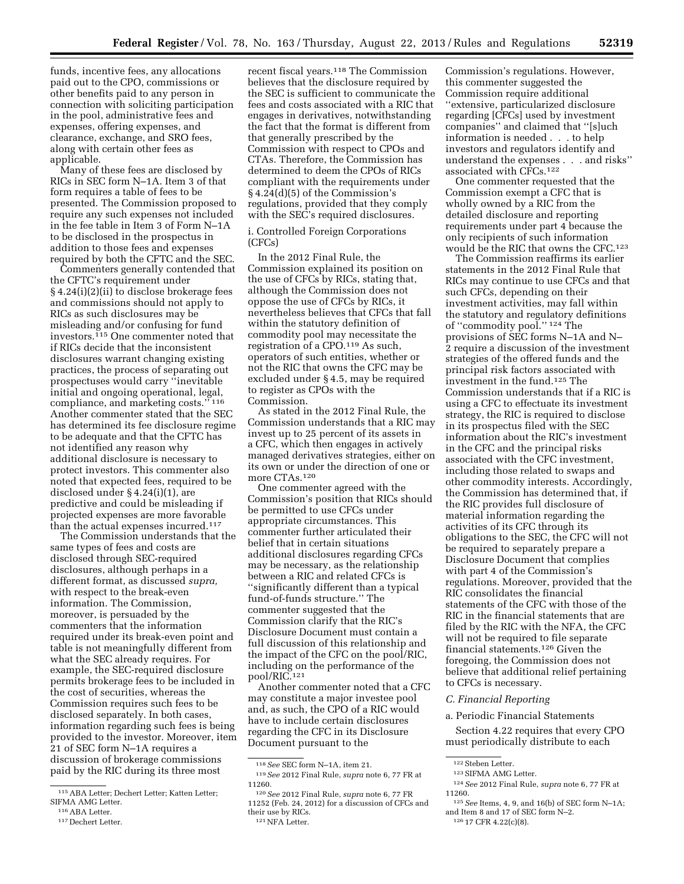funds, incentive fees, any allocations paid out to the CPO, commissions or other benefits paid to any person in connection with soliciting participation in the pool, administrative fees and expenses, offering expenses, and clearance, exchange, and SRO fees, along with certain other fees as applicable.

Many of these fees are disclosed by RICs in SEC form N–1A. Item 3 of that form requires a table of fees to be presented. The Commission proposed to require any such expenses not included in the fee table in Item 3 of Form N–1A to be disclosed in the prospectus in addition to those fees and expenses required by both the CFTC and the SEC.

Commenters generally contended that the CFTC's requirement under § 4.24(i)(2)(ii) to disclose brokerage fees and commissions should not apply to RICs as such disclosures may be misleading and/or confusing for fund investors.115 One commenter noted that if RICs decide that the inconsistent disclosures warrant changing existing practices, the process of separating out prospectuses would carry ''inevitable initial and ongoing operational, legal, compliance, and marketing costs."<sup>116</sup> Another commenter stated that the SEC has determined its fee disclosure regime to be adequate and that the CFTC has not identified any reason why additional disclosure is necessary to protect investors. This commenter also noted that expected fees, required to be disclosed under § 4.24(i)(1), are predictive and could be misleading if projected expenses are more favorable than the actual expenses incurred.<sup>117</sup>

The Commission understands that the same types of fees and costs are disclosed through SEC-required disclosures, although perhaps in a different format, as discussed *supra,*  with respect to the break-even information. The Commission, moreover, is persuaded by the commenters that the information required under its break-even point and table is not meaningfully different from what the SEC already requires. For example, the SEC-required disclosure permits brokerage fees to be included in the cost of securities, whereas the Commission requires such fees to be disclosed separately. In both cases, information regarding such fees is being provided to the investor. Moreover, item 21 of SEC form N–1A requires a discussion of brokerage commissions paid by the RIC during its three most

recent fiscal years.118 The Commission believes that the disclosure required by the SEC is sufficient to communicate the fees and costs associated with a RIC that engages in derivatives, notwithstanding the fact that the format is different from that generally prescribed by the Commission with respect to CPOs and CTAs. Therefore, the Commission has determined to deem the CPOs of RICs compliant with the requirements under § 4.24(d)(5) of the Commission's regulations, provided that they comply with the SEC's required disclosures.

i. Controlled Foreign Corporations (CFCs)

In the 2012 Final Rule, the Commission explained its position on the use of CFCs by RICs, stating that, although the Commission does not oppose the use of CFCs by RICs, it nevertheless believes that CFCs that fall within the statutory definition of commodity pool may necessitate the registration of a CPO.119 As such, operators of such entities, whether or not the RIC that owns the CFC may be excluded under § 4.5, may be required to register as CPOs with the Commission.

As stated in the 2012 Final Rule, the Commission understands that a RIC may invest up to 25 percent of its assets in a CFC, which then engages in actively managed derivatives strategies, either on its own or under the direction of one or more CTAs.120

One commenter agreed with the Commission's position that RICs should be permitted to use CFCs under appropriate circumstances. This commenter further articulated their belief that in certain situations additional disclosures regarding CFCs may be necessary, as the relationship between a RIC and related CFCs is ''significantly different than a typical fund-of-funds structure.'' The commenter suggested that the Commission clarify that the RIC's Disclosure Document must contain a full discussion of this relationship and the impact of the CFC on the pool/RIC, including on the performance of the pool/RIC.121

Another commenter noted that a CFC may constitute a major investee pool and, as such, the CPO of a RIC would have to include certain disclosures regarding the CFC in its Disclosure Document pursuant to the

Commission's regulations. However, this commenter suggested the Commission require additional ''extensive, particularized disclosure regarding [CFCs] used by investment companies'' and claimed that ''[s]uch information is needed . . . to help investors and regulators identify and understand the expenses . . . and risks'' associated with CFCs.<sup>122</sup>

One commenter requested that the Commission exempt a CFC that is wholly owned by a RIC from the detailed disclosure and reporting requirements under part 4 because the only recipients of such information would be the RIC that owns the CFC.123

The Commission reaffirms its earlier statements in the 2012 Final Rule that RICs may continue to use CFCs and that such CFCs, depending on their investment activities, may fall within the statutory and regulatory definitions of ''commodity pool.'' 124 The provisions of SEC forms N–1A and N– 2 require a discussion of the investment strategies of the offered funds and the principal risk factors associated with investment in the fund. $^{125}\!$  The Commission understands that if a RIC is using a CFC to effectuate its investment strategy, the RIC is required to disclose in its prospectus filed with the SEC information about the RIC's investment in the CFC and the principal risks associated with the CFC investment, including those related to swaps and other commodity interests. Accordingly, the Commission has determined that, if the RIC provides full disclosure of material information regarding the activities of its CFC through its obligations to the SEC, the CFC will not be required to separately prepare a Disclosure Document that complies with part 4 of the Commission's regulations. Moreover, provided that the RIC consolidates the financial statements of the CFC with those of the RIC in the financial statements that are filed by the RIC with the NFA, the CFC will not be required to file separate financial statements.126 Given the foregoing, the Commission does not believe that additional relief pertaining to CFCs is necessary.

## *C. Financial Reporting*

a. Periodic Financial Statements

Section 4.22 requires that every CPO must periodically distribute to each

<sup>115</sup>ABA Letter; Dechert Letter; Katten Letter; SIFMA AMG Letter.

<sup>116</sup>ABA Letter.

<sup>117</sup> Dechert Letter.

<sup>118</sup>*See* SEC form N–1A, item 21.

<sup>119</sup>*See* 2012 Final Rule, *supra* note 6, 77 FR at 11260.

<sup>120</sup>*See* 2012 Final Rule, *supra* note 6, 77 FR 11252 (Feb. 24, 2012) for a discussion of CFCs and their use by RICs. 121NFA Letter.

<sup>122</sup>Steben Letter.

<sup>123</sup>SIFMA AMG Letter.

<sup>124</sup>*See* 2012 Final Rule, *supra* note 6, 77 FR at 11260.

<sup>125</sup>*See* Items, 4, 9, and 16(b) of SEC form N–1A; and Item 8 and 17 of SEC form N–2.

<sup>126</sup> 17 CFR 4.22(c)(8).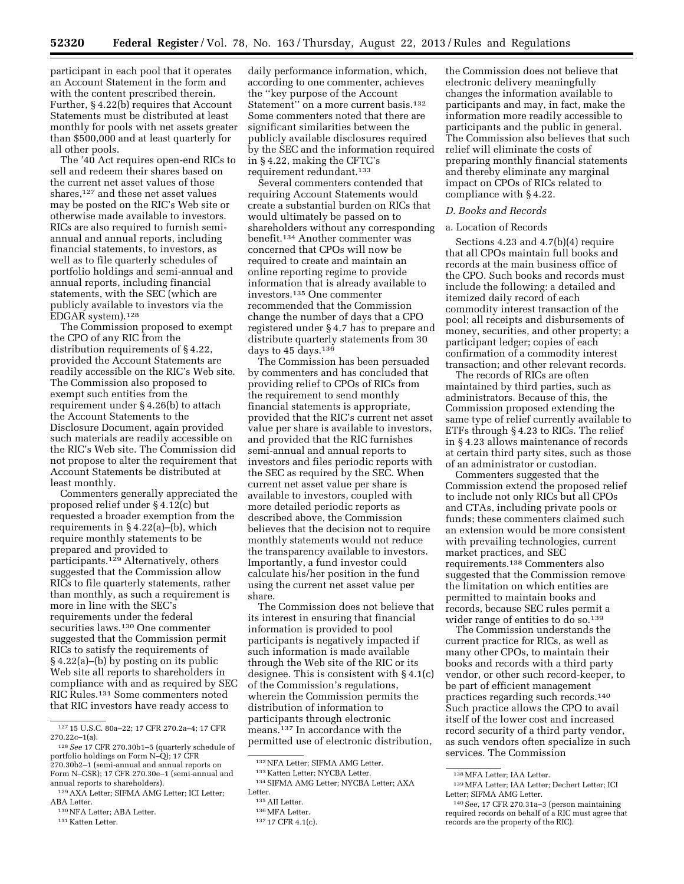participant in each pool that it operates an Account Statement in the form and with the content prescribed therein. Further, § 4.22(b) requires that Account Statements must be distributed at least monthly for pools with net assets greater than \$500,000 and at least quarterly for all other pools.

The '40 Act requires open-end RICs to sell and redeem their shares based on the current net asset values of those shares,<sup>127</sup> and these net asset values may be posted on the RIC's Web site or otherwise made available to investors. RICs are also required to furnish semiannual and annual reports, including financial statements, to investors, as well as to file quarterly schedules of portfolio holdings and semi-annual and annual reports, including financial statements, with the SEC (which are publicly available to investors via the EDGAR system).128

The Commission proposed to exempt the CPO of any RIC from the distribution requirements of § 4.22, provided the Account Statements are readily accessible on the RIC's Web site. The Commission also proposed to exempt such entities from the requirement under § 4.26(b) to attach the Account Statements to the Disclosure Document, again provided such materials are readily accessible on the RIC's Web site. The Commission did not propose to alter the requirement that Account Statements be distributed at least monthly.

Commenters generally appreciated the proposed relief under § 4.12(c) but requested a broader exemption from the requirements in  $§$  4.22(a)–(b), which require monthly statements to be prepared and provided to participants.<sup>129</sup> Alternatively, others suggested that the Commission allow RICs to file quarterly statements, rather than monthly, as such a requirement is more in line with the SEC's requirements under the federal securities laws.130 One commenter suggested that the Commission permit RICs to satisfy the requirements of § 4.22(a)–(b) by posting on its public Web site all reports to shareholders in compliance with and as required by SEC RIC Rules.131 Some commenters noted that RIC investors have ready access to

daily performance information, which, according to one commenter, achieves the ''key purpose of the Account Statement" on a more current basis.<sup>132</sup> Some commenters noted that there are significant similarities between the publicly available disclosures required by the SEC and the information required in § 4.22, making the CFTC's requirement redundant.<sup>133</sup>

Several commenters contended that requiring Account Statements would create a substantial burden on RICs that would ultimately be passed on to shareholders without any corresponding benefit.134 Another commenter was concerned that CPOs will now be required to create and maintain an online reporting regime to provide information that is already available to investors.135 One commenter recommended that the Commission change the number of days that a CPO registered under § 4.7 has to prepare and distribute quarterly statements from 30 days to 45 days.<sup>136</sup>

The Commission has been persuaded by commenters and has concluded that providing relief to CPOs of RICs from the requirement to send monthly financial statements is appropriate, provided that the RIC's current net asset value per share is available to investors, and provided that the RIC furnishes semi-annual and annual reports to investors and files periodic reports with the SEC as required by the SEC. When current net asset value per share is available to investors, coupled with more detailed periodic reports as described above, the Commission believes that the decision not to require monthly statements would not reduce the transparency available to investors. Importantly, a fund investor could calculate his/her position in the fund using the current net asset value per share.

The Commission does not believe that its interest in ensuring that financial information is provided to pool participants is negatively impacted if such information is made available through the Web site of the RIC or its designee. This is consistent with § 4.1(c) of the Commission's regulations, wherein the Commission permits the distribution of information to participants through electronic means.137 In accordance with the permitted use of electronic distribution,

the Commission does not believe that electronic delivery meaningfully changes the information available to participants and may, in fact, make the information more readily accessible to participants and the public in general. The Commission also believes that such relief will eliminate the costs of preparing monthly financial statements and thereby eliminate any marginal impact on CPOs of RICs related to compliance with § 4.22.

### *D. Books and Records*

## a. Location of Records

Sections 4.23 and 4.7(b)(4) require that all CPOs maintain full books and records at the main business office of the CPO. Such books and records must include the following: a detailed and itemized daily record of each commodity interest transaction of the pool; all receipts and disbursements of money, securities, and other property; a participant ledger; copies of each confirmation of a commodity interest transaction; and other relevant records.

The records of RICs are often maintained by third parties, such as administrators. Because of this, the Commission proposed extending the same type of relief currently available to ETFs through § 4.23 to RICs. The relief in § 4.23 allows maintenance of records at certain third party sites, such as those of an administrator or custodian.

Commenters suggested that the Commission extend the proposed relief to include not only RICs but all CPOs and CTAs, including private pools or funds; these commenters claimed such an extension would be more consistent with prevailing technologies, current market practices, and SEC requirements.138 Commenters also suggested that the Commission remove the limitation on which entities are permitted to maintain books and records, because SEC rules permit a wider range of entities to do so.<sup>139</sup>

The Commission understands the current practice for RICs, as well as many other CPOs, to maintain their books and records with a third party vendor, or other such record-keeper, to be part of efficient management practices regarding such records.140 Such practice allows the CPO to avail itself of the lower cost and increased record security of a third party vendor, as such vendors often specialize in such services. The Commission

<sup>127</sup> 15 U.S.C. 80a–22; 17 CFR 270.2a–4; 17 CFR 270.22c–1(a).

<sup>128</sup>*See* 17 CFR 270.30b1–5 (quarterly schedule of portfolio holdings on Form N–Q); 17 CFR 270.30b2–1 (semi-annual and annual reports on

Form N–CSR); 17 CFR 270.30e–1 (semi-annual and annual reports to shareholders).

<sup>129</sup>AXA Letter; SIFMA AMG Letter; ICI Letter; ABA Letter.

<sup>130</sup>NFA Letter; ABA Letter.

<sup>131</sup> Katten Letter.

<sup>132</sup>NFA Letter; SIFMA AMG Letter.

<sup>133</sup> Katten Letter; NYCBA Letter.

<sup>134</sup>SIFMA AMG Letter; NYCBA Letter; AXA Letter.

<sup>135</sup>AII Letter.

<sup>136</sup>MFA Letter.

<sup>137</sup> 17 CFR 4.1(c).

<sup>138</sup>MFA Letter; IAA Letter.

<sup>139</sup>MFA Letter; IAA Letter; Dechert Letter; ICI Letter; SIFMA AMG Letter.

<sup>140</sup>See, 17 CFR 270.31a–3 (person maintaining required records on behalf of a RIC must agree that records are the property of the RIC).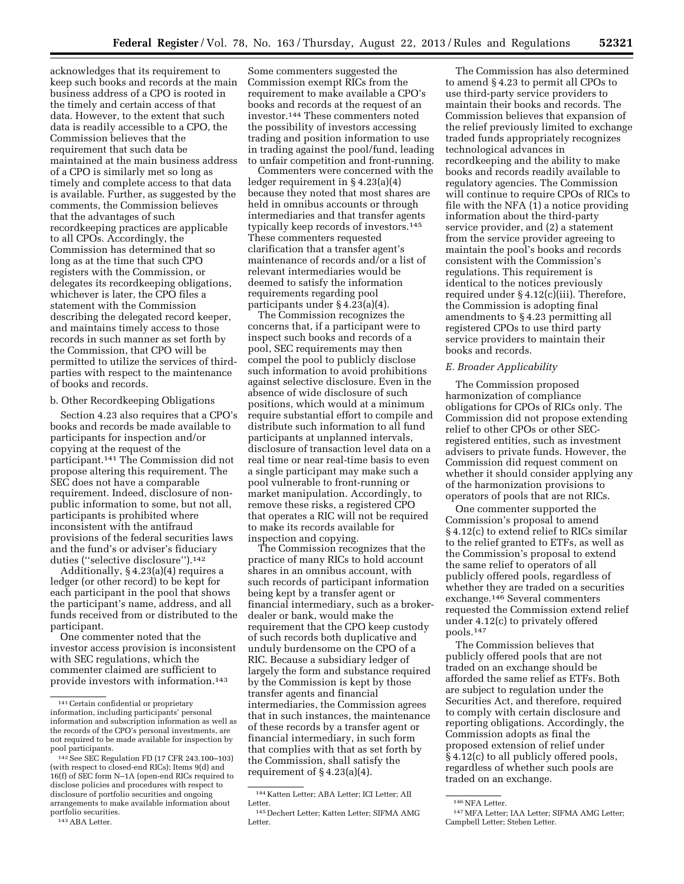acknowledges that its requirement to keep such books and records at the main business address of a CPO is rooted in the timely and certain access of that data. However, to the extent that such data is readily accessible to a CPO, the Commission believes that the requirement that such data be maintained at the main business address of a CPO is similarly met so long as timely and complete access to that data is available. Further, as suggested by the comments, the Commission believes that the advantages of such recordkeeping practices are applicable to all CPOs. Accordingly, the Commission has determined that so long as at the time that such CPO registers with the Commission, or delegates its recordkeeping obligations, whichever is later, the CPO files a statement with the Commission describing the delegated record keeper, and maintains timely access to those records in such manner as set forth by the Commission, that CPO will be permitted to utilize the services of thirdparties with respect to the maintenance of books and records.

b. Other Recordkeeping Obligations

Section 4.23 also requires that a CPO's books and records be made available to participants for inspection and/or copying at the request of the participant.141 The Commission did not propose altering this requirement. The SEC does not have a comparable requirement. Indeed, disclosure of nonpublic information to some, but not all, participants is prohibited where inconsistent with the antifraud provisions of the federal securities laws and the fund's or adviser's fiduciary duties (''selective disclosure'').142

Additionally, § 4.23(a)(4) requires a ledger (or other record) to be kept for each participant in the pool that shows the participant's name, address, and all funds received from or distributed to the participant.

One commenter noted that the investor access provision is inconsistent with SEC regulations, which the commenter claimed are sufficient to provide investors with information.143

Some commenters suggested the Commission exempt RICs from the requirement to make available a CPO's books and records at the request of an investor.144 These commenters noted the possibility of investors accessing trading and position information to use in trading against the pool/fund, leading to unfair competition and front-running.

Commenters were concerned with the ledger requirement in § 4.23(a)(4) because they noted that most shares are held in omnibus accounts or through intermediaries and that transfer agents typically keep records of investors.145 These commenters requested clarification that a transfer agent's maintenance of records and/or a list of relevant intermediaries would be deemed to satisfy the information requirements regarding pool participants under § 4.23(a)(4).

The Commission recognizes the concerns that, if a participant were to inspect such books and records of a pool, SEC requirements may then compel the pool to publicly disclose such information to avoid prohibitions against selective disclosure. Even in the absence of wide disclosure of such positions, which would at a minimum require substantial effort to compile and distribute such information to all fund participants at unplanned intervals, disclosure of transaction level data on a real time or near real-time basis to even a single participant may make such a pool vulnerable to front-running or market manipulation. Accordingly, to remove these risks, a registered CPO that operates a RIC will not be required to make its records available for inspection and copying.

The Commission recognizes that the practice of many RICs to hold account shares in an omnibus account, with such records of participant information being kept by a transfer agent or financial intermediary, such as a brokerdealer or bank, would make the requirement that the CPO keep custody of such records both duplicative and unduly burdensome on the CPO of a RIC. Because a subsidiary ledger of largely the form and substance required by the Commission is kept by those transfer agents and financial intermediaries, the Commission agrees that in such instances, the maintenance of these records by a transfer agent or financial intermediary, in such form that complies with that as set forth by the Commission, shall satisfy the requirement of  $\S 4.23(a)(4)$ .

The Commission has also determined to amend § 4.23 to permit all CPOs to use third-party service providers to maintain their books and records. The Commission believes that expansion of the relief previously limited to exchange traded funds appropriately recognizes technological advances in recordkeeping and the ability to make books and records readily available to regulatory agencies. The Commission will continue to require CPOs of RICs to file with the NFA (1) a notice providing information about the third-party service provider, and (2) a statement from the service provider agreeing to maintain the pool's books and records consistent with the Commission's regulations. This requirement is identical to the notices previously required under § 4.12(c)(iii). Therefore, the Commission is adopting final amendments to § 4.23 permitting all registered CPOs to use third party service providers to maintain their books and records.

# *E. Broader Applicability*

The Commission proposed harmonization of compliance obligations for CPOs of RICs only. The Commission did not propose extending relief to other CPOs or other SECregistered entities, such as investment advisers to private funds. However, the Commission did request comment on whether it should consider applying any of the harmonization provisions to operators of pools that are not RICs.

One commenter supported the Commission's proposal to amend § 4.12(c) to extend relief to RICs similar to the relief granted to ETFs, as well as the Commission's proposal to extend the same relief to operators of all publicly offered pools, regardless of whether they are traded on a securities exchange.146 Several commenters requested the Commission extend relief under 4.12(c) to privately offered pools.147

The Commission believes that publicly offered pools that are not traded on an exchange should be afforded the same relief as ETFs. Both are subject to regulation under the Securities Act, and therefore, required to comply with certain disclosure and reporting obligations. Accordingly, the Commission adopts as final the proposed extension of relief under § 4.12(c) to all publicly offered pools, regardless of whether such pools are traded on an exchange.

<sup>141</sup>Certain confidential or proprietary information, including participants' personal information and subscription information as well as the records of the CPO's personal investments, are not required to be made available for inspection by pool participants.

<sup>142</sup>See SEC Regulation FD (17 CFR 243.100–103) (with respect to closed-end RICs); Items 9(d) and 16(f) of SEC form N–1A (open-end RICs required to disclose policies and procedures with respect to disclosure of portfolio securities and ongoing arrangements to make available information about portfolio securities.

<sup>143</sup>ABA Letter.

<sup>144</sup> Katten Letter; ABA Letter; ICI Letter; AII Letter.

<sup>145</sup> Dechert Letter; Katten Letter; SIFMA AMG Letter.

 $146\,\mathrm{NFA}$  Letter.

<sup>147</sup>MFA Letter; IAA Letter; SIFMA AMG Letter; Campbell Letter; Steben Letter.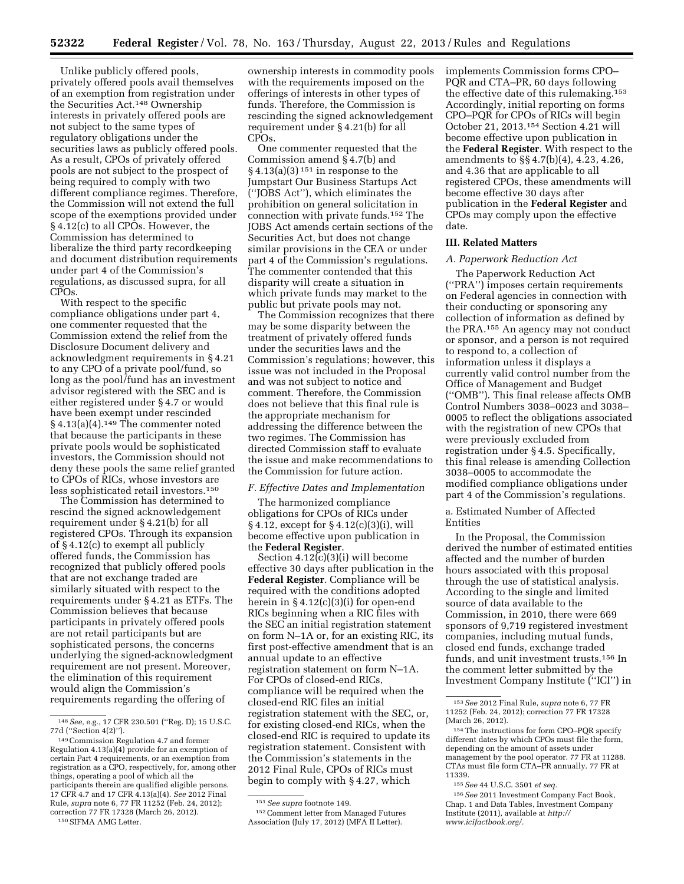Unlike publicly offered pools, privately offered pools avail themselves of an exemption from registration under the Securities Act.148 Ownership interests in privately offered pools are not subject to the same types of regulatory obligations under the securities laws as publicly offered pools. As a result, CPOs of privately offered pools are not subject to the prospect of being required to comply with two different compliance regimes. Therefore, the Commission will not extend the full scope of the exemptions provided under § 4.12(c) to all CPOs. However, the Commission has determined to liberalize the third party recordkeeping and document distribution requirements under part 4 of the Commission's regulations, as discussed supra, for all CPOs.

With respect to the specific compliance obligations under part 4, one commenter requested that the Commission extend the relief from the Disclosure Document delivery and acknowledgment requirements in § 4.21 to any CPO of a private pool/fund, so long as the pool/fund has an investment advisor registered with the SEC and is either registered under § 4.7 or would have been exempt under rescinded  $§$  4.13(a)(4).<sup>149</sup> The commenter noted that because the participants in these private pools would be sophisticated investors, the Commission should not deny these pools the same relief granted to CPOs of RICs, whose investors are less sophisticated retail investors.150

The Commission has determined to rescind the signed acknowledgement requirement under § 4.21(b) for all registered CPOs. Through its expansion of § 4.12(c) to exempt all publicly offered funds, the Commission has recognized that publicly offered pools that are not exchange traded are similarly situated with respect to the requirements under § 4.21 as ETFs. The Commission believes that because participants in privately offered pools are not retail participants but are sophisticated persons, the concerns underlying the signed-acknowledgment requirement are not present. Moreover, the elimination of this requirement would align the Commission's requirements regarding the offering of

ownership interests in commodity pools with the requirements imposed on the offerings of interests in other types of funds. Therefore, the Commission is rescinding the signed acknowledgement requirement under § 4.21(b) for all CPOs.

One commenter requested that the Commission amend  $\overline{S}$  4.7(b) and  $§ 4.13(a)(3)<sup>151</sup>$  in response to the Jumpstart Our Business Startups Act (''JOBS Act''), which eliminates the prohibition on general solicitation in connection with private funds.152 The JOBS Act amends certain sections of the Securities Act, but does not change similar provisions in the CEA or under part 4 of the Commission's regulations. The commenter contended that this disparity will create a situation in which private funds may market to the public but private pools may not.

The Commission recognizes that there may be some disparity between the treatment of privately offered funds under the securities laws and the Commission's regulations; however, this issue was not included in the Proposal and was not subject to notice and comment. Therefore, the Commission does not believe that this final rule is the appropriate mechanism for addressing the difference between the two regimes. The Commission has directed Commission staff to evaluate the issue and make recommendations to the Commission for future action.

#### *F. Effective Dates and Implementation*

The harmonized compliance obligations for CPOs of RICs under § 4.12, except for § 4.12(c)(3)(i), will become effective upon publication in the **Federal Register**.

Section 4.12(c)(3)(i) will become effective 30 days after publication in the **Federal Register**. Compliance will be required with the conditions adopted herein in  $§$  4.12(c)(3)(i) for open-end RICs beginning when a RIC files with the SEC an initial registration statement on form N–1A or, for an existing RIC, its first post-effective amendment that is an annual update to an effective registration statement on form N–1A. For CPOs of closed-end RICs, compliance will be required when the closed-end RIC files an initial registration statement with the SEC, or, for existing closed-end RICs, when the closed-end RIC is required to update its registration statement. Consistent with the Commission's statements in the 2012 Final Rule, CPOs of RICs must begin to comply with § 4.27, which

152Comment letter from Managed Futures Association (July 17, 2012) (MFA II Letter).

implements Commission forms CPO– PQR and CTA–PR, 60 days following the effective date of this rulemaking.<sup>153</sup> Accordingly, initial reporting on forms CPO–PQR for CPOs of RICs will begin October 21, 2013.154 Section 4.21 will become effective upon publication in the **Federal Register**. With respect to the amendments to §§ 4.7(b)(4), 4.23, 4.26, and 4.36 that are applicable to all registered CPOs, these amendments will become effective 30 days after publication in the **Federal Register** and CPOs may comply upon the effective date.

### **III. Related Matters**

# *A. Paperwork Reduction Act*

The Paperwork Reduction Act (''PRA'') imposes certain requirements on Federal agencies in connection with their conducting or sponsoring any collection of information as defined by the PRA.155 An agency may not conduct or sponsor, and a person is not required to respond to, a collection of information unless it displays a currently valid control number from the Office of Management and Budget (''OMB''). This final release affects OMB Control Numbers 3038–0023 and 3038– 0005 to reflect the obligations associated with the registration of new CPOs that were previously excluded from registration under § 4.5. Specifically, this final release is amending Collection 3038–0005 to accommodate the modified compliance obligations under part 4 of the Commission's regulations.

a. Estimated Number of Affected Entities

In the Proposal, the Commission derived the number of estimated entities affected and the number of burden hours associated with this proposal through the use of statistical analysis. According to the single and limited source of data available to the Commission, in 2010, there were 669 sponsors of 9,719 registered investment companies, including mutual funds, closed end funds, exchange traded funds, and unit investment trusts.156 In the comment letter submitted by the Investment Company Institute (''ICI'') in

<sup>148</sup>*See,* e.g., 17 CFR 230.501 (''Reg. D); 15 U.S.C. 77d (''Section 4(2)'').

<sup>149</sup>Commission Regulation 4.7 and former Regulation 4.13(a)(4) provide for an exemption of certain Part 4 requirements, or an exemption from registration as a CPO, respectively, for, among other things, operating a pool of which all the participants therein are qualified eligible persons. 17 CFR 4.7 and 17 CFR 4.13(a)(4). *See* 2012 Final Rule, *supra* note 6, 77 FR 11252 (Feb. 24, 2012); correction 77 FR 17328 (March 26, 2012). 150SIFMA AMG Letter.

<sup>151</sup>*See supra* footnote 149.

<sup>153</sup>*See* 2012 Final Rule, *supra* note 6, 77 FR 11252 (Feb. 24, 2012); correction 77 FR 17328 (March 26, 2012).

<sup>154</sup>The instructions for form CPO–PQR specify different dates by which CPOs must file the form, depending on the amount of assets under management by the pool operator. 77 FR at 11288. CTAs must file form CTA–PR annually. 77 FR at 11339.

<sup>155</sup>*See* 44 U.S.C. 3501 *et seq.* 

<sup>156</sup>*See* 2011 Investment Company Fact Book, Chap. 1 and Data Tables, Investment Company Institute (2011), available at *[http://](http://www.icifactbook.org/) [www.icifactbook.org/.](http://www.icifactbook.org/)*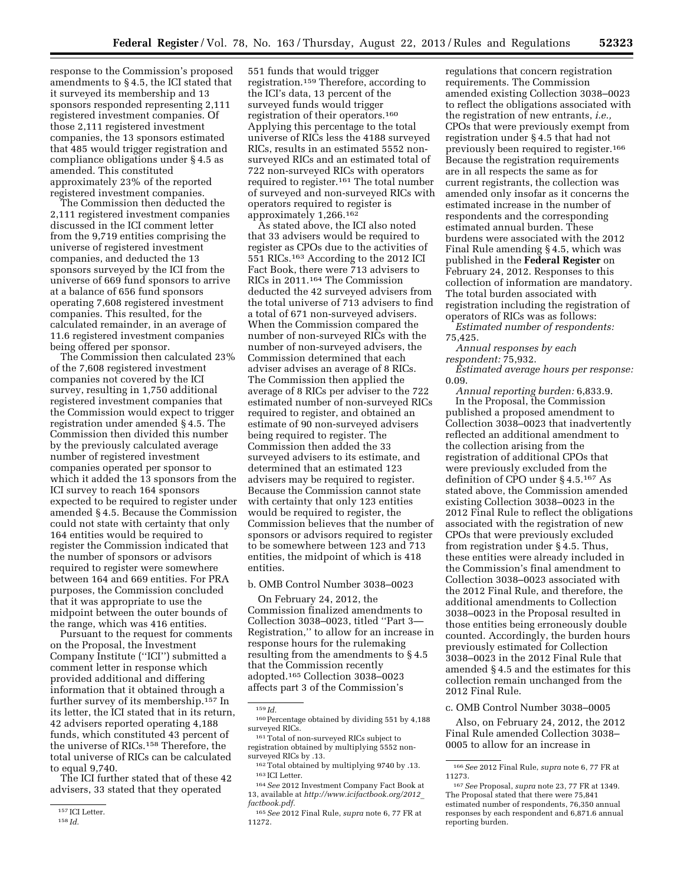response to the Commission's proposed amendments to § 4.5, the ICI stated that it surveyed its membership and 13 sponsors responded representing 2,111 registered investment companies. Of those 2,111 registered investment companies, the 13 sponsors estimated that 485 would trigger registration and compliance obligations under § 4.5 as amended. This constituted approximately 23% of the reported registered investment companies.

The Commission then deducted the 2,111 registered investment companies discussed in the ICI comment letter from the 9,719 entities comprising the universe of registered investment companies, and deducted the 13 sponsors surveyed by the ICI from the universe of 669 fund sponsors to arrive at a balance of 656 fund sponsors operating 7,608 registered investment companies. This resulted, for the calculated remainder, in an average of 11.6 registered investment companies being offered per sponsor.

The Commission then calculated 23% of the 7,608 registered investment companies not covered by the ICI survey, resulting in 1,750 additional registered investment companies that the Commission would expect to trigger registration under amended § 4.5. The Commission then divided this number by the previously calculated average number of registered investment companies operated per sponsor to which it added the 13 sponsors from the ICI survey to reach 164 sponsors expected to be required to register under amended § 4.5. Because the Commission could not state with certainty that only 164 entities would be required to register the Commission indicated that the number of sponsors or advisors required to register were somewhere between 164 and 669 entities. For PRA purposes, the Commission concluded that it was appropriate to use the midpoint between the outer bounds of the range, which was 416 entities.

Pursuant to the request for comments on the Proposal, the Investment Company Institute (''ICI'') submitted a comment letter in response which provided additional and differing information that it obtained through a further survey of its membership.157 In its letter, the ICI stated that in its return, 42 advisers reported operating 4,188 funds, which constituted 43 percent of the universe of RICs.158 Therefore, the total universe of RICs can be calculated to equal 9,740.

The ICI further stated that of these 42 advisers, 33 stated that they operated

551 funds that would trigger registration.159 Therefore, according to the ICI's data, 13 percent of the surveyed funds would trigger registration of their operators.160 Applying this percentage to the total universe of RICs less the 4188 surveyed RICs, results in an estimated 5552 nonsurveyed RICs and an estimated total of 722 non-surveyed RICs with operators required to register.161 The total number of surveyed and non-surveyed RICs with operators required to register is approximately 1,266.162

As stated above, the ICI also noted that 33 advisers would be required to register as CPOs due to the activities of 551 RICs.163 According to the 2012 ICI Fact Book, there were 713 advisers to RICs in 2011.164 The Commission deducted the 42 surveyed advisers from the total universe of 713 advisers to find a total of 671 non-surveyed advisers. When the Commission compared the number of non-surveyed RICs with the number of non-surveyed advisers, the Commission determined that each adviser advises an average of 8 RICs. The Commission then applied the average of 8 RICs per adviser to the 722 estimated number of non-surveyed RICs required to register, and obtained an estimate of 90 non-surveyed advisers being required to register. The Commission then added the 33 surveyed advisers to its estimate, and determined that an estimated 123 advisers may be required to register. Because the Commission cannot state with certainty that only 123 entities would be required to register, the Commission believes that the number of sponsors or advisors required to register to be somewhere between 123 and 713 entities, the midpoint of which is 418 entities.

b. OMB Control Number 3038–0023

On February 24, 2012, the Commission finalized amendments to Collection 3038–0023, titled ''Part 3— Registration,'' to allow for an increase in response hours for the rulemaking resulting from the amendments to § 4.5 that the Commission recently adopted.165 Collection 3038–0023 affects part 3 of the Commission's

159 *Id.* 

regulations that concern registration requirements. The Commission amended existing Collection 3038–0023 to reflect the obligations associated with the registration of new entrants, *i.e.,*  CPOs that were previously exempt from registration under § 4.5 that had not previously been required to register.166 Because the registration requirements are in all respects the same as for current registrants, the collection was amended only insofar as it concerns the estimated increase in the number of respondents and the corresponding estimated annual burden. These burdens were associated with the 2012 Final Rule amending § 4.5, which was published in the **Federal Register** on February 24, 2012. Responses to this collection of information are mandatory. The total burden associated with registration including the registration of operators of RICs was as follows:

*Estimated number of respondents:*  75,425.

*Annual responses by each respondent:* 75,932.

*Estimated average hours per response:*  0.09.

*Annual reporting burden:* 6,833.9. In the Proposal, the Commission published a proposed amendment to Collection 3038–0023 that inadvertently reflected an additional amendment to the collection arising from the registration of additional CPOs that were previously excluded from the definition of CPO under § 4.5.167 As stated above, the Commission amended existing Collection 3038–0023 in the 2012 Final Rule to reflect the obligations associated with the registration of new CPOs that were previously excluded from registration under § 4.5. Thus, these entities were already included in the Commission's final amendment to Collection 3038–0023 associated with the 2012 Final Rule, and therefore, the additional amendments to Collection 3038–0023 in the Proposal resulted in those entities being erroneously double counted. Accordingly, the burden hours previously estimated for Collection 3038–0023 in the 2012 Final Rule that amended § 4.5 and the estimates for this collection remain unchanged from the 2012 Final Rule.

### c. OMB Control Number 3038–0005

Also, on February 24, 2012, the 2012 Final Rule amended Collection 3038– 0005 to allow for an increase in

<sup>157</sup> ICI Letter.

<sup>158</sup> *Id.* 

<sup>&</sup>lt;sup>160</sup> Percentage obtained by dividing 551 by 4,188 surveyed RICs.

<sup>&</sup>lt;sup>161</sup> Total of non-surveyed RICs subject to registration obtained by multiplying 5552 nonsurveyed RICs by .13.

<sup>162</sup>Total obtained by multiplying 9740 by .13.  $^{\rm 163}\,$  ICI Letter.

<sup>164</sup>*See* 2012 Investment Company Fact Book at 13, available at *[http://www.icifactbook.org/2012](http://www.icifactbook.org/2012_factbook.pdf)*\_ *[factbook.pdf.](http://www.icifactbook.org/2012_factbook.pdf)* 

<sup>165</sup>*See* 2012 Final Rule, *supra* note 6, 77 FR at 11272.

<sup>166</sup>*See* 2012 Final Rule, *supra* note 6, 77 FR at 11273.

<sup>167</sup>*See* Proposal, *supra* note 23, 77 FR at 1349. The Proposal stated that there were 75,841 estimated number of respondents, 76,350 annual responses by each respondent and 6,871.6 annual reporting burden.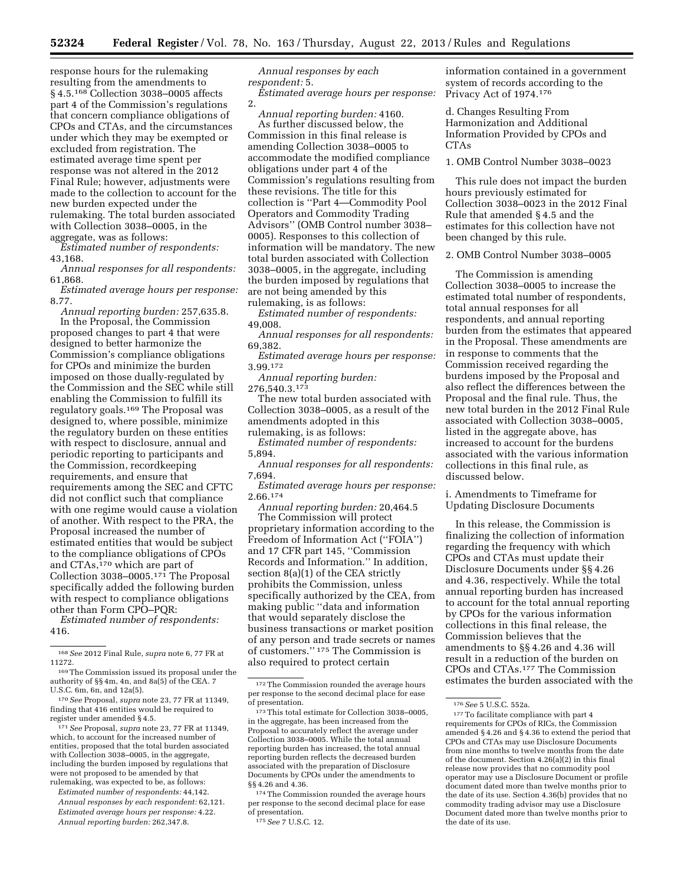response hours for the rulemaking resulting from the amendments to § 4.5.168 Collection 3038–0005 affects part 4 of the Commission's regulations that concern compliance obligations of CPOs and CTAs, and the circumstances under which they may be exempted or excluded from registration. The estimated average time spent per response was not altered in the 2012 Final Rule; however, adjustments were made to the collection to account for the new burden expected under the rulemaking. The total burden associated with Collection 3038–0005, in the aggregate, was as follows:

*Estimated number of respondents:*  43,168.

*Annual responses for all respondents:*  61,868.

*Estimated average hours per response:*  8.77.

*Annual reporting burden:* 257,635.8. In the Proposal, the Commission proposed changes to part 4 that were designed to better harmonize the Commission's compliance obligations for CPOs and minimize the burden imposed on those dually-regulated by the Commission and the SEC while still enabling the Commission to fulfill its regulatory goals.169 The Proposal was designed to, where possible, minimize the regulatory burden on these entities with respect to disclosure, annual and periodic reporting to participants and the Commission, recordkeeping requirements, and ensure that requirements among the SEC and CFTC did not conflict such that compliance with one regime would cause a violation of another. With respect to the PRA, the Proposal increased the number of estimated entities that would be subject to the compliance obligations of CPOs and CTAs,170 which are part of Collection 3038–0005. $17\overline{1}$  The Proposal specifically added the following burden with respect to compliance obligations other than Form CPO–PQR:

*Estimated number of respondents:*  416.

169The Commission issued its proposal under the authority of §§ 4m, 4n, and 8a(5) of the CEA. 7 U.S.C. 6m, 6n, and 12a(5).

170*See* Proposal, *supra* note 23, 77 FR at 11349, finding that 416 entities would be required to register under amended § 4.5.

171*See* Proposal, *supra* note 23, 77 FR at 11349, which, to account for the increased number of entities, proposed that the total burden associated with Collection 3038–0005, in the aggregate, including the burden imposed by regulations that were not proposed to be amended by that rulemaking, was expected to be, as follows:

*Estimated number of respondents:* 44,142. *Annual responses by each respondent:* 62,121. *Estimated average hours per response:* 4.22. *Annual reporting burden:* 262,347.8.

*Annual responses by each respondent:* 5.

*Estimated average hours per response:*  2.

*Annual reporting burden:* 4160. As further discussed below, the Commission in this final release is amending Collection 3038–0005 to accommodate the modified compliance obligations under part 4 of the Commission's regulations resulting from these revisions. The title for this collection is ''Part 4—Commodity Pool Operators and Commodity Trading Advisors'' (OMB Control number 3038– 0005). Responses to this collection of information will be mandatory. The new total burden associated with Collection 3038–0005, in the aggregate, including the burden imposed by regulations that are not being amended by this rulemaking, is as follows:

*Estimated number of respondents:*  49,008.

*Annual responses for all respondents:*  69,382.

*Estimated average hours per response:*  3.99.172

*Annual reporting burden:* 

276,540.3.173

The new total burden associated with Collection 3038–0005, as a result of the amendments adopted in this

rulemaking, is as follows:

*Estimated number of respondents:*  5,894.

*Annual responses for all respondents:*  7,694.

*Estimated average hours per response:*  2.66.174

*Annual reporting burden:* 20,464.5 The Commission will protect

proprietary information according to the Freedom of Information Act (''FOIA'') and 17 CFR part 145, ''Commission Records and Information.'' In addition, section 8(a)(1) of the CEA strictly prohibits the Commission, unless specifically authorized by the CEA, from making public ''data and information that would separately disclose the business transactions or market position of any person and trade secrets or names of customers.'' 175 The Commission is also required to protect certain

174The Commission rounded the average hours per response to the second decimal place for ease of presentation.

175*See* 7 U.S.C. 12.

information contained in a government system of records according to the Privacy Act of 1974.176

d. Changes Resulting From Harmonization and Additional Information Provided by CPOs and CTAs

1. OMB Control Number 3038–0023

This rule does not impact the burden hours previously estimated for Collection 3038–0023 in the 2012 Final Rule that amended § 4.5 and the estimates for this collection have not been changed by this rule.

2. OMB Control Number 3038–0005

The Commission is amending Collection 3038–0005 to increase the estimated total number of respondents, total annual responses for all respondents, and annual reporting burden from the estimates that appeared in the Proposal. These amendments are in response to comments that the Commission received regarding the burdens imposed by the Proposal and also reflect the differences between the Proposal and the final rule. Thus, the new total burden in the 2012 Final Rule associated with Collection 3038–0005, listed in the aggregate above, has increased to account for the burdens associated with the various information collections in this final rule, as discussed below.

i. Amendments to Timeframe for Updating Disclosure Documents

In this release, the Commission is finalizing the collection of information regarding the frequency with which CPOs and CTAs must update their Disclosure Documents under §§ 4.26 and 4.36, respectively. While the total annual reporting burden has increased to account for the total annual reporting by CPOs for the various information collections in this final release, the Commission believes that the amendments to §§ 4.26 and 4.36 will result in a reduction of the burden on CPOs and CTAs.177 The Commission estimates the burden associated with the

<sup>168</sup>*See* 2012 Final Rule, *supra* note 6, 77 FR at 11272.

<sup>172</sup>The Commission rounded the average hours per response to the second decimal place for ease of presentation.

<sup>173</sup>This total estimate for Collection 3038–0005, in the aggregate, has been increased from the Proposal to accurately reflect the average under Collection 3038–0005. While the total annual reporting burden has increased, the total annual reporting burden reflects the decreased burden associated with the preparation of Disclosure Documents by CPOs under the amendments to §§4.26 and 4.36.

<sup>176</sup>*See* 5 U.S.C. 552a.

<sup>177</sup>To facilitate compliance with part 4 requirements for CPOs of RICs, the Commission amended § 4.26 and § 4.36 to extend the period that CPOs and CTAs may use Disclosure Documents from nine months to twelve months from the date of the document. Section 4.26(a)(2) in this final release now provides that no commodity pool operator may use a Disclosure Document or profile document dated more than twelve months prior to the date of its use. Section 4.36(b) provides that no commodity trading advisor may use a Disclosure Document dated more than twelve months prior to the date of its use.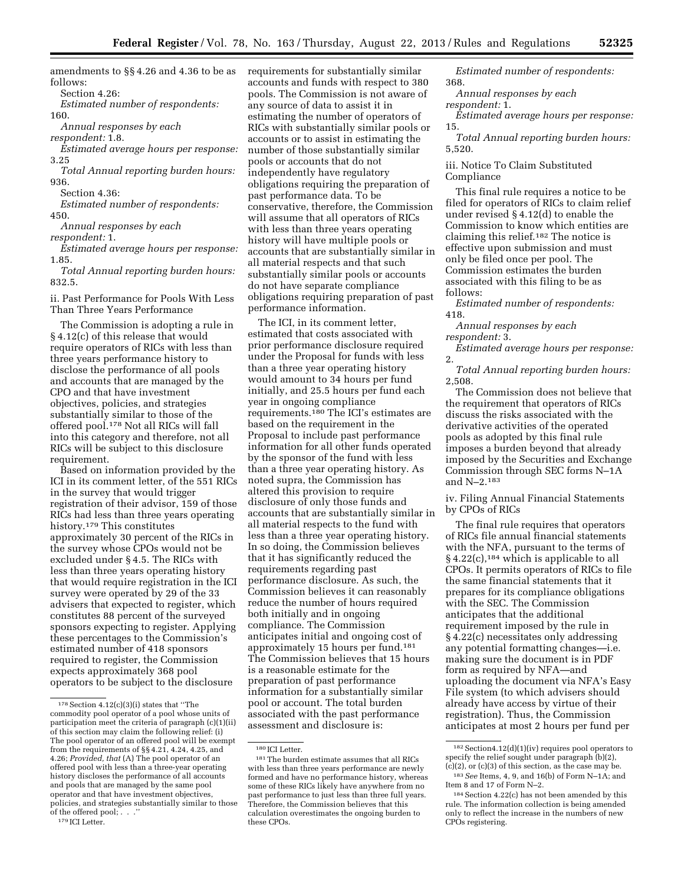amendments to §§ 4.26 and 4.36 to be as follows:

Section 4.26:

*Estimated number of respondents:*  160. *Annual responses by each* 

*respondent:* 1.8.

*Estimated average hours per response:*  3.25

*Total Annual reporting burden hours:*  936.

Section 4.36:

*Estimated number of respondents:*  450.

*Annual responses by each respondent:* 1.

*Estimated average hours per response:*  1.85.

*Total Annual reporting burden hours:*  832.5.

ii. Past Performance for Pools With Less Than Three Years Performance

The Commission is adopting a rule in § 4.12(c) of this release that would require operators of RICs with less than three years performance history to disclose the performance of all pools and accounts that are managed by the CPO and that have investment objectives, policies, and strategies substantially similar to those of the offered pool.178 Not all RICs will fall into this category and therefore, not all RICs will be subject to this disclosure requirement.

Based on information provided by the ICI in its comment letter, of the 551 RICs in the survey that would trigger registration of their advisor, 159 of those RICs had less than three years operating history.179 This constitutes approximately 30 percent of the RICs in the survey whose CPOs would not be excluded under § 4.5. The RICs with less than three years operating history that would require registration in the ICI survey were operated by 29 of the 33 advisers that expected to register, which constitutes 88 percent of the surveyed sponsors expecting to register. Applying these percentages to the Commission's estimated number of 418 sponsors required to register, the Commission expects approximately 368 pool operators to be subject to the disclosure

179 ICI Letter.

requirements for substantially similar accounts and funds with respect to 380 pools. The Commission is not aware of any source of data to assist it in estimating the number of operators of RICs with substantially similar pools or accounts or to assist in estimating the number of those substantially similar pools or accounts that do not independently have regulatory obligations requiring the preparation of past performance data. To be conservative, therefore, the Commission will assume that all operators of RICs with less than three years operating history will have multiple pools or accounts that are substantially similar in all material respects and that such substantially similar pools or accounts do not have separate compliance obligations requiring preparation of past performance information.

The ICI, in its comment letter, estimated that costs associated with prior performance disclosure required under the Proposal for funds with less than a three year operating history would amount to 34 hours per fund initially, and 25.5 hours per fund each year in ongoing compliance requirements.180 The ICI's estimates are based on the requirement in the Proposal to include past performance information for all other funds operated by the sponsor of the fund with less than a three year operating history. As noted supra, the Commission has altered this provision to require disclosure of only those funds and accounts that are substantially similar in all material respects to the fund with less than a three year operating history. In so doing, the Commission believes that it has significantly reduced the requirements regarding past performance disclosure. As such, the Commission believes it can reasonably reduce the number of hours required both initially and in ongoing compliance. The Commission anticipates initial and ongoing cost of approximately 15 hours per fund.181 The Commission believes that 15 hours is a reasonable estimate for the preparation of past performance information for a substantially similar pool or account. The total burden associated with the past performance assessment and disclosure is:

*Estimated number of respondents:*  368.

*Annual responses by each respondent:* 1.

*Estimated average hours per response:*  15.

*Total Annual reporting burden hours:*  5,520.

iii. Notice To Claim Substituted Compliance

This final rule requires a notice to be filed for operators of RICs to claim relief under revised § 4.12(d) to enable the Commission to know which entities are claiming this relief.182 The notice is effective upon submission and must only be filed once per pool. The Commission estimates the burden associated with this filing to be as follows:

*Estimated number of respondents:*  418.

*Annual responses by each respondent:* 3.

*Estimated average hours per response:*  2.

*Total Annual reporting burden hours:*  2,508.

The Commission does not believe that the requirement that operators of RICs discuss the risks associated with the derivative activities of the operated pools as adopted by this final rule imposes a burden beyond that already imposed by the Securities and Exchange Commission through SEC forms N–1A and N–2.183

iv. Filing Annual Financial Statements by CPOs of RICs

The final rule requires that operators of RICs file annual financial statements with the NFA, pursuant to the terms of § 4.22(c),<sup>184</sup> which is applicable to all CPOs. It permits operators of RICs to file the same financial statements that it prepares for its compliance obligations with the SEC. The Commission anticipates that the additional requirement imposed by the rule in § 4.22(c) necessitates only addressing any potential formatting changes—i.e. making sure the document is in PDF form as required by NFA—and uploading the document via NFA's Easy File system (to which advisers should already have access by virtue of their registration). Thus, the Commission anticipates at most 2 hours per fund per

 $178$  Section  $4.12(c)(3)(i)$  states that "The commodity pool operator of a pool whose units of participation meet the criteria of paragraph (c)(1)(ii) of this section may claim the following relief: (i) The pool operator of an offered pool will be exempt from the requirements of §§ 4.21, 4.24, 4.25, and 4.26; *Provided, that* (A) The pool operator of an offered pool with less than a three-year operating history discloses the performance of all accounts and pools that are managed by the same pool operator and that have investment objectives, policies, and strategies substantially similar to those of the offered pool;  $\ldots$ 

<sup>180</sup> ICI Letter.

<sup>181</sup>The burden estimate assumes that all RICs with less than three years performance are newly formed and have no performance history, whereas some of these RICs likely have anywhere from no past performance to just less than three full years. Therefore, the Commission believes that this calculation overestimates the ongoing burden to these CPOs.

<sup>182</sup>Section4.12(d)(1)(iv) requires pool operators to specify the relief sought under paragraph (b)(2), (c)(2), or (c)(3) of this section, as the case may be.

<sup>183</sup>*See* Items, 4, 9, and 16(b) of Form N–1A; and Item 8 and 17 of Form N–2.

<sup>184</sup>Section 4.22(c) has not been amended by this rule. The information collection is being amended only to reflect the increase in the numbers of new CPOs registering.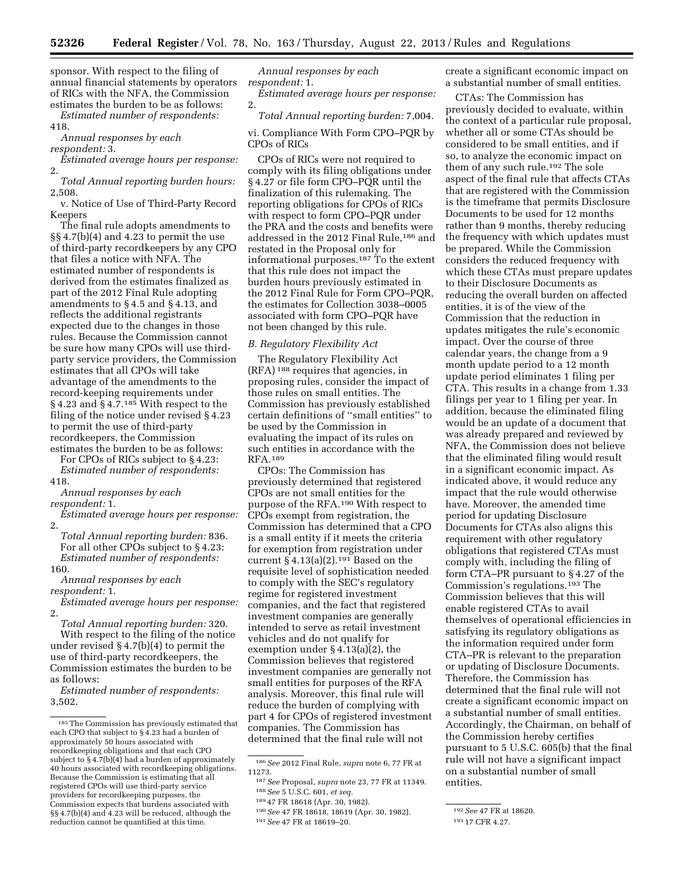sponsor. With respect to the filing of annual financial statements by operators of RICs with the NFA, the Commission estimates the burden to be as follows:

*Estimated number of respondents:*  418.

*Annual responses by each* 

*respondent:* 3.

*Estimated average hours per response:*  2.

*Total Annual reporting burden hours:*  2,508.

v. Notice of Use of Third-Party Record Keepers

The final rule adopts amendments to §§ 4.7(b)(4) and 4.23 to permit the use of third-party recordkeepers by any CPO that files a notice with NFA. The estimated number of respondents is derived from the estimates finalized as part of the 2012 Final Rule adopting amendments to § 4.5 and § 4.13, and reflects the additional registrants expected due to the changes in those rules. Because the Commission cannot be sure how many CPOs will use thirdparty service providers, the Commission estimates that all CPOs will take advantage of the amendments to the record-keeping requirements under § 4.23 and § 4.7.<sup>185</sup> With respect to the filing of the notice under revised § 4.23 to permit the use of third-party recordkeepers, the Commission estimates the burden to be as follows:

For CPOs of RICs subject to § 4.23: *Estimated number of respondents:*  418.

*Annual responses by each respondent:* 1.

*Estimated average hours per response:* 

2.

*Total Annual reporting burden:* 836. For all other CPOs subject to § 4.23:

*Estimated number of respondents:*  160.

*Annual responses by each respondent:* 1.

*Estimated average hours per response:*  2.

*Total Annual reporting burden:* 320. With respect to the filing of the notice under revised § 4.7(b)(4) to permit the use of third-party recordkeepers, the Commission estimates the burden to be as follows:

*Estimated number of respondents:*  3,502.

*Annual responses by each respondent:* 1.

*Estimated average hours per response:*  2.

*Total Annual reporting burden:* 7,004.

vi. Compliance With Form CPO–PQR by CPOs of RICs

CPOs of RICs were not required to comply with its filing obligations under § 4.27 or file form CPO–PQR until the finalization of this rulemaking. The reporting obligations for CPOs of RICs with respect to form CPO–PQR under the PRA and the costs and benefits were addressed in the 2012 Final Rule,186 and restated in the Proposal only for informational purposes.187 To the extent that this rule does not impact the burden hours previously estimated in the 2012 Final Rule for Form CPO–PQR, the estimates for Collection 3038–0005 associated with form CPO–PQR have not been changed by this rule.

### *B. Regulatory Flexibility Act*

The Regulatory Flexibility Act (RFA) 188 requires that agencies, in proposing rules, consider the impact of those rules on small entities. The Commission has previously established certain definitions of ''small entities'' to be used by the Commission in evaluating the impact of its rules on such entities in accordance with the RFA.189

CPOs: The Commission has previously determined that registered CPOs are not small entities for the purpose of the RFA.190 With respect to CPOs exempt from registration, the Commission has determined that a CPO is a small entity if it meets the criteria for exemption from registration under current  $\hat{S}$ 4.13(a)(2).<sup>191</sup> Based on the requisite level of sophistication needed to comply with the SEC's regulatory regime for registered investment companies, and the fact that registered investment companies are generally intended to serve as retail investment vehicles and do not qualify for exemption under § 4.13(a)(2), the Commission believes that registered investment companies are generally not small entities for purposes of the RFA analysis. Moreover, this final rule will reduce the burden of complying with part 4 for CPOs of registered investment companies. The Commission has determined that the final rule will not

create a significant economic impact on a substantial number of small entities.

CTAs: The Commission has previously decided to evaluate, within the context of a particular rule proposal, whether all or some CTAs should be considered to be small entities, and if so, to analyze the economic impact on them of any such rule.192 The sole aspect of the final rule that affects CTAs that are registered with the Commission is the timeframe that permits Disclosure Documents to be used for 12 months rather than 9 months, thereby reducing the frequency with which updates must be prepared. While the Commission considers the reduced frequency with which these CTAs must prepare updates to their Disclosure Documents as reducing the overall burden on affected entities, it is of the view of the Commission that the reduction in updates mitigates the rule's economic impact. Over the course of three calendar years, the change from a 9 month update period to a 12 month update period eliminates 1 filing per CTA. This results in a change from 1.33 filings per year to 1 filing per year. In addition, because the eliminated filing would be an update of a document that was already prepared and reviewed by NFA, the Commission does not believe that the eliminated filing would result in a significant economic impact. As indicated above, it would reduce any impact that the rule would otherwise have. Moreover, the amended time period for updating Disclosure Documents for CTAs also aligns this requirement with other regulatory obligations that registered CTAs must comply with, including the filing of form CTA–PR pursuant to § 4.27 of the Commission's regulations.193 The Commission believes that this will enable registered CTAs to avail themselves of operational efficiencies in satisfying its regulatory obligations as the information required under form CTA–PR is relevant to the preparation or updating of Disclosure Documents. Therefore, the Commission has determined that the final rule will not create a significant economic impact on a substantial number of small entities. Accordingly, the Chairman, on behalf of the Commission hereby certifies pursuant to 5 U.S.C. 605(b) that the final rule will not have a significant impact on a substantial number of small entities.

<sup>185</sup>The Commission has previously estimated that each CPO that subject to § 4.23 had a burden of approximately 50 hours associated with recordkeeping obligations and that each CPO subject to  $\S 4.7(b)(4)$  had a burden of approximately 40 hours associated with recordkeeping obligations. Because the Commission is estimating that all registered CPOs will use third-party service providers for recordkeeping purposes, the Commission expects that burdens associated with §§ 4.7(b)(4) and 4.23 will be reduced, although the reduction cannot be quantified at this time.

<sup>186</sup>*See* 2012 Final Rule, *supra* note 6, 77 FR at 11273.

<sup>187</sup>*See* Proposal, *supra* note 23*,* 77 FR at 11349. 188*See* 5 U.S.C. 601, *et seq.* 

<sup>189</sup> 47 FR 18618 (Apr. 30, 1982).

<sup>190</sup>*See* 47 FR 18618, 18619 (Apr. 30, 1982).

<sup>191</sup>*See* 47 FR at 18619–20.

<sup>192</sup>*See* 47 FR at 18620.

<sup>193</sup> 17 CFR 4.27.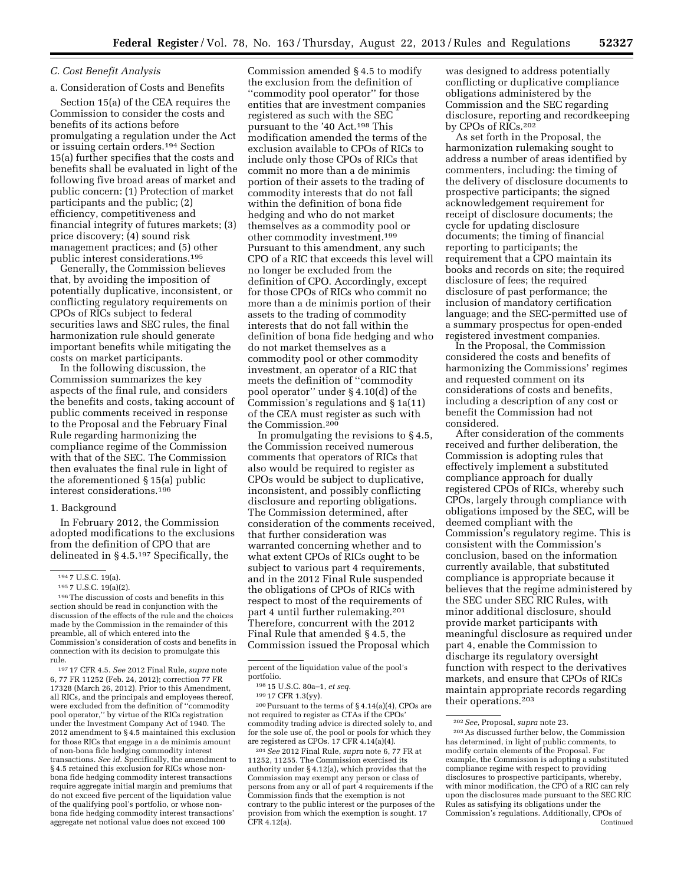# *C. Cost Benefit Analysis*

# a. Consideration of Costs and Benefits

Section 15(a) of the CEA requires the Commission to consider the costs and benefits of its actions before promulgating a regulation under the Act or issuing certain orders.194 Section 15(a) further specifies that the costs and benefits shall be evaluated in light of the following five broad areas of market and public concern: (1) Protection of market participants and the public; (2) efficiency, competitiveness and financial integrity of futures markets; (3) price discovery; (4) sound risk management practices; and (5) other public interest considerations.195

Generally, the Commission believes that, by avoiding the imposition of potentially duplicative, inconsistent, or conflicting regulatory requirements on CPOs of RICs subject to federal securities laws and SEC rules, the final harmonization rule should generate important benefits while mitigating the costs on market participants.

In the following discussion, the Commission summarizes the key aspects of the final rule, and considers the benefits and costs, taking account of public comments received in response to the Proposal and the February Final Rule regarding harmonizing the compliance regime of the Commission with that of the SEC. The Commission then evaluates the final rule in light of the aforementioned § 15(a) public interest considerations.196

### 1. Background

In February 2012, the Commission adopted modifications to the exclusions from the definition of CPO that are delineated in § 4.5.197 Specifically, the

197 17 CFR 4.5. *See* 2012 Final Rule, *supra* note 6, 77 FR 11252 (Feb. 24, 2012); correction 77 FR 17328 (March 26, 2012). Prior to this Amendment, all RICs, and the principals and employees thereof, were excluded from the definition of ''commodity pool operator,'' by virtue of the RICs registration under the Investment Company Act of 1940. The 2012 amendment to § 4.5 maintained this exclusion for those RICs that engage in a de minimis amount of non-bona fide hedging commodity interest transactions. *See id.* Specifically, the amendment to § 4.5 retained this exclusion for RICs whose nonbona fide hedging commodity interest transactions require aggregate initial margin and premiums that do not exceed five percent of the liquidation value of the qualifying pool's portfolio, or whose nonbona fide hedging commodity interest transactions' aggregate net notional value does not exceed 100

Commission amended § 4.5 to modify the exclusion from the definition of ''commodity pool operator'' for those entities that are investment companies registered as such with the SEC pursuant to the '40 Act.198 This modification amended the terms of the exclusion available to CPOs of RICs to include only those CPOs of RICs that commit no more than a de minimis portion of their assets to the trading of commodity interests that do not fall within the definition of bona fide hedging and who do not market themselves as a commodity pool or other commodity investment.199 Pursuant to this amendment, any such CPO of a RIC that exceeds this level will no longer be excluded from the definition of CPO. Accordingly, except for those CPOs of RICs who commit no more than a de minimis portion of their assets to the trading of commodity interests that do not fall within the definition of bona fide hedging and who do not market themselves as a commodity pool or other commodity investment, an operator of a RIC that meets the definition of ''commodity pool operator'' under § 4.10(d) of the Commission's regulations and § 1a(11) of the CEA must register as such with the Commission.200

In promulgating the revisions to § 4.5, the Commission received numerous comments that operators of RICs that also would be required to register as CPOs would be subject to duplicative, inconsistent, and possibly conflicting disclosure and reporting obligations. The Commission determined, after consideration of the comments received, that further consideration was warranted concerning whether and to what extent CPOs of RICs ought to be subject to various part 4 requirements, and in the 2012 Final Rule suspended the obligations of CPOs of RICs with respect to most of the requirements of part 4 until further rulemaking.201 Therefore, concurrent with the 2012 Final Rule that amended § 4.5, the Commission issued the Proposal which

 $^{200}\rm{Pursuant}$  to the terms of § 4.14(a)(4), CPOs are not required to register as CTAs if the CPOs' commodity trading advice is directed solely to, and for the sole use of, the pool or pools for which they are registered as CPOs. 17 CFR 4.14(a)(4).

201*See* 2012 Final Rule, *supra* note 6, 77 FR at 11252, 11255. The Commission exercised its authority under § 4.12(a), which provides that the Commission may exempt any person or class of persons from any or all of part 4 requirements if the Commission finds that the exemption is not contrary to the public interest or the purposes of the provision from which the exemption is sought. 17 CFR 4.12(a).

was designed to address potentially conflicting or duplicative compliance obligations administered by the Commission and the SEC regarding disclosure, reporting and recordkeeping by CPOs of RICs.202

As set forth in the Proposal, the harmonization rulemaking sought to address a number of areas identified by commenters, including: the timing of the delivery of disclosure documents to prospective participants; the signed acknowledgement requirement for receipt of disclosure documents; the cycle for updating disclosure documents; the timing of financial reporting to participants; the requirement that a CPO maintain its books and records on site; the required disclosure of fees; the required disclosure of past performance; the inclusion of mandatory certification language; and the SEC-permitted use of a summary prospectus for open-ended registered investment companies.

In the Proposal, the Commission considered the costs and benefits of harmonizing the Commissions' regimes and requested comment on its considerations of costs and benefits, including a description of any cost or benefit the Commission had not considered.

After consideration of the comments received and further deliberation, the Commission is adopting rules that effectively implement a substituted compliance approach for dually registered CPOs of RICs, whereby such CPOs, largely through compliance with obligations imposed by the SEC, will be deemed compliant with the Commission's regulatory regime. This is consistent with the Commission's conclusion, based on the information currently available, that substituted compliance is appropriate because it believes that the regime administered by the SEC under SEC RIC Rules, with minor additional disclosure, should provide market participants with meaningful disclosure as required under part 4, enable the Commission to discharge its regulatory oversight function with respect to the derivatives markets, and ensure that CPOs of RICs maintain appropriate records regarding their operations.203

<sup>194</sup> 7 U.S.C. 19(a).

<sup>195</sup> 7 U.S.C. 19(a)(2).

<sup>196</sup>The discussion of costs and benefits in this section should be read in conjunction with the discussion of the effects of the rule and the choices made by the Commission in the remainder of this preamble, all of which entered into the Commission's consideration of costs and benefits in connection with its decision to promulgate this rule.

percent of the liquidation value of the pool's portfolio.

<sup>198</sup> 15 U.S.C. 80a–1, *et seq.* 

<sup>199</sup> 17 CFR 1.3(yy).

<sup>202</sup>*See,* Proposal, *supra* note 23.

<sup>203</sup>As discussed further below, the Commission has determined, in light of public comments, to modify certain elements of the Proposal. For example, the Commission is adopting a substituted compliance regime with respect to providing disclosures to prospective participants, whereby, with minor modification, the CPO of a RIC can rely upon the disclosures made pursuant to the SEC RIC Rules as satisfying its obligations under the Commission's regulations. Additionally, CPOs of Continued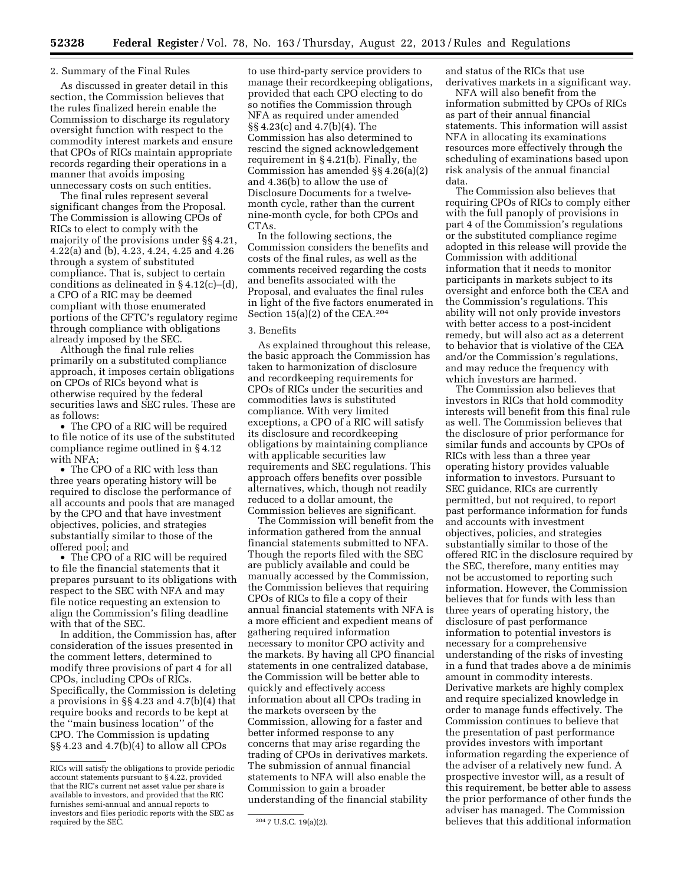### 2. Summary of the Final Rules

As discussed in greater detail in this section, the Commission believes that the rules finalized herein enable the Commission to discharge its regulatory oversight function with respect to the commodity interest markets and ensure that CPOs of RICs maintain appropriate records regarding their operations in a manner that avoids imposing unnecessary costs on such entities.

The final rules represent several significant changes from the Proposal. The Commission is allowing CPOs of RICs to elect to comply with the majority of the provisions under §§ 4.21, 4.22(a) and (b), 4.23, 4.24, 4.25 and 4.26 through a system of substituted compliance. That is, subject to certain conditions as delineated in § 4.12(c)–(d), a CPO of a RIC may be deemed compliant with those enumerated portions of the CFTC's regulatory regime through compliance with obligations already imposed by the SEC.

Although the final rule relies primarily on a substituted compliance approach, it imposes certain obligations on CPOs of RICs beyond what is otherwise required by the federal securities laws and SEC rules. These are as follows:

• The CPO of a RIC will be required to file notice of its use of the substituted compliance regime outlined in § 4.12 with NFA;

• The CPO of a RIC with less than three years operating history will be required to disclose the performance of all accounts and pools that are managed by the CPO and that have investment objectives, policies, and strategies substantially similar to those of the offered pool; and

• The CPO of a RIC will be required to file the financial statements that it prepares pursuant to its obligations with respect to the SEC with NFA and may file notice requesting an extension to align the Commission's filing deadline with that of the SEC.

In addition, the Commission has, after consideration of the issues presented in the comment letters, determined to modify three provisions of part 4 for all CPOs, including CPOs of RICs. Specifically, the Commission is deleting a provisions in §§ 4.23 and 4.7(b)(4) that require books and records to be kept at the ''main business location'' of the CPO. The Commission is updating §§ 4.23 and 4.7(b)(4) to allow all CPOs

to use third-party service providers to manage their recordkeeping obligations, provided that each CPO electing to do so notifies the Commission through NFA as required under amended §§ 4.23(c) and 4.7(b)(4). The Commission has also determined to rescind the signed acknowledgement requirement in § 4.21(b). Finally, the Commission has amended §§ 4.26(a)(2) and 4.36(b) to allow the use of Disclosure Documents for a twelvemonth cycle, rather than the current nine-month cycle, for both CPOs and CTAs.

In the following sections, the Commission considers the benefits and costs of the final rules, as well as the comments received regarding the costs and benefits associated with the Proposal, and evaluates the final rules in light of the five factors enumerated in Section  $15(a)(2)$  of the CEA.<sup>204</sup>

### 3. Benefits

As explained throughout this release, the basic approach the Commission has taken to harmonization of disclosure and recordkeeping requirements for CPOs of RICs under the securities and commodities laws is substituted compliance. With very limited exceptions, a CPO of a RIC will satisfy its disclosure and recordkeeping obligations by maintaining compliance with applicable securities law requirements and SEC regulations. This approach offers benefits over possible alternatives, which, though not readily reduced to a dollar amount, the Commission believes are significant.

The Commission will benefit from the information gathered from the annual financial statements submitted to NFA. Though the reports filed with the SEC are publicly available and could be manually accessed by the Commission, the Commission believes that requiring CPOs of RICs to file a copy of their annual financial statements with NFA is a more efficient and expedient means of gathering required information necessary to monitor CPO activity and the markets. By having all CPO financial statements in one centralized database, the Commission will be better able to quickly and effectively access information about all CPOs trading in the markets overseen by the Commission, allowing for a faster and better informed response to any concerns that may arise regarding the trading of CPOs in derivatives markets. The submission of annual financial statements to NFA will also enable the Commission to gain a broader understanding of the financial stability

and status of the RICs that use derivatives markets in a significant way.

NFA will also benefit from the information submitted by CPOs of RICs as part of their annual financial statements. This information will assist NFA in allocating its examinations resources more effectively through the scheduling of examinations based upon risk analysis of the annual financial data.

The Commission also believes that requiring CPOs of RICs to comply either with the full panoply of provisions in part 4 of the Commission's regulations or the substituted compliance regime adopted in this release will provide the Commission with additional information that it needs to monitor participants in markets subject to its oversight and enforce both the CEA and the Commission's regulations. This ability will not only provide investors with better access to a post-incident remedy, but will also act as a deterrent to behavior that is violative of the CEA and/or the Commission's regulations, and may reduce the frequency with which investors are harmed.

The Commission also believes that investors in RICs that hold commodity interests will benefit from this final rule as well. The Commission believes that the disclosure of prior performance for similar funds and accounts by CPOs of RICs with less than a three year operating history provides valuable information to investors. Pursuant to SEC guidance, RICs are currently permitted, but not required, to report past performance information for funds and accounts with investment objectives, policies, and strategies substantially similar to those of the offered RIC in the disclosure required by the SEC, therefore, many entities may not be accustomed to reporting such information. However, the Commission believes that for funds with less than three years of operating history, the disclosure of past performance information to potential investors is necessary for a comprehensive understanding of the risks of investing in a fund that trades above a de minimis amount in commodity interests. Derivative markets are highly complex and require specialized knowledge in order to manage funds effectively. The Commission continues to believe that the presentation of past performance provides investors with important information regarding the experience of the adviser of a relatively new fund. A prospective investor will, as a result of this requirement, be better able to assess the prior performance of other funds the adviser has managed. The Commission believes that this additional information

RICs will satisfy the obligations to provide periodic account statements pursuant to § 4.22, provided that the RIC's current net asset value per share is available to investors, and provided that the RIC furnishes semi-annual and annual reports to investors and files periodic reports with the SEC as

<sup>204 7</sup> U.S.C. 19(a)(2).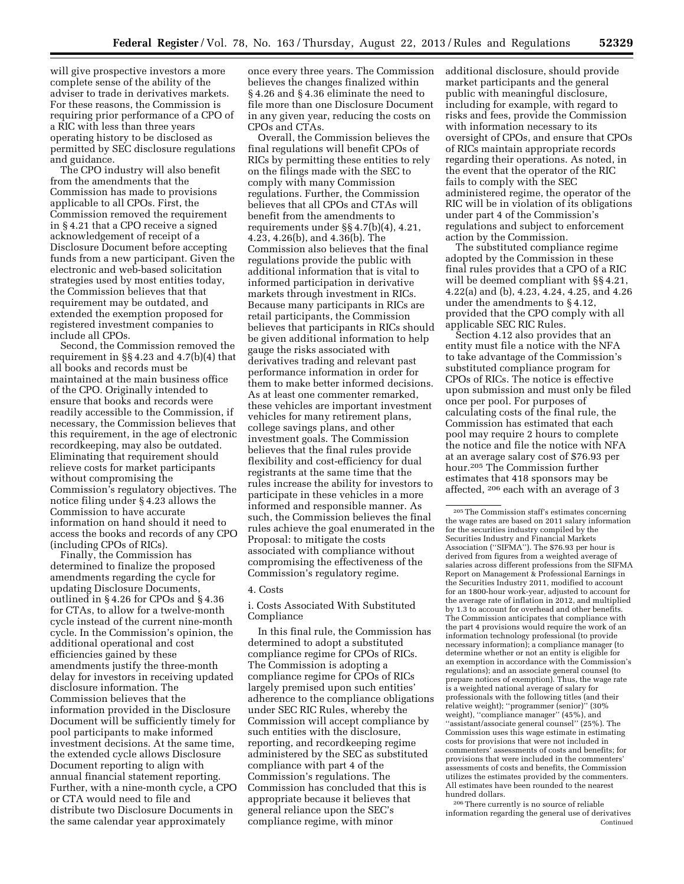will give prospective investors a more complete sense of the ability of the adviser to trade in derivatives markets. For these reasons, the Commission is requiring prior performance of a CPO of a RIC with less than three years operating history to be disclosed as permitted by SEC disclosure regulations and guidance.

The CPO industry will also benefit from the amendments that the Commission has made to provisions applicable to all CPOs. First, the Commission removed the requirement in § 4.21 that a CPO receive a signed acknowledgement of receipt of a Disclosure Document before accepting funds from a new participant. Given the electronic and web-based solicitation strategies used by most entities today, the Commission believes that that requirement may be outdated, and extended the exemption proposed for registered investment companies to include all CPOs.

Second, the Commission removed the requirement in §§ 4.23 and 4.7(b)(4) that all books and records must be maintained at the main business office of the CPO. Originally intended to ensure that books and records were readily accessible to the Commission, if necessary, the Commission believes that this requirement, in the age of electronic recordkeeping, may also be outdated. Eliminating that requirement should relieve costs for market participants without compromising the Commission's regulatory objectives. The notice filing under § 4.23 allows the Commission to have accurate information on hand should it need to access the books and records of any CPO (including CPOs of RICs).

Finally, the Commission has determined to finalize the proposed amendments regarding the cycle for updating Disclosure Documents, outlined in § 4.26 for CPOs and § 4.36 for CTAs, to allow for a twelve-month cycle instead of the current nine-month cycle. In the Commission's opinion, the additional operational and cost efficiencies gained by these amendments justify the three-month delay for investors in receiving updated disclosure information. The Commission believes that the information provided in the Disclosure Document will be sufficiently timely for pool participants to make informed investment decisions. At the same time, the extended cycle allows Disclosure Document reporting to align with annual financial statement reporting. Further, with a nine-month cycle, a CPO or CTA would need to file and distribute two Disclosure Documents in the same calendar year approximately

once every three years. The Commission believes the changes finalized within § 4.26 and § 4.36 eliminate the need to file more than one Disclosure Document in any given year, reducing the costs on CPOs and CTAs.

Overall, the Commission believes the final regulations will benefit CPOs of RICs by permitting these entities to rely on the filings made with the SEC to comply with many Commission regulations. Further, the Commission believes that all CPOs and CTAs will benefit from the amendments to requirements under §§ 4.7(b)(4), 4.21, 4.23, 4.26(b), and 4.36(b). The Commission also believes that the final regulations provide the public with additional information that is vital to informed participation in derivative markets through investment in RICs. Because many participants in RICs are retail participants, the Commission believes that participants in RICs should be given additional information to help gauge the risks associated with derivatives trading and relevant past performance information in order for them to make better informed decisions. As at least one commenter remarked, these vehicles are important investment vehicles for many retirement plans, college savings plans, and other investment goals. The Commission believes that the final rules provide flexibility and cost-efficiency for dual registrants at the same time that the rules increase the ability for investors to participate in these vehicles in a more informed and responsible manner. As such, the Commission believes the final rules achieve the goal enumerated in the Proposal: to mitigate the costs associated with compliance without compromising the effectiveness of the Commission's regulatory regime.

### 4. Costs

# i. Costs Associated With Substituted Compliance

In this final rule, the Commission has determined to adopt a substituted compliance regime for CPOs of RICs. The Commission is adopting a compliance regime for CPOs of RICs largely premised upon such entities' adherence to the compliance obligations under SEC RIC Rules, whereby the Commission will accept compliance by such entities with the disclosure, reporting, and recordkeeping regime administered by the SEC as substituted compliance with part 4 of the Commission's regulations. The Commission has concluded that this is appropriate because it believes that general reliance upon the SEC's compliance regime, with minor

additional disclosure, should provide market participants and the general public with meaningful disclosure, including for example, with regard to risks and fees, provide the Commission with information necessary to its oversight of CPOs, and ensure that CPOs of RICs maintain appropriate records regarding their operations. As noted, in the event that the operator of the RIC fails to comply with the SEC administered regime, the operator of the RIC will be in violation of its obligations under part 4 of the Commission's regulations and subject to enforcement action by the Commission.

The substituted compliance regime adopted by the Commission in these final rules provides that a CPO of a RIC will be deemed compliant with §§ 4.21, 4.22(a) and (b), 4.23, 4.24, 4.25, and 4.26 under the amendments to § 4.12, provided that the CPO comply with all applicable SEC RIC Rules.

Section 4.12 also provides that an entity must file a notice with the NFA to take advantage of the Commission's substituted compliance program for CPOs of RICs. The notice is effective upon submission and must only be filed once per pool. For purposes of calculating costs of the final rule, the Commission has estimated that each pool may require 2 hours to complete the notice and file the notice with NFA at an average salary cost of \$76.93 per hour.205 The Commission further estimates that 418 sponsors may be affected, 206 each with an average of 3

hundred dollars.<br><sup>206</sup> There currently is no source of reliable information regarding the general use of derivatives Continued

<sup>205</sup>The Commission staff's estimates concerning the wage rates are based on 2011 salary information for the securities industry compiled by the Securities Industry and Financial Markets Association (''SIFMA''). The \$76.93 per hour is derived from figures from a weighted average of salaries across different professions from the SIFMA Report on Management & Professional Earnings in the Securities Industry 2011, modified to account for an 1800-hour work-year, adjusted to account for the average rate of inflation in 2012, and multiplied by 1.3 to account for overhead and other benefits. The Commission anticipates that compliance with the part 4 provisions would require the work of an information technology professional (to provide necessary information); a compliance manager (to determine whether or not an entity is eligible for an exemption in accordance with the Commission's regulations); and an associate general counsel (to prepare notices of exemption). Thus, the wage rate is a weighted national average of salary for professionals with the following titles (and their relative weight); ''programmer (senior)'' (30% weight), ''compliance manager'' (45%), and ''assistant/associate general counsel'' (25%). The Commission uses this wage estimate in estimating costs for provisions that were not included in commenters' assessments of costs and benefits; for provisions that were included in the commenters' assessments of costs and benefits, the Commission utilizes the estimates provided by the commenters. All estimates have been rounded to the nearest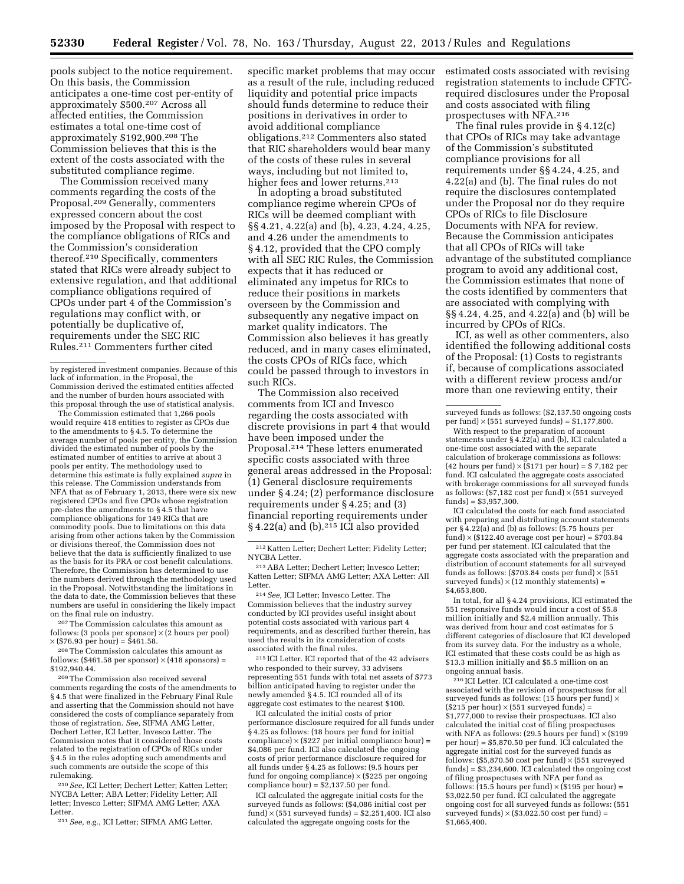pools subject to the notice requirement. On this basis, the Commission anticipates a one-time cost per-entity of approximately \$500.207 Across all affected entities, the Commission estimates a total one-time cost of approximately \$192,900.208 The Commission believes that this is the extent of the costs associated with the substituted compliance regime.

The Commission received many comments regarding the costs of the Proposal.209 Generally, commenters expressed concern about the cost imposed by the Proposal with respect to the compliance obligations of RICs and the Commission's consideration thereof.210 Specifically, commenters stated that RICs were already subject to extensive regulation, and that additional compliance obligations required of CPOs under part 4 of the Commission's regulations may conflict with, or potentially be duplicative of, requirements under the SEC RIC Rules.211 Commenters further cited

The Commission estimated that 1,266 pools would require 418 entities to register as CPOs due to the amendments to § 4.5. To determine the average number of pools per entity, the Commission divided the estimated number of pools by the estimated number of entities to arrive at about 3 pools per entity. The methodology used to determine this estimate is fully explained *supra* in this release. The Commission understands from NFA that as of February 1, 2013, there were six new registered CPOs and five CPOs whose registration pre-dates the amendments to § 4.5 that have compliance obligations for 149 RICs that are commodity pools. Due to limitations on this data arising from other actions taken by the Commission or divisions thereof, the Commission does not believe that the data is sufficiently finalized to use as the basis for its PRA or cost benefit calculations. Therefore, the Commission has determined to use the numbers derived through the methodology used in the Proposal. Notwithstanding the limitations in the data to date, the Commission believes that these numbers are useful in considering the likely impact on the final rule on industry.

207The Commission calculates this amount as follows: (3 pools per sponsor)  $\times$  (2 hours per pool)  $\times$  (\$76.93 per hour) = \$461.58.

208The Commission calculates this amount as follows:  $(\$461.58$  per sponsor)  $\times$   $(418$  sponsors) = \$192,940.44.

209The Commission also received several comments regarding the costs of the amendments to § 4.5 that were finalized in the February Final Rule and asserting that the Commission should not have considered the costs of compliance separately from those of registration. *See,* SIFMA AMG Letter, Dechert Letter, ICI Letter, Invesco Letter. The Commission notes that it considered those costs related to the registration of CPOs of RICs under § 4.5 in the rules adopting such amendments and such comments are outside the scope of this rulemaking.

210*See,* ICI Letter; Dechert Letter; Katten Letter; NYCBA Letter; ABA Letter; Fidelity Letter; AII letter; Invesco Letter; SIFMA AMG Letter; AXA Letter.

211*See,* e.g., ICI Letter; SIFMA AMG Letter.

specific market problems that may occur as a result of the rule, including reduced liquidity and potential price impacts should funds determine to reduce their positions in derivatives in order to avoid additional compliance obligations.212 Commenters also stated that RIC shareholders would bear many of the costs of these rules in several ways, including but not limited to, higher fees and lower returns.<sup>213</sup>

In adopting a broad substituted compliance regime wherein CPOs of RICs will be deemed compliant with §§ 4.21, 4.22(a) and (b), 4.23, 4.24, 4.25, and 4.26 under the amendments to § 4.12, provided that the CPO comply with all SEC RIC Rules, the Commission expects that it has reduced or eliminated any impetus for RICs to reduce their positions in markets overseen by the Commission and subsequently any negative impact on market quality indicators. The Commission also believes it has greatly reduced, and in many cases eliminated, the costs CPOs of RICs face, which could be passed through to investors in such RICs.

The Commission also received comments from ICI and Invesco regarding the costs associated with discrete provisions in part 4 that would have been imposed under the Proposal.214 These letters enumerated specific costs associated with three general areas addressed in the Proposal: (1) General disclosure requirements under § 4.24; (2) performance disclosure requirements under § 4.25; and (3) financial reporting requirements under § 4.22(a) and (b).215 ICI also provided

214*See,* ICI Letter; Invesco Letter. The Commission believes that the industry survey conducted by ICI provides useful insight about potential costs associated with various part 4 requirements, and as described further therein, has used the results in its consideration of costs associated with the final rules.

215 ICI Letter. ICI reported that of the 42 advisers who responded to their survey, 33 advisers representing 551 funds with total net assets of \$773 billion anticipated having to register under the newly amended § 4.5. ICI rounded all of its aggregate cost estimates to the nearest \$100.

ICI calculated the initial costs of prior performance disclosure required for all funds under § 4.25 as follows: (18 hours per fund for initial  $compliance$ )  $\times$  (\$227 per initial compliance hour) = \$4,086 per fund. ICI also calculated the ongoing costs of prior performance disclosure required for all funds under § 4.25 as follows: (9.5 hours per fund for ongoing compliance)  $\times$  (\$225 per ongoing compliance hour) = \$2,137.50 per fund.

ICI calculated the aggregate initial costs for the surveyed funds as follows: (\$4,086 initial cost per fund)  $\times$  (551 surveyed funds) = \$2,251,400. ICI also calculated the aggregate ongoing costs for the

estimated costs associated with revising registration statements to include CFTCrequired disclosures under the Proposal and costs associated with filing prospectuses with NFA.216

The final rules provide in § 4.12(c) that CPOs of RICs may take advantage of the Commission's substituted compliance provisions for all requirements under §§ 4.24, 4.25, and 4.22(a) and (b). The final rules do not require the disclosures contemplated under the Proposal nor do they require CPOs of RICs to file Disclosure Documents with NFA for review. Because the Commission anticipates that all CPOs of RICs will take advantage of the substituted compliance program to avoid any additional cost, the Commission estimates that none of the costs identified by commenters that are associated with complying with §§ 4.24, 4.25, and 4.22(a) and (b) will be incurred by CPOs of RICs.

ICI, as well as other commenters, also identified the following additional costs of the Proposal: (1) Costs to registrants if, because of complications associated with a different review process and/or more than one reviewing entity, their

surveyed funds as follows: (\$2,137.50 ongoing costs per fund)  $\times$  (551 surveyed funds) = \$1,177,800.

With respect to the preparation of account statements under § 4.22(a) and (b), ICI calculated a one-time cost associated with the separate calculation of brokerage commissions as follows: (42 hours per fund)  $\times$  (\$171 per hour) = \$7,182 per fund. ICI calculated the aggregate costs associated with brokerage commissions for all surveyed funds as follows:  $(\frac{87}{182} \text{ cost per fund}) \times (551 \text{ surveyed})$  $funds$ ) = \$3,957,300.

ICI calculated the costs for each fund associated with preparing and distributing account statements per § 4.22(a) and (b) as follows: (5.75 hours per fund)  $\times$  (\$122.40 average cost per hour) = \$703.84 per fund per statement. ICI calculated that the aggregate costs associated with the preparation and distribution of account statements for all surveyed funds as follows: (\$703.84 costs per fund)  $\times$  (551 surveyed funds)  $\times$  (12 monthly statements) = \$4,653,800.

In total, for all § 4.24 provisions, ICI estimated the 551 responsive funds would incur a cost of \$5.8 million initially and \$2.4 million annually. This was derived from hour and cost estimates for 5 different categories of disclosure that ICI developed from its survey data. For the industry as a whole, ICI estimated that these costs could be as high as \$13.3 million initially and \$5.5 million on an ongoing annual basis.

216 ICI Letter. ICI calculated a one-time cost associated with the revision of prospectuses for all surveyed funds as follows: (15 hours per fund)  $\times$  $(\$215$  per hour)  $\times$  (551 surveyed funds) = \$1,777,000 to revise their prospectuses. ICI also calculated the initial cost of filing prospectuses with NFA as follows: (29.5 hours per fund)  $\times$  (\$199 per hour) = \$5,870.50 per fund. ICI calculated the aggregate initial cost for the surveyed funds as follows: (\$5,870.50 cost per fund)  $\times$  (551 surveyed  $funds$ ) =  $$3,234,600$ . ICI calculated the ongoing cost of filing prospectuses with NFA per fund as follows:  $(15.5$  hours per fund)  $\times$  (\$195 per hour) = \$3,022.50 per fund. ICI calculated the aggregate ongoing cost for all surveyed funds as follows: (551 surveyed funds)  $\times$  (\$3,022.50 cost per fund) = \$1,665,400.

by registered investment companies. Because of this lack of information, in the Proposal, the Commission derived the estimated entities affected and the number of burden hours associated with this proposal through the use of statistical analysis.

<sup>212</sup> Katten Letter; Dechert Letter; Fidelity Letter; NYCBA Letter.

<sup>213</sup>ABA Letter; Dechert Letter; Invesco Letter; Katten Letter; SIFMA AMG Letter; AXA Letter: AII Letter.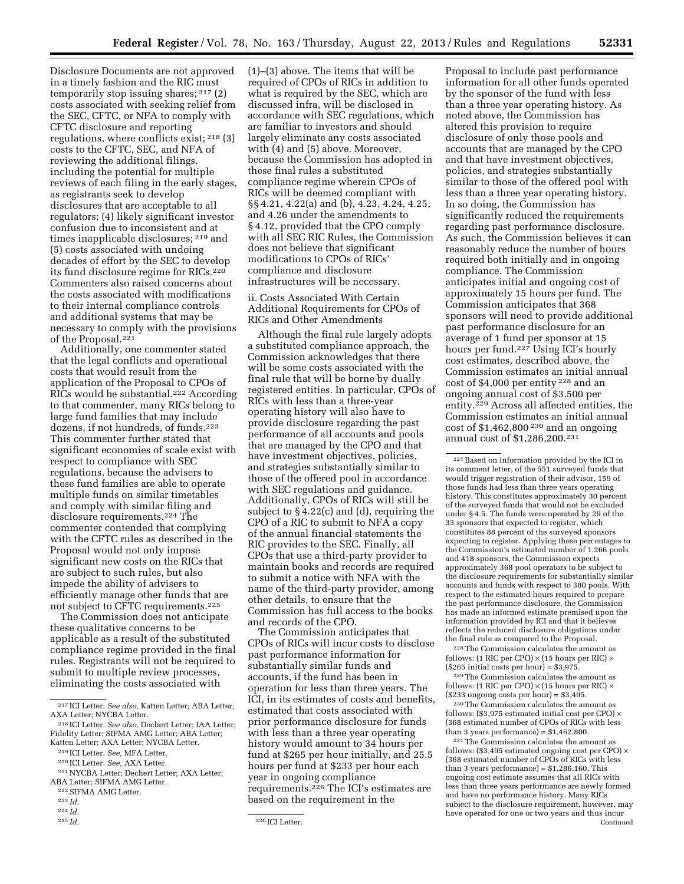Disclosure Documents are not approved in a timely fashion and the RIC must temporarily stop issuing shares; 217 (2) costs associated with seeking relief from the SEC, CFTC, or NFA to comply with CFTC disclosure and reporting regulations, where conflicts exist; 218 (3) costs to the CFTC, SEC, and NFA of reviewing the additional filings, including the potential for multiple reviews of each filing in the early stages, as registrants seek to develop disclosures that are acceptable to all regulators; (4) likely significant investor confusion due to inconsistent and at times inapplicable disclosures; 219 and (5) costs associated with undoing decades of effort by the SEC to develop its fund disclosure regime for RICs.220 Commenters also raised concerns about the costs associated with modifications to their internal compliance controls and additional systems that may be necessary to comply with the provisions of the Proposal.221

Additionally, one commenter stated that the legal conflicts and operational costs that would result from the application of the Proposal to CPOs of RICs would be substantial.222 According to that commenter, many RICs belong to large fund families that may include dozens, if not hundreds, of funds.223 This commenter further stated that significant economies of scale exist with respect to compliance with SEC regulations, because the advisers to these fund families are able to operate multiple funds on similar timetables and comply with similar filing and disclosure requirements.224 The commenter contended that complying with the CFTC rules as described in the Proposal would not only impose significant new costs on the RICs that are subject to such rules, but also impede the ability of advisers to efficiently manage other funds that are not subject to CFTC requirements.225

The Commission does not anticipate these qualitative concerns to be applicable as a result of the substituted compliance regime provided in the final rules. Registrants will not be required to submit to multiple review processes, eliminating the costs associated with

221NYCBA Letter; Dechert Letter; AXA Letter; ABA Letter; SIFMA AMG Letter.

222SIFMA AMG Letter.

224 *Id.* 

(1)–(3) above. The items that will be required of CPOs of RICs in addition to what is required by the SEC, which are discussed infra, will be disclosed in accordance with SEC regulations, which are familiar to investors and should largely eliminate any costs associated with (4) and (5) above. Moreover, because the Commission has adopted in these final rules a substituted compliance regime wherein CPOs of RICs will be deemed compliant with §§ 4.21, 4.22(a) and (b), 4.23, 4.24, 4.25, and 4.26 under the amendments to § 4.12, provided that the CPO comply with all SEC RIC Rules, the Commission does not believe that significant modifications to CPOs of RICs' compliance and disclosure infrastructures will be necessary.

ii. Costs Associated With Certain Additional Requirements for CPOs of RICs and Other Amendments

Although the final rule largely adopts a substituted compliance approach, the Commission acknowledges that there will be some costs associated with the final rule that will be borne by dually registered entities. In particular, CPOs of RICs with less than a three-year operating history will also have to provide disclosure regarding the past performance of all accounts and pools that are managed by the CPO and that have investment objectives, policies, and strategies substantially similar to those of the offered pool in accordance with SEC regulations and guidance. Additionally, CPOs of RICs will still be subject to § 4.22(c) and (d), requiring the  $CPO$  of a RIC to submit to NFA a copy of the annual financial statements the RIC provides to the SEC. Finally, all CPOs that use a third-party provider to maintain books and records are required to submit a notice with NFA with the name of the third-party provider, among other details, to ensure that the Commission has full access to the books and records of the CPO.

The Commission anticipates that CPOs of RICs will incur costs to disclose past performance information for substantially similar funds and accounts, if the fund has been in operation for less than three years. The ICI, in its estimates of costs and benefits, estimated that costs associated with prior performance disclosure for funds with less than a three year operating history would amount to 34 hours per fund at \$265 per hour initially, and 25.5 hours per fund at \$233 per hour each year in ongoing compliance requirements.226 The ICI's estimates are based on the requirement in the

Proposal to include past performance information for all other funds operated by the sponsor of the fund with less than a three year operating history. As noted above, the Commission has altered this provision to require disclosure of only those pools and accounts that are managed by the CPO and that have investment objectives, policies, and strategies substantially similar to those of the offered pool with less than a three year operating history. In so doing, the Commission has significantly reduced the requirements regarding past performance disclosure. As such, the Commission believes it can reasonably reduce the number of hours required both initially and in ongoing compliance. The Commission anticipates initial and ongoing cost of approximately 15 hours per fund. The Commission anticipates that 368 sponsors will need to provide additional past performance disclosure for an average of 1 fund per sponsor at 15 hours per fund.227 Using ICI's hourly cost estimates, described above, the Commission estimates an initial annual cost of \$4,000 per entity 228 and an ongoing annual cost of \$3,500 per entity.229 Across all affected entities, the Commission estimates an initial annual cost of \$1,462,800 230 and an ongoing annual cost of \$1,286,200.231

228The Commission calculates the amount as follows: (1 RIC per CPO)  $\times$  (15 hours per RIC)  $\times$  $($265$ initial costs per hour) = $3,975.$ 

229The Commission calculates the amount as follows: (1 RIC per CPO)  $\times$  (15 hours per RIC)  $\times$ (\$233 ongoing costs per hour) = \$3,495.

230The Commission calculates the amount as follows: (\$3,975 estimated initial cost per CPO)  $\times$ (368 estimated number of CPOs of RICs with less than 3 years performance) =  $$1,462,800$ .

231The Commission calculates the amount as follows: (\$3,495 estimated ongoing cost per CPO)  $\times$ (368 estimated number of CPOs of RICs with less than 3 years performance) = \$1,286,160. This ongoing cost estimate assumes that all RICs with less than three years performance are newly formed and have no performance history. Many RICs subject to the disclosure requirement, however, may have operated for one or two years and thus incur Continued

<sup>217</sup> ICI Letter. *See also,* Katten Letter; ABA Letter; AXA Letter; NYCBA Letter.

<sup>218</sup> ICI Letter. *See also,* Dechert Letter; IAA Letter; Fidelity Letter; SIFMA AMG Letter; ABA Letter; Katten Letter; AXA Letter; NYCBA Letter.

<sup>219</sup> ICI Letter. *See,* MFA Letter.

<sup>220</sup> ICI Letter. *See,* AXA Letter.

<sup>223</sup> *Id.* 

<sup>225</sup> *Id.* 226 ICI Letter.

<sup>227</sup>Based on information provided by the ICI in its comment letter, of the 551 surveyed funds that would trigger registration of their advisor, 159 of those funds had less than three years operating history. This constitutes approximately 30 percent of the surveyed funds that would not be excluded under § 4.5. The funds were operated by 29 of the 33 sponsors that expected to register, which constitutes 88 percent of the surveyed sponsors expecting to register. Applying these percentages to the Commission's estimated number of 1,266 pools and 418 sponsors, the Commission expects approximately 368 pool operators to be subject to the disclosure requirements for substantially similar accounts and funds with respect to 380 pools. With respect to the estimated hours required to prepare the past performance disclosure, the Commission has made an informed estimate premised upon the information provided by ICI and that it believes reflects the reduced disclosure obligations under the final rule as compared to the Proposal.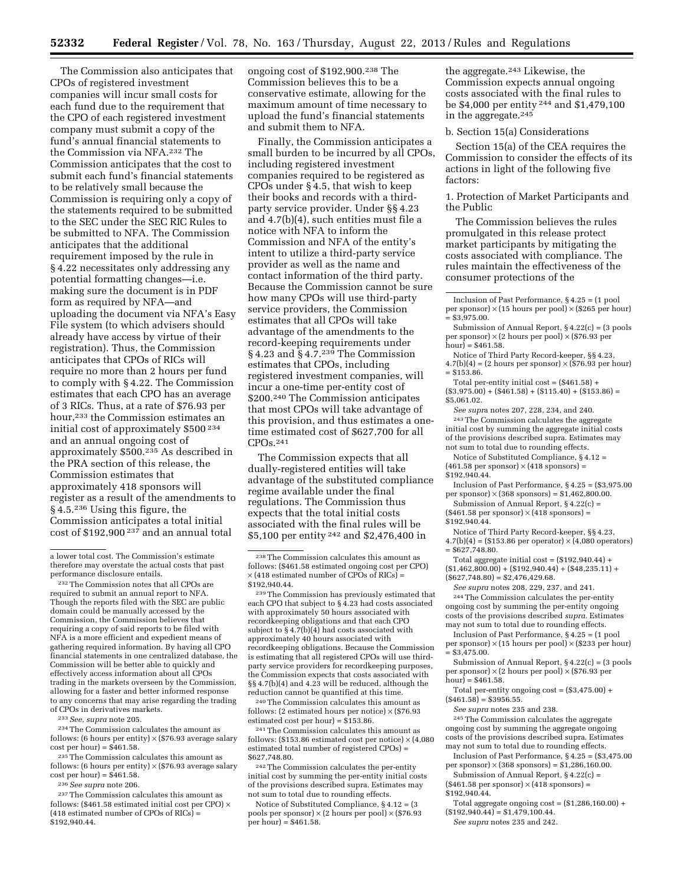The Commission also anticipates that CPOs of registered investment companies will incur small costs for each fund due to the requirement that the CPO of each registered investment company must submit a copy of the fund's annual financial statements to the Commission via NFA.232 The Commission anticipates that the cost to submit each fund's financial statements to be relatively small because the Commission is requiring only a copy of the statements required to be submitted to the SEC under the SEC RIC Rules to be submitted to NFA. The Commission anticipates that the additional requirement imposed by the rule in § 4.22 necessitates only addressing any potential formatting changes—i.e. making sure the document is in PDF form as required by NFA—and uploading the document via NFA's Easy File system (to which advisers should already have access by virtue of their registration). Thus, the Commission anticipates that CPOs of RICs will require no more than 2 hours per fund to comply with § 4.22. The Commission estimates that each CPO has an average of 3 RICs. Thus, at a rate of \$76.93 per hour,233 the Commission estimates an initial cost of approximately \$500 234 and an annual ongoing cost of approximately \$500.235 As described in the PRA section of this release, the Commission estimates that approximately 418 sponsors will register as a result of the amendments to § 4.5.236 Using this figure, the Commission anticipates a total initial cost of  $$192,900<sup>237</sup>$  and an annual total

233*See, supra* note 205.

234The Commission calculates the amount as follows: (6 hours per entity)  $\times$  (\$76.93 average salary  $cost per hour = $461.58.$ 

235The Commission calculates this amount as follows: (6 hours per entity)  $\times$  (\$76.93 average salary  $cost per hour = $461.58.$ 

236*See supra* note 206.

237The Commission calculates this amount as follows: (\$461.58 estimated initial cost per CPO)  $\times$  $(418$  estimated number of CPOs of RICs $\bar{)}$  = \$192,940.44.

ongoing cost of \$192,900.238 The Commission believes this to be a conservative estimate, allowing for the maximum amount of time necessary to upload the fund's financial statements and submit them to NFA.

Finally, the Commission anticipates a small burden to be incurred by all CPOs, including registered investment companies required to be registered as CPOs under § 4.5, that wish to keep their books and records with a thirdparty service provider. Under §§ 4.23 and 4.7(b)(4), such entities must file a notice with NFA to inform the Commission and NFA of the entity's intent to utilize a third-party service provider as well as the name and contact information of the third party. Because the Commission cannot be sure how many CPOs will use third-party service providers, the Commission estimates that all CPOs will take advantage of the amendments to the record-keeping requirements under  $\S~4.23$  and  $\S~4.7.^{23\bar{9}}$  The Commission estimates that CPOs, including registered investment companies, will incur a one-time per-entity cost of \$200.240 The Commission anticipates that most CPOs will take advantage of this provision, and thus estimates a onetime estimated cost of \$627,700 for all CPOs.241

The Commission expects that all dually-registered entities will take advantage of the substituted compliance regime available under the final regulations. The Commission thus expects that the total initial costs associated with the final rules will be \$5,100 per entity 242 and \$2,476,400 in

240The Commission calculates this amount as follows: (2 estimated hours per notice)  $\times$  (\$76.93 estimated cost per hour) = \$153.86.

241The Commission calculates this amount as follows: (\$153.86 estimated cost per notice)  $\times$  (4,080 estimated total number of registered CPOs) = \$627,748.80.

242The Commission calculates the per-entity initial cost by summing the per-entity initial costs of the provisions described supra. Estimates may not sum to total due to rounding effects.

Notice of Substituted Compliance, § 4.12 = (3 pools per sponsor)  $\times$  (2 hours per pool)  $\times$  (\$76.93  $per hour = $461.58$ .

the aggregate.243 Likewise, the Commission expects annual ongoing costs associated with the final rules to be \$4,000 per entity 244 and \$1,479,100 in the aggregate.245

b. Section 15(a) Considerations

Section 15(a) of the CEA requires the Commission to consider the effects of its actions in light of the following five factors:

1. Protection of Market Participants and the Public

The Commission believes the rules promulgated in this release protect market participants by mitigating the costs associated with compliance. The rules maintain the effectiveness of the consumer protections of the

Submission of Annual Report, § 4.22(c) = (3 pools per sponsor)  $\times$  (2 hours per pool)  $\times$  (\$76.93 per  $hour$ ] = \$461.58.

Notice of Third Party Record-keeper, §§ 4.23,  $4.7(b)(4) = (2 \text{ hours per sponsor}) \times (\$76.93 \text{ per hour})$  $=$  \$153.86.

Total per-entity initial cost =  $($461.58)$  +  $($3,975.00) + ($461.58) + ($115.40) + ($153.86) =$ \$5,061.02.

*See supr*a notes 207, 228, 234, and 240. 243The Commission calculates the aggregate initial cost by summing the aggregate initial costs of the provisions described supra. Estimates may not sum to total due to rounding effects.

Notice of Substituted Compliance, § 4.12 =  $(461.58 \text{ per sponsor}) \times (418 \text{ sponsors}) =$ 

\$192,940.44.

Inclusion of Past Performance, § 4.25 = (\$3,975.00 per sponsor)  $\times$  (368 sponsors) = \$1,462,800.00.

Submission of Annual Report,  $§$  4.22(c) =  $($461.58 \text{ per sponsor}) \times (418 \text{ sponents}) =$ 

\$192,940.44.

Notice of Third Party Record-keeper, §§ 4.23,  $4.7(b)(4) = ( $153.86 \text{ per operator} ) \times (4,080 \text{ operators} )$  $=$  \$627,748.80.

Total aggregate initial  $cost = ($192,940.44) +$  $($1,462,800.00) + ($192,940.44) + ($48,235.11) +$  $($627,748.80) = $2,476,429.68.$ 

*See supra* notes 208, 229, 237, and 241.

244The Commission calculates the per-entity ongoing cost by summing the per-entity ongoing costs of the provisions described *supra.* Estimates may not sum to total due to rounding effects.

Inclusion of Past Performance, § 4.25 = (1 pool  $\rm per\;sponsor) \times (15\; hours\; per\; pool) \times (\$233\; per\; hour)$  $= $3,475.00.$ 

Submission of Annual Report, § 4.22(c) = (3 pools per sponsor)  $\times$  (2 hours per pool)  $\times$  (\$76.93 per  $\bar{h}$ our) = \$461.58.

Total per-entity ongoing  $cost = ($3,475.00) +$  $($461.58) = $3956.55.$ 

*See supra* notes 235 and 238.

245The Commission calculates the aggregate ongoing cost by summing the aggregate ongoing costs of the provisions described supra. Estimates may not sum to total due to rounding effects.

Inclusion of Past Performance, § 4.25 = (\$3,475.00 per sponsor)  $\times$  (368 sponsors) = \$1,286,160.00.

Submission of Annual Report, § 4.22(c) =  $($461.58 \text{ per sponsor}) \times (418 \text{ sponsors}) =$ \$192,940.44.

Total aggregate ongoing cost =  $(\$1,286,160.00)$  +  $($192,940.44) = $1,479,100.44.$ 

*See supra* notes 235 and 242.

a lower total cost. The Commission's estimate therefore may overstate the actual costs that past performance disclosure entails.

<sup>232</sup>The Commission notes that all CPOs are required to submit an annual report to NFA. Though the reports filed with the SEC are public domain could be manually accessed by the Commission, the Commission believes that requiring a copy of said reports to be filed with NFA is a more efficient and expedient means of gathering required information. By having all CPO financial statements in one centralized database, the Commission will be better able to quickly and effectively access information about all CPOs trading in the markets overseen by the Commission, allowing for a faster and better informed response to any concerns that may arise regarding the trading of CPOs in derivatives markets.

<sup>238</sup>The Commission calculates this amount as follows: (\$461.58 estimated ongoing cost per CPO)  $\times$  (418 estimated number of CPOs of RICs) = \$192,940.44.

<sup>239</sup>The Commission has previously estimated that each CPO that subject to § 4.23 had costs associated with approximately 50 hours associated with recordkeeping obligations and that each CPO subject to  $\S 4.7(b)(4)$  had costs associated with approximately 40 hours associated with recordkeeping obligations. Because the Commission is estimating that all registered CPOs will use thirdparty service providers for recordkeeping purposes, the Commission expects that costs associated with §§ 4.7(b)(4) and 4.23 will be reduced, although the reduction cannot be quantified at this time.

Inclusion of Past Performance, § 4.25 = (1 pool per sponsor)  $\times$  (15 hours per pool)  $\times$  (\$265 per hour)  $=$  \$3,975.00.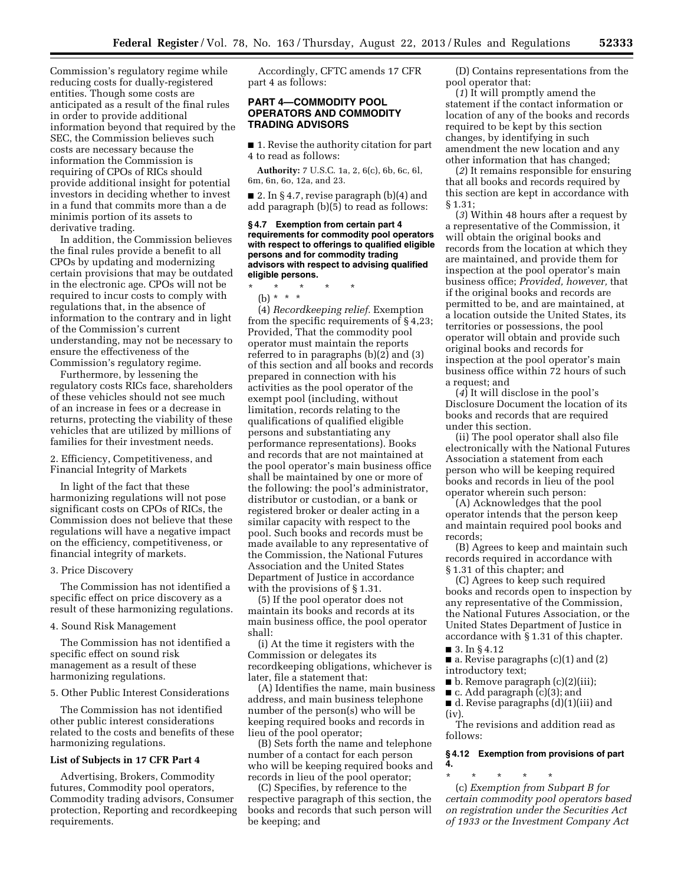Commission's regulatory regime while reducing costs for dually-registered entities. Though some costs are anticipated as a result of the final rules in order to provide additional information beyond that required by the SEC, the Commission believes such costs are necessary because the information the Commission is requiring of CPOs of RICs should provide additional insight for potential investors in deciding whether to invest in a fund that commits more than a de minimis portion of its assets to derivative trading.

In addition, the Commission believes the final rules provide a benefit to all CPOs by updating and modernizing certain provisions that may be outdated in the electronic age. CPOs will not be required to incur costs to comply with regulations that, in the absence of information to the contrary and in light of the Commission's current understanding, may not be necessary to ensure the effectiveness of the Commission's regulatory regime.

Furthermore, by lessening the regulatory costs RICs face, shareholders of these vehicles should not see much of an increase in fees or a decrease in returns, protecting the viability of these vehicles that are utilized by millions of families for their investment needs.

2. Efficiency, Competitiveness, and Financial Integrity of Markets

In light of the fact that these harmonizing regulations will not pose significant costs on CPOs of RICs, the Commission does not believe that these regulations will have a negative impact on the efficiency, competitiveness, or financial integrity of markets.

#### 3. Price Discovery

The Commission has not identified a specific effect on price discovery as a result of these harmonizing regulations.

### 4. Sound Risk Management

The Commission has not identified a specific effect on sound risk management as a result of these harmonizing regulations.

# 5. Other Public Interest Considerations

The Commission has not identified other public interest considerations related to the costs and benefits of these harmonizing regulations.

### **List of Subjects in 17 CFR Part 4**

Advertising, Brokers, Commodity futures, Commodity pool operators, Commodity trading advisors, Consumer protection, Reporting and recordkeeping requirements.

Accordingly, CFTC amends 17 CFR part 4 as follows:

# **PART 4—COMMODITY POOL OPERATORS AND COMMODITY TRADING ADVISORS**

■ 1. Revise the authority citation for part 4 to read as follows:

**Authority:** 7 U.S.C. 1a, 2, 6(c), 6b, 6c, 6l, 6m, 6n, 6o, 12a, and 23.

■ 2. In § 4.7, revise paragraph (b)(4) and add paragraph (b)(5) to read as follows:

### **§ 4.7 Exemption from certain part 4 requirements for commodity pool operators with respect to offerings to qualified eligible persons and for commodity trading advisors with respect to advising qualified eligible persons.**

\* \* \* \* \*

(b) \* \* \*

(4) *Recordkeeping relief.* Exemption from the specific requirements of § 4,23; Provided, That the commodity pool operator must maintain the reports referred to in paragraphs (b)(2) and (3) of this section and all books and records prepared in connection with his activities as the pool operator of the exempt pool (including, without limitation, records relating to the qualifications of qualified eligible persons and substantiating any performance representations). Books and records that are not maintained at the pool operator's main business office shall be maintained by one or more of the following: the pool's administrator, distributor or custodian, or a bank or registered broker or dealer acting in a similar capacity with respect to the pool. Such books and records must be made available to any representative of the Commission, the National Futures Association and the United States Department of Justice in accordance with the provisions of § 1.31.

(5) If the pool operator does not maintain its books and records at its main business office, the pool operator shall:

(i) At the time it registers with the Commission or delegates its recordkeeping obligations, whichever is later, file a statement that:

(A) Identifies the name, main business address, and main business telephone number of the person(s) who will be keeping required books and records in lieu of the pool operator;

(B) Sets forth the name and telephone number of a contact for each person who will be keeping required books and records in lieu of the pool operator;

(C) Specifies, by reference to the respective paragraph of this section, the books and records that such person will be keeping; and

(D) Contains representations from the pool operator that:

(*1*) It will promptly amend the statement if the contact information or location of any of the books and records required to be kept by this section changes, by identifying in such amendment the new location and any other information that has changed;

(*2*) It remains responsible for ensuring that all books and records required by this section are kept in accordance with § 1.31;

(*3*) Within 48 hours after a request by a representative of the Commission, it will obtain the original books and records from the location at which they are maintained, and provide them for inspection at the pool operator's main business office; *Provided, however,* that if the original books and records are permitted to be, and are maintained, at a location outside the United States, its territories or possessions, the pool operator will obtain and provide such original books and records for inspection at the pool operator's main business office within 72 hours of such a request; and

(*4*) It will disclose in the pool's Disclosure Document the location of its books and records that are required under this section.

(ii) The pool operator shall also file electronically with the National Futures Association a statement from each person who will be keeping required books and records in lieu of the pool operator wherein such person:

(A) Acknowledges that the pool operator intends that the person keep and maintain required pool books and records;

(B) Agrees to keep and maintain such records required in accordance with § 1.31 of this chapter; and

(C) Agrees to keep such required books and records open to inspection by any representative of the Commission, the National Futures Association, or the United States Department of Justice in accordance with § 1.31 of this chapter.

■ 3. In § 4.12

 $\blacksquare$  a. Revise paragraphs (c)(1) and (2) introductory text;

■ b. Remove paragraph (c)(2)(iii);

■ c. Add paragraph (c)(3); and

■ d. Revise paragraphs (d)(1)(iii) and (iv).

The revisions and addition read as follows:

### **§ 4.12 Exemption from provisions of part 4.**

\* \* \* \* \* (c) *Exemption from Subpart B for certain commodity pool operators based on registration under the Securities Act of 1933 or the Investment Company Act*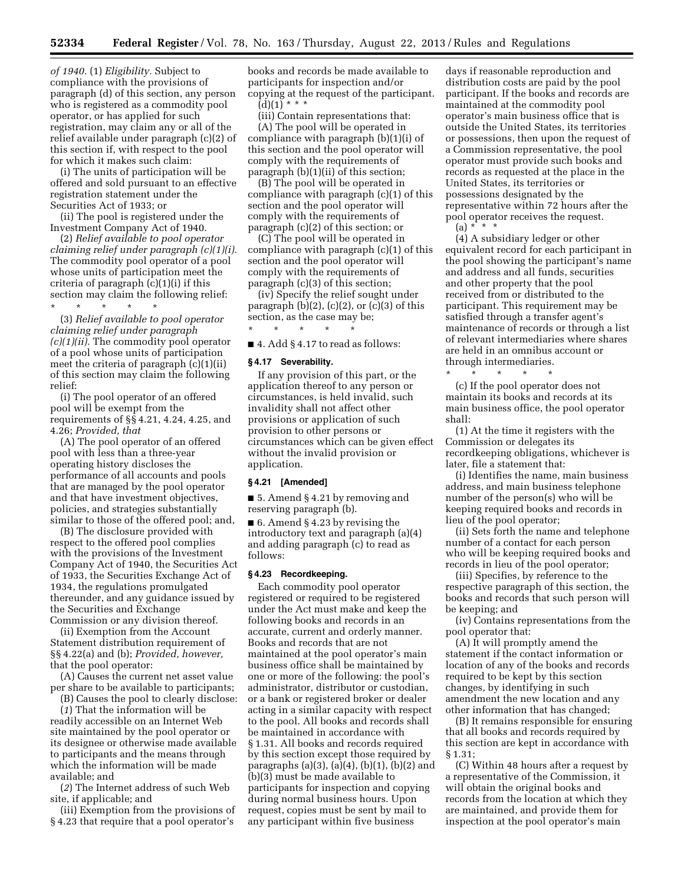*of 1940.* (1) *Eligibility.* Subject to compliance with the provisions of paragraph (d) of this section, any person who is registered as a commodity pool operator, or has applied for such registration, may claim any or all of the relief available under paragraph (c)(2) of this section if, with respect to the pool for which it makes such claim:

(i) The units of participation will be offered and sold pursuant to an effective registration statement under the Securities Act of 1933; or

(ii) The pool is registered under the Investment Company Act of 1940.

(2) *Relief available to pool operator claiming relief under paragraph (c)(1)(i).*  The commodity pool operator of a pool whose units of participation meet the criteria of paragraph (c)(1)(i) if this section may claim the following relief: \* \* \* \* \*

(3) *Relief available to pool operator claiming relief under paragraph (c)(1)(ii).* The commodity pool operator of a pool whose units of participation meet the criteria of paragraph (c)(1)(ii) of this section may claim the following relief:

(i) The pool operator of an offered pool will be exempt from the requirements of §§ 4.21, 4.24, 4.25, and 4.26; *Provided, that* 

(A) The pool operator of an offered pool with less than a three-year operating history discloses the performance of all accounts and pools that are managed by the pool operator and that have investment objectives, policies, and strategies substantially similar to those of the offered pool; and,

(B) The disclosure provided with respect to the offered pool complies with the provisions of the Investment Company Act of 1940, the Securities Act of 1933, the Securities Exchange Act of 1934, the regulations promulgated thereunder, and any guidance issued by the Securities and Exchange Commission or any division thereof.

(ii) Exemption from the Account Statement distribution requirement of §§ 4.22(a) and (b); *Provided, however,*  that the pool operator:

(A) Causes the current net asset value per share to be available to participants; (B) Causes the pool to clearly disclose:

(*1*) That the information will be readily accessible on an Internet Web site maintained by the pool operator or its designee or otherwise made available to participants and the means through which the information will be made available; and

(*2*) The Internet address of such Web site, if applicable; and

(iii) Exemption from the provisions of § 4.23 that require that a pool operator's

books and records be made available to participants for inspection and/or copying at the request of the participant.  $(d)(1) * * *$ 

(iii) Contain representations that:

(A) The pool will be operated in compliance with paragraph (b)(1)(i) of this section and the pool operator will comply with the requirements of paragraph (b)(1)(ii) of this section;

(B) The pool will be operated in compliance with paragraph (c)(1) of this section and the pool operator will comply with the requirements of paragraph (c)(2) of this section; or

(C) The pool will be operated in compliance with paragraph (c)(1) of this section and the pool operator will comply with the requirements of paragraph (c)(3) of this section;

(iv) Specify the relief sought under paragraph  $(b)(2)$ ,  $(c)(2)$ , or  $(c)(3)$  of this section, as the case may be;

\* \* \* \* \*

 $\blacksquare$  4. Add § 4.17 to read as follows:

# **§ 4.17 Severability.**

If any provision of this part, or the application thereof to any person or circumstances, is held invalid, such invalidity shall not affect other provisions or application of such provision to other persons or circumstances which can be given effect without the invalid provision or application.

### **§ 4.21 [Amended]**

■ 5. Amend § 4.21 by removing and reserving paragraph (b).

■ 6. Amend § 4.23 by revising the introductory text and paragraph (a)(4) and adding paragraph (c) to read as follows:

#### **§ 4.23 Recordkeeping.**

Each commodity pool operator registered or required to be registered under the Act must make and keep the following books and records in an accurate, current and orderly manner. Books and records that are not maintained at the pool operator's main business office shall be maintained by one or more of the following: the pool's administrator, distributor or custodian, or a bank or registered broker or dealer acting in a similar capacity with respect to the pool. All books and records shall be maintained in accordance with § 1.31. All books and records required by this section except those required by paragraphs (a)(3), (a)(4), (b)(1), (b)(2) and (b)(3) must be made available to participants for inspection and copying during normal business hours. Upon request, copies must be sent by mail to any participant within five business

days if reasonable reproduction and distribution costs are paid by the pool participant. If the books and records are maintained at the commodity pool operator's main business office that is outside the United States, its territories or possessions, then upon the request of a Commission representative, the pool operator must provide such books and records as requested at the place in the United States, its territories or possessions designated by the representative within 72 hours after the pool operator receives the request.

 $(a) * * * *$ 

(4) A subsidiary ledger or other equivalent record for each participant in the pool showing the participant's name and address and all funds, securities and other property that the pool received from or distributed to the participant. This requirement may be satisfied through a transfer agent's maintenance of records or through a list of relevant intermediaries where shares are held in an omnibus account or through intermediaries.

\* \* \* \* \* (c) If the pool operator does not maintain its books and records at its main business office, the pool operator shall:

(1) At the time it registers with the Commission or delegates its recordkeeping obligations, whichever is later, file a statement that:

(i) Identifies the name, main business address, and main business telephone number of the person(s) who will be keeping required books and records in lieu of the pool operator;

(ii) Sets forth the name and telephone number of a contact for each person who will be keeping required books and records in lieu of the pool operator;

(iii) Specifies, by reference to the respective paragraph of this section, the books and records that such person will be keeping; and

(iv) Contains representations from the pool operator that:

(A) It will promptly amend the statement if the contact information or location of any of the books and records required to be kept by this section changes, by identifying in such amendment the new location and any other information that has changed;

(B) It remains responsible for ensuring that all books and records required by this section are kept in accordance with § 1.31;

(C) Within 48 hours after a request by a representative of the Commission, it will obtain the original books and records from the location at which they are maintained, and provide them for inspection at the pool operator's main